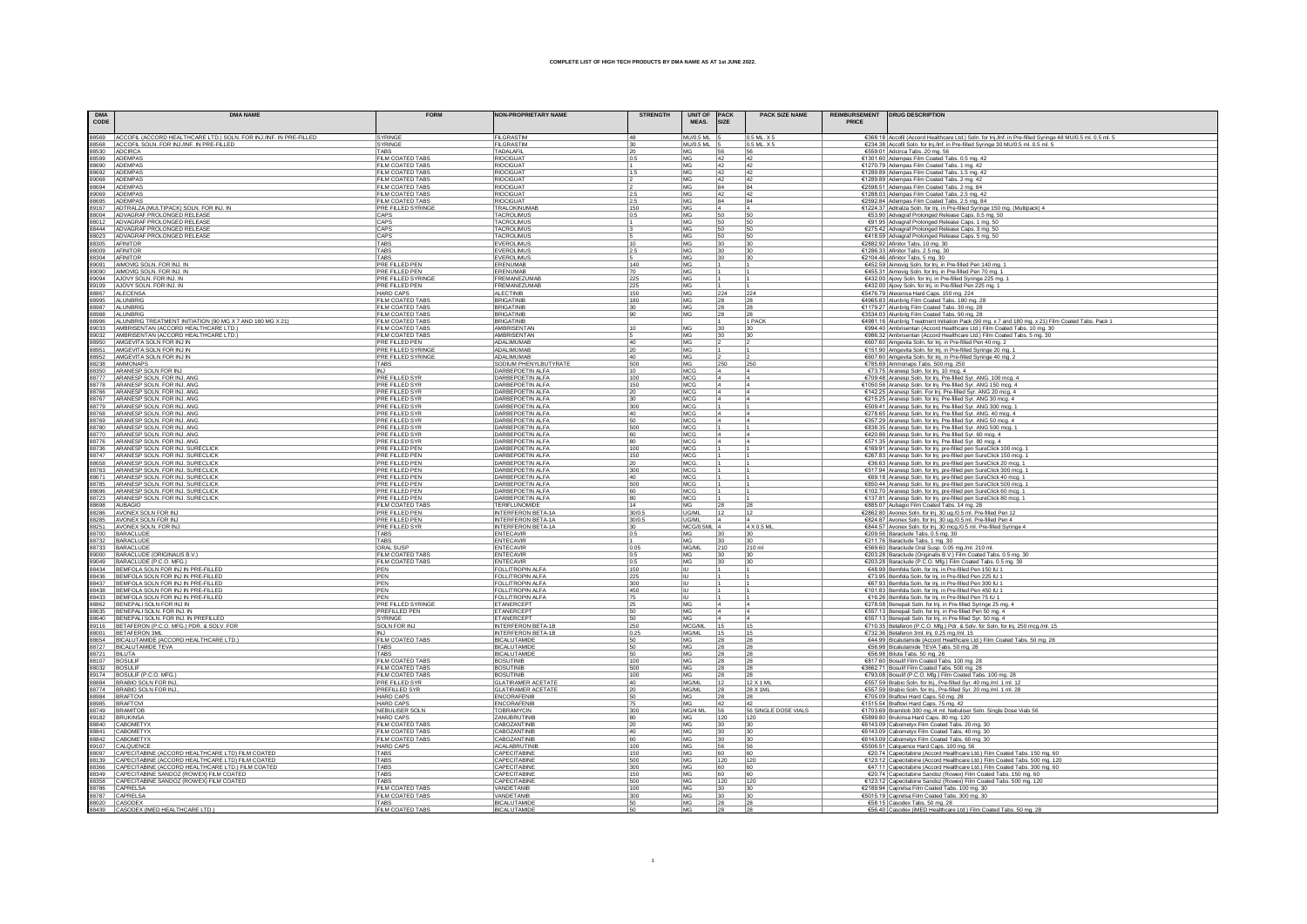| <b>DMA</b><br>$\texttt{CODE}$ | <b>DMA NAME</b>                                                                                                             | <b>FORM</b>                                 | <b>NON-PROPRIETARY NAME</b>                      | <b>STRENGTH</b>        | UNIT OF<br>MEAS.         | <b>PACK</b><br><b>SIZE</b> | <b>PACK SIZE NAME</b>       | PRICE | REIMBURSEMENT   DRUG DESCRIPTION                                                                                                                                                                                                                                                                                                                                         |
|-------------------------------|-----------------------------------------------------------------------------------------------------------------------------|---------------------------------------------|--------------------------------------------------|------------------------|--------------------------|----------------------------|-----------------------------|-------|--------------------------------------------------------------------------------------------------------------------------------------------------------------------------------------------------------------------------------------------------------------------------------------------------------------------------------------------------------------------------|
|                               |                                                                                                                             | <b>SYRINGE</b>                              | FILGRASTIM                                       |                        | MU/0.5 ML 5              |                            |                             |       |                                                                                                                                                                                                                                                                                                                                                                          |
|                               | 88569 ACCOFIL (ACCORD HEALTHCARE LTD.) SOLN. FOR INJ./INF. IN PRE-FILLED<br>88568 ACCOFIL SOLN. FOR INJ./INF. IN PRE-FILLED | SYRINGE                                     | FILGRASTIN                                       | 48<br>30               | <b>MU/0.5 ML</b>         |                            | 0.5 ML. X 5<br>0.5 ML X 5   |       | €368.18 Accofil (Accord Healthcare Ltd.) Soln. for Inj./Inf. in Pre-filled Syringe 48 MU/0.5 ml. 0.5 ml. 5<br>€234.38 Accofil Soln. for Inj./Inf. in Pre-filled Syringe 30 MU/0.5 ml. 0.5 ml. 5                                                                                                                                                                          |
|                               | 88530 ADCIRCA<br>88599 ADEMPAS                                                                                              | TARS                                        | TADALAFIL                                        | $\frac{20}{0.5}$       | MG                       | 56                         | 56                          |       | €559.01 Adcirca Tabs. 20 mg. 56                                                                                                                                                                                                                                                                                                                                          |
|                               |                                                                                                                             | FILM COATED TABS                            | <b>RIOCIGUA</b>                                  |                        | MG                       | 42                         | 42                          |       | €1301.60 Adempas Film Coated Tabs. 0.5 mg. 42                                                                                                                                                                                                                                                                                                                            |
|                               | 88690 ADEMPAS<br>88692 ADEMPAS                                                                                              | FILM COATED TABS<br>FILM COATED TABS        | <b>RIOCIGUAT</b><br>RIOCIGUAT                    | 1.5                    | MG<br>MG                 | 42<br>42                   | 42<br>42                    |       | €1270.79 Adempas Film Coated Tabs. 1 mg. 42<br>€1289.89 Adempas Film Coated Tabs. 1.5 mg. 42                                                                                                                                                                                                                                                                             |
|                               | 89068 ADEMPAS                                                                                                               | FILM COATED TABS                            | <b>RIOCIGUAT</b>                                 |                        | MG                       | 42                         | 42                          |       | €1289.89 Adempas Film Coated Tabs. 2 mg. 42                                                                                                                                                                                                                                                                                                                              |
|                               | 88694 ADEMPAS                                                                                                               | <b>FILM COATED TABS</b>                     | <b>RIOCIGUAT</b>                                 |                        | MG                       | 84                         | 84                          |       | €2598.51 Adempas Film Coated Tabs. 2 mg. 84                                                                                                                                                                                                                                                                                                                              |
|                               | 89069 ADEMPAS<br>88695 ADEMPAS                                                                                              | FILM COATED TABS                            | RIOCIGUA <sup>®</sup>                            | 2.5                    | <b>MG</b><br>MG          | 42<br>84                   | 42<br>84                    |       | €1288.03 Adempas Film Coated Tabs. 2.5 mg. 42                                                                                                                                                                                                                                                                                                                            |
|                               | 89167 ADTRALZA (MULTIPACK) SOLN. FOR INJ. IN                                                                                | FILM COATED TABS<br>PRE FILLED SYRINGE      | <b>RIOCIGUAT</b><br>TRALOKINUMAB                 | 2.5<br>150             | MG                       |                            |                             |       | €2592.84 Adempas Film Coated Tabs. 2.5 mg. 84<br>€1224.37 Adtralza Soln. for Inj. in Pre-filled Syringe 150 mg. (Multipack) 4                                                                                                                                                                                                                                            |
|                               | 88004 ADVAGRAF PROLONGED RELEASE                                                                                            | CAPS                                        | <b>TACROLIMUS</b>                                | 0.5                    | MG                       | 50                         | 50                          |       | €53.90 Advagraf Prolonged Release Caps. 0.5 mg. 50                                                                                                                                                                                                                                                                                                                       |
|                               | 88012 ADVAGRAF PROLONGED RELEASE                                                                                            | CAPS                                        | TACROLIMUS                                       |                        | MG                       | 50                         | 50                          |       | €91.95 Advagraf Prolonged Release Caps. 1 mg. 50                                                                                                                                                                                                                                                                                                                         |
|                               | 88444 ADVAGRAF PROLONGED RELEASE                                                                                            | CAPS                                        | TACROLIMUS                                       | lз                     | MG                       | 50                         | 50                          |       | €275.42 Advagraf Prolonged Release Caps. 3 mg. 50                                                                                                                                                                                                                                                                                                                        |
|                               | 88023 ADVAGRAF PROLONGED RELEASE<br>88305 AFINITOR                                                                          | CAPS<br>TARS                                | <b>TACROLIMUS</b><br>EVEROLIMUS                  | 10                     | MG<br>MG                 | 50<br>30                   | 50<br>30                    |       | €418.59 Advagraf Prolonged Release Caps. 5 mg. 50                                                                                                                                                                                                                                                                                                                        |
|                               | 88009 AFINITOR                                                                                                              | TABS                                        | EVEROLIMUS                                       | 2.5                    | MG                       | 30                         | 30                          |       | €2882.92 Afinitor Tabs. 10 mg. 30<br>€1286.33 Afinitor Tabs. 2.5 mg. 30                                                                                                                                                                                                                                                                                                  |
|                               | 88304 AFINITOR                                                                                                              | TABS                                        | EVEROLIMUS                                       |                        | MG                       | 30                         | 30                          |       | €2104.46 Afinitor Tabs. 5 mg. 30                                                                                                                                                                                                                                                                                                                                         |
|                               | 89091 AIMOVIG SOLN. FOR INJ. IN                                                                                             | PRE FILLED PEN                              | ERENUMAE                                         | 140                    | MG                       |                            |                             |       | €452.59 Aimovig Soln. for Inj. in Pre-filled Pen 140 mg. 1                                                                                                                                                                                                                                                                                                               |
|                               | 89090 AIMOVIG SOLN. FOR INJ. IN                                                                                             | PRE FILLED PEN                              | ERENUMAB                                         | 70                     | MG<br>MG                 |                            |                             |       | €455.31 Aimovig Soln. for Inj. in Pre-filled Pen 70 mg. 1                                                                                                                                                                                                                                                                                                                |
|                               | 89094 AJOVY SOLN. FOR INJ. IN<br>89109 AJOVY SOLN, FOR INJ. IN                                                              | PRE FILLED SYRINGE<br>PRE FILLED PEN        | FREMANEZUMAB<br>FREMANEZUMAB                     | 225<br>225             | MG                       |                            |                             |       | €432.00 Ajovy Soln. for Inj. in Pre-filled Syringe 225 mg. 1<br>€432.00 Ajovy Soln. for Inj. in Pre-filled Pen 225 mg. 1                                                                                                                                                                                                                                                 |
|                               | 88867 ALECENSA                                                                                                              | <b>HARD CAPS</b>                            | ALECTINIB                                        | 150                    | MG                       | 224                        | 224                         |       | €5476.79 Alecensa Hard Caps. 150 mg. 224                                                                                                                                                                                                                                                                                                                                 |
|                               | 88995 ALUNBRIG                                                                                                              | FILM COATED TABS                            | <b>BRIGATINE</b>                                 | 180                    | MG                       | 28                         |                             |       | €4965.83 Alunbrig Film Coated Tabs. 180 mg. 28                                                                                                                                                                                                                                                                                                                           |
|                               | 88987 ALUNBRIG                                                                                                              | FILM COATED TABS                            | <b>BRIGATINIB</b>                                | 30                     | MG                       | 28                         | 28                          |       | €1179.27 Alunbrig Film Coated Tabs. 30 mg. 28                                                                                                                                                                                                                                                                                                                            |
| 88988<br>88996                | ALUNBRIG<br>ALUNBRIG TREATMENT INITIATION (90 MG X 7 AND 180 MG X 21)                                                       | FILM COATED TABS<br>FILM COATED TABS        | <b>BRIGATINIE</b><br><b>BRIGATINIB</b>           | 90                     | MG                       | 28                         | 28<br>1 PACK                |       | €3534.03 Alunbrig Film Coated Tabs. 90 mg. 28                                                                                                                                                                                                                                                                                                                            |
|                               | 89033 AMBRISENTAN (ACCORD HEALTHCARE LTD.)                                                                                  | FILM COATED TABS                            | <b>AMBRISENTAM</b>                               | 10                     | M <sub>G</sub>           | 30                         | 30                          |       | €4981.16 Alunbrig Treatment Initiation Pack (90 mg. x 7 and 180 mg. x 21) Film Coated Tabs. Pack 1<br>€994.40 Ambrisentan (Accord Healthcare Ltd.) Film Coated Tabs. 10 mg. 30                                                                                                                                                                                           |
|                               | 89032 AMBRISENTAN (ACCORD HEALTHCARE LTD.)                                                                                  | FILM COATED TABS                            | AMBRISENTAN                                      | 5                      | MG                       | 30                         | 30                          |       | €986.32 Ambrisentan (Accord Healthcare Ltd.) Film Coated Tabs. 5 mg. 30                                                                                                                                                                                                                                                                                                  |
|                               | 88950 AMGEVITA SOLN FOR INJ IN                                                                                              | PRE FILLED PEN                              | ADALIMUMAB                                       | 40                     | MG                       |                            |                             |       | €607.60 Amgevita Soln. for Inj. in Pre-filled Pen 40 mg. 2                                                                                                                                                                                                                                                                                                               |
|                               | 88951 AMGEVITA SOLN FOR INJ IN                                                                                              | PRE FILLED SYRINGE                          | ADALIMUMAB                                       | 20                     | MG                       |                            |                             |       | €151.90 Amgevita Soln. for Inj. in Pre-filled Syringe 20 mg. 1                                                                                                                                                                                                                                                                                                           |
|                               | 88952 AMGEVITA SOLN FOR INJ IN<br>88238 AMMONAPS                                                                            | PRE FILLED SYRINGE<br>TABS                  | ADALIMUMAB<br>SODIUM PHENYLBUTYRATE              | 40<br>500              | MG<br>MG                 | 250                        | 250                         |       | €607.60 Amgevita Soln. for Inj. in Pre-filled Syringe 40 mg. 2<br>€785.69 Ammonaps Tabs. 500 mg. 250                                                                                                                                                                                                                                                                     |
|                               | 88350 ARANESP SOLN FOR INJ                                                                                                  | <b>INJ</b>                                  | DARBEPOETIN ALFA                                 |                        | MCG                      |                            |                             |       | €73.75 Aranesp Soln. for Inj. 10 mcg. 4                                                                                                                                                                                                                                                                                                                                  |
|                               | 88777 ARANESP SOLN. FOR INJ. ANG                                                                                            | PRE FILLED SYR                              | DARBEPOETIN ALFA                                 | 100                    | MCG                      |                            |                             |       | €709.48 Aranesp Soln. for Inj. Pre-filled Syr. ANG. 100 mcg. 4                                                                                                                                                                                                                                                                                                           |
|                               | 88778   ARANESP SOLN. FOR INJ. ANG                                                                                          | PRE FILLED SYR                              | DARBEPOETIN ALFA                                 | 150                    | MCG                      |                            |                             |       | €1050.56 Aranesp Soln. for Inj. Pre-filled Syr. ANG 150 mcg. 4                                                                                                                                                                                                                                                                                                           |
|                               | 88766 ARANESP SOLN. FOR INJ. ANG                                                                                            | <b>PRE FILLED SYR</b>                       | DARBEPOETIN ALFA                                 | 20                     | MCG                      |                            |                             |       | €142.25 Aranesp Soln. For Inj. Pre-filled Syr. ANG 20 mcg. 4                                                                                                                                                                                                                                                                                                             |
|                               | 88767 ARANESP SOLN. FOR INJ. ANG<br>88779 ARANESP SOLN. FOR INJ. ANG                                                        | PRE FILLED SYR<br>PRE FILLED SYR            | DARBEPOETIN ALFA<br>DARBEPOETIN ALFA             | 30 <sub>2</sub><br>300 | MCG<br>MCG               |                            |                             |       | €215.25 Aranesp Soln. for Inj. Pre-filled Syr. ANG 30 mcg. 4<br>€509.41 Aranesp Soln. for Inj. Pre-filled Syr. ANG 300 mcg. 1                                                                                                                                                                                                                                            |
|                               | 88768 ARANESP SOLN. FOR INJ. ANG                                                                                            | <b>PRE FILLED SYR</b>                       | DARBEPOETIN ALFA                                 |                        | MCG                      |                            |                             |       | €278.65 Aranesp Soln. for Inj. Pre-filled Syr. ANG. 40 mcg. 4                                                                                                                                                                                                                                                                                                            |
|                               | 88769 ARANESP SOLN. FOR INJ. ANG                                                                                            | PRE FILLED SYR                              | DARBEPOETIN ALFA                                 | 50                     | MCG                      |                            |                             |       | €357.29 Aranesp Soln. for Inj. Pre-filled Syr. ANG 50 mcg. 4                                                                                                                                                                                                                                                                                                             |
|                               | 88780 ARANESP SOLN. FOR INJ. ANG                                                                                            | PRE FILLED SYR                              | DARBEPOETIN ALFA                                 | 500                    | <b>MCG</b>               |                            |                             |       | €838.35 Aranesp Soln. for Inj. Pre-filled Syr. ANG 500 mcg.                                                                                                                                                                                                                                                                                                              |
|                               | 88770 ARANESP SOLN. FOR INJ. ANG                                                                                            | PRE FILLED SYR                              | DARBEPOETIN ALFA                                 | 60                     | MCG                      |                            |                             |       | €420.86 Aranesp Soln. for Inj. Pre-filled Syr. 60 mcg. 4                                                                                                                                                                                                                                                                                                                 |
| 88736                         | 88776 ARANESP SOLN. FOR INJ. ANG<br>ARANESP SOLN. FOR INJ. SURECLICK                                                        | PRE FILLED SYR<br>PRE FILLED PEN            | DARBEPOETIN ALFA<br><b>DARBEPOETIN ALFA</b>      | 80<br>100              | <b>MCG</b><br>MCG        |                            |                             |       | €571.35 Aranesp Soln. for Inj. Pre-filled Syr. 80 mcg. 4<br>€169.91 Aranesp Soln. for Inj. pre-filled pen SureClick 100 mcg. 1                                                                                                                                                                                                                                           |
|                               | 88747 ARANESP SOLN. FOR INJ. SURECLICK                                                                                      | PRE FILLED PEN                              | <b>DARBEPOETIN ALFA</b>                          | 150                    | MCG                      |                            |                             |       | €267.83 Aranesp Soln. for Inj. pre-filled pen SureClick 150 mcg.                                                                                                                                                                                                                                                                                                         |
|                               | 88658 ARANESP SOLN. FOR INJ. SURECLICK                                                                                      | PRE FILLED PEN                              | DARBEPOETIN ALFA                                 | 20                     | MCG.                     |                            |                             |       | €36.63 Aranesp Soln. for Inj. pre-filled pen SureClick 20 mcg. 1<br>€517.94 Aranesp Soln. for Inj. pre-filled pen SureClick 300 mcg.                                                                                                                                                                                                                                     |
|                               | 88763 ARANESP SOLN. FOR INJ. SURECLICK                                                                                      | PRE FILLED PEN                              | DARBEPOETIN ALFA                                 | 300                    | MCG                      |                            |                             |       |                                                                                                                                                                                                                                                                                                                                                                          |
|                               | 88671 ARANESP SOLN. FOR INJ. SURECLICK<br>88785 ARANESP SOLN. FOR INJ. SURECLICK                                            | PRE FILLED PEN<br>PRE FILLED PEN            | DARBEPOETIN ALFA<br>DARBEPOETIN ALFA             | 40<br>500              | <b>MCG</b><br><b>MCG</b> |                            |                             |       | €69.18 Aranesp Soln. for Inj. pre-filled pen SureClick 40 mcg. 1<br>€850.44 Aranesp Soln. for Inj. pre-filled pen SureClick 500 mcg. 1                                                                                                                                                                                                                                   |
| 88696                         | ARANESP SOLN. FOR INJ. SURECLICK                                                                                            | PRE FILLED PEN                              | DARBEPOETIN ALFA                                 | 60                     | <b>MCG</b>               |                            |                             |       | €102.70 Aranesp Soln. for Inj. pre-filled pen SureClick 60 mcg. 1                                                                                                                                                                                                                                                                                                        |
|                               | 88723 ARANESP SOLN. FOR INJ. SURECLICK                                                                                      | PRE FILLED PEN                              | DARBEPOETIN ALFA                                 | 80                     | MCG                      |                            |                             |       | €137.81 Aranesp Soln. for Inj. pre-filled pen SureClick 80 mcg.                                                                                                                                                                                                                                                                                                          |
|                               | 88698 AUBAGIO                                                                                                               | FILM COATED TABS                            | <b>TERIFLUNOMIDE</b>                             | 14                     | MG                       | 28                         | 28                          |       | €885.07 Aubagio Film Coated Tabs. 14 mg. 28<br>€2862.80 Avonex Soln. for lnj. 30 ug./0.5 ml. Pre-filled Pen 12                                                                                                                                                                                                                                                           |
|                               | 88286 AVONEX SOLN FOR INJ                                                                                                   | PRE FILLED PEN                              | <b>INTERFERON BETA-1A</b>                        | 30/0.5                 | UG/ML                    | 12                         | 112                         |       |                                                                                                                                                                                                                                                                                                                                                                          |
|                               | 88285 AVONEX SOLN FOR INJ<br>88251 AVONEX SOLN. FOR INJ.                                                                    | PRE FILLED PEN<br>PRE FILLED SYR            | INTERFERON BETA-1A<br><b>INTERFERON BETA-1A</b>  | 30/0.5                 | UG/ML<br>MCG/0.5ML 4     |                            | 4 X 0.5 ML                  |       | €824.87 Avonex Soln. for lnj. 30 ug./0.5 ml. Pre-filled Pen 4<br>€844.57 Avonex Soln. for lnj. 30 mcg./0.5 ml. Pre-filled Syringe 4                                                                                                                                                                                                                                      |
|                               | 88700 BARACLUDE                                                                                                             | TABS                                        | <b>ENTECAVIR</b>                                 | $\frac{30}{0.5}$       |                          |                            |                             |       | €209.56 Baraclude Tabs. 0.5 mg. 30                                                                                                                                                                                                                                                                                                                                       |
|                               | 88732 BARACLUDE                                                                                                             | TABS                                        | <b>ENTECAVIR</b>                                 |                        |                          |                            |                             |       | €211.76 Baraclude Tabs. 1 mg. 30                                                                                                                                                                                                                                                                                                                                         |
|                               | 88733 BARACLUDE                                                                                                             | ORAL SUSP                                   | <b>ENTECAVIR</b>                                 | 0.05                   | MG/ML                    | 210                        | 210 ml                      |       | $\frac{\text{E569.60}}{\text{E033.28}}\n\frac{\text{Baralude Oral Susp. 0.05 mg/ml. 210 ml.}}{\text{E203.28}}\n\frac{\text{E203.28}}{\text{E203.28}}\n\frac{\text{E203.28}}{\text{E203.28}}\n\frac{\text{E203.28}}{\text{E203.28}}\n\frac{\text{Baralude (Orafanis B. 5.0 mG)}}{\text{E203.28}}\n\frac{\text{Baralude (F.C.O. Mg.)}}{\text{E203.28}}\n\frac{\text{E203.$ |
|                               | 89000 BARACLUDE (ORIGINALIS B.V.)<br>89049 BARACLUDE (P.C.O. MFG.)                                                          | FILM COATED TABS<br>FILM COATED TABS        | <b>ENTECAVIR</b><br><b>ENTECAVIR</b>             | $\frac{0.5}{0.5}$      | <b>MG</b><br>MG          | 30<br>30                   | 130<br>30                   |       |                                                                                                                                                                                                                                                                                                                                                                          |
|                               | 88434 BEMFOLA SOLN FOR INJ IN PRE-FILLED                                                                                    | PEN                                         | <b>FOLLITROPIN ALFA</b>                          | 150                    | I IU.                    |                            |                             |       |                                                                                                                                                                                                                                                                                                                                                                          |
|                               | 88436 BEMFOLA SOLN FOR INJ IN PRE-FILLED                                                                                    | PEN                                         | <b>FOLLITROPIN ALFA</b>                          | 225                    | IU                       |                            |                             |       | €73.95 Bemfola Soln. for Inj. in Pre-filled Pen 225 IU 1                                                                                                                                                                                                                                                                                                                 |
| 88437                         | BEMFOLA SOLN FOR INJ IN PRE-FILLED                                                                                          | PEN                                         | <b>FOLLITROPIN ALFA</b>                          | 300                    | liu                      |                            |                             |       | €67.93 Bemfola Soln. for Inj. in Pre-filled Pen 300 IU 1                                                                                                                                                                                                                                                                                                                 |
|                               | 88438 BEMFOLA SOLN FOR INJ IN PRE-FILLED                                                                                    | PEN                                         | FOLLITROPIN ALFA                                 | 450                    | ΙIJ                      |                            |                             |       | €101.83 Bemfola Soln. for Inj. in Pre-filled Pen 450 IU 1                                                                                                                                                                                                                                                                                                                |
|                               | 88433 BEMFOLA SOLN FOR INJ IN PRE-FILLED<br>88862 BENEPALI SOLN FOR INJ IN                                                  | PEN<br>PRE FILLED SYRINGE                   | FOLLITROPIN ALFA<br>ETANERCEPT                   | 75<br>25               | IU<br>MG                 |                            |                             |       | €16.26 Bemfola Soln. for Inj. in Pre-filled Pen 75 IU 1<br>€278.58 Benepali Soln. for Inj. in Pre-filled Syringe 25 mg.                                                                                                                                                                                                                                                  |
|                               | 88635 BENEPALI SOLN, FOR INJ. IN                                                                                            | PREFILLED PEN                               | <b>ETANERCEPT</b>                                | 50                     | <b>MG</b>                |                            |                             |       | €557.13 Benepali Soln. for Inj. in Pre-filled Pen 50 mg. 4                                                                                                                                                                                                                                                                                                               |
|                               | 88640 BENEPALI SOLN. FOR INJ. IN PREFILLED                                                                                  | SYRINGE                                     | <b>ETANERCEPT</b>                                | 50                     | MG                       |                            |                             |       | €557.13 Benepali Soln. for Inj. in Pre-filled Syr. 50 mg. 4                                                                                                                                                                                                                                                                                                              |
|                               | 89116 BETAFERON (P.C.O. MFG.) PDR. & SOLV. FOR                                                                              | SOLN FOR INJ                                | <b>INTERFERON BETA-1B</b>                        | 250                    | MCG/ML                   | 15                         | 15                          |       | €710.35 Betaferon (P.C.O. Mfg.) Pdr. & Solv. for Soln. for Inj. 250 mcg./ml. 15                                                                                                                                                                                                                                                                                          |
|                               |                                                                                                                             | IN.I<br>FILM COATED TABS                    | <b>INTERFERON BETA-18</b><br><b>BICALUTAMIDE</b> | 0.25                   | MG/ML<br><b>MG</b>       | 15                         | 15                          |       | €732.36 Betaferon 3ml. Inj. 0.25 mg./ml. 15<br>€44.99 Bicalutamide (Accord Healthcare Ltd.) Film Coated Tabs. 50 mg. 28                                                                                                                                                                                                                                                  |
|                               | 88001 BETAFERON 3ML<br>88654 BICALUTAMIDE (ACCORD HEALTHCARE LTD.)<br>88727 BICALUTAMIDE TEVA                               | TABS                                        | <b>BICALUTAMIDE</b>                              | 50<br>50               | MG                       | 28<br>28                   | 28<br>28                    |       | €56.98 Bicalutamide TEVA Tabs. 50 mg. 28                                                                                                                                                                                                                                                                                                                                 |
| 88721 BILUTA                  |                                                                                                                             | <b>TABS</b>                                 | <b>BICALUTAMID</b>                               | 50                     | <b>MG</b>                | 28                         | 128                         |       | €56.98 Biluta Tabs. 50 mg. 28                                                                                                                                                                                                                                                                                                                                            |
|                               | 88107 BOSULIF                                                                                                               | FILM COATED TABS                            | <b>BOSUTINIB</b>                                 | 100                    | MG                       | 28                         | 28                          |       | €817.60 Bosulif Film Coated Tabs. 100 mg. 28                                                                                                                                                                                                                                                                                                                             |
|                               | 88032 BOSULIF                                                                                                               | FILM COATED TABS                            | <b>BOSUTINIE</b>                                 | 500                    | MG                       | 28                         | 28                          |       | €3662.71 Bosulif Film Coated Tabs. 500 mg. 28                                                                                                                                                                                                                                                                                                                            |
|                               | 89174 BOSULIF (P.C.O. MFG.)<br>88884 BRABIO SOLN FOR INJ                                                                    | FILM COATED TABS<br><b>PRE FILLED SYR</b>   | <b>BOSUTINIB</b><br><b>GLATIRAMER ACETATE</b>    | 100<br>40              | MG<br>MG/ML              | 28<br>12                   | 28<br>12 X 1 ML             |       | €793.08 Bosulif (P.C.O. Mfg.) Film Coated Tabs. 100 mg. 28<br>€557.59 Brabio Soln. for Inj., Pre-filled Syr. 40 mg./ml. 1 ml. 12                                                                                                                                                                                                                                         |
|                               | 88774 BRABIO SOLN FOR INJ.                                                                                                  | PREFILLED SYR                               | <b>GLATIRAMER ACETATE</b>                        | 20                     | MG/ML                    | 28                         | 28 X 1ML                    |       | €557.59 Brabio Soln. for Inj., Pre-filled Syr. 20 mg./ml. 1 ml. 28                                                                                                                                                                                                                                                                                                       |
|                               | 88984 BRAFTOVI                                                                                                              | <b>HARD CAPS</b>                            | ENCORAFENIE                                      | 50                     | MG                       | 28                         | 28                          |       | €705.09 Braftovi Hard Caps. 50 mg. 28                                                                                                                                                                                                                                                                                                                                    |
|                               | 88985 BRAFTOVI                                                                                                              | <b>HARD CAPS</b>                            | ENCORAFENIE                                      | 75                     | MG.                      | 42                         | 42                          |       | €1515.54 Braftovi Hard Caps. 75 mg. 42                                                                                                                                                                                                                                                                                                                                   |
|                               | 88749 BRAMITOB<br>89182 BRUKINSA                                                                                            | NEBULISER SOLN<br><b>HARD CAPS</b>          | <b>TOBRAMYCIN</b><br>ZANUBRUTINIE                | 300<br>80              | MG/4 ML<br>MG            | 56<br>120                  | 56 SINGLE DOSE VIALS<br>120 |       | €1703.69 Bramitob 300 mg./4 ml. Nebuliser Soln. Single Dose Vials 56                                                                                                                                                                                                                                                                                                     |
|                               | 88840 CABOMETYX                                                                                                             | FILM COATED TABS                            | CABOZANTINIB                                     | 20                     | MG                       | 30                         | 30                          |       | €5899.80 Brukinsa Hard Caps. 80 mg. 120<br>€6143.09 Cabometyx Film Coated Tabs. 20 mg. 30                                                                                                                                                                                                                                                                                |
|                               | 88841 CABOMETYX                                                                                                             | <b>FILM COATED TABS</b>                     | CABOZANTINIE                                     | 40                     | MG                       | 30                         | 30                          |       | €6143.09 Cabometyx Film Coated Tabs. 40 mg. 30                                                                                                                                                                                                                                                                                                                           |
|                               | 88842 CABOMETYX                                                                                                             | <b>FILM COATED TABS</b>                     | CABOZANTINIB                                     | 60                     | MG                       | 30 <sup>°</sup>            | 30                          |       | €6143.09 Cabometyx Film Coated Tabs. 60 mg. 30                                                                                                                                                                                                                                                                                                                           |
|                               | 89107 CALOUENCE                                                                                                             | <b>HARD CAPS</b>                            | ACALABRUTINIB                                    | 100                    | MG                       | 56                         | 56                          |       | €5506.51 Calquence Hard Caps. 100 mg. 56                                                                                                                                                                                                                                                                                                                                 |
|                               | 88097 CAPECITABINE (ACCORD HEALTHCARE LTD) FILM COATED<br>88139 CAPECITABINE (ACCORD HEALTHCARE LTD) FILM COATED            | TABS<br>TABS                                | CAPECITABINE<br>CAPECITABINE                     | 150<br>500             | MG<br>MG                 | 60<br>120                  | 60<br>120                   |       | €20.74 Capecitabine (Accord Healthcare Ltd.) Film Coated Tabs. 150 mg. 60<br>€123.12 Capecitabine (Accord Healthcare Ltd.) Film Coated Tabs. 500 mg. 120                                                                                                                                                                                                                 |
|                               | 88366 CAPECITABINE (ACCORD HEALTHCARE LTD.) FILM COATED                                                                     | TABS                                        | <b>CAPECITABINE</b>                              | 300                    | MG                       | 60                         | 60                          |       | €47.11 Capecitabine (Accord Healthcare Ltd.) Film Coated Tabs. 300 mg. 60                                                                                                                                                                                                                                                                                                |
|                               | 88349 CAPECITABINE SANDOZ (ROWEX) FILM COATED                                                                               | TABS                                        | <b>CAPECITABINE</b>                              | 150                    | MG                       | 60                         | 60                          |       | €20.74 Capecitabine Sandoz (Rowex) Film Coated Tabs. 150 mg. 60                                                                                                                                                                                                                                                                                                          |
|                               | 88358 CAPECITABINE SANDOZ (ROWEX) FILM COATED<br>88786 CAPRELSA                                                             | TARS                                        | <b>CAPECITABINE</b>                              | 500                    | MG<br>MG                 | 120                        | 120                         |       | €123.12 Capecitabine Sandoz (Rowex) Film Coated Tabs. 500 mg. 120                                                                                                                                                                                                                                                                                                        |
|                               | 88787 CAPRELSA                                                                                                              | <b>FILM COATED TABS</b><br>FILM COATED TABS | <b>VANDETANIR</b><br>VANDETANIB                  | 100<br>300             | MG                       | 30<br>30                   | 30<br>30                    |       | €2189.94 Caprelsa Film Coated Tabs. 100 mg. 30<br>€5015.19 Caprelsa Film Coated Tabs. 300 mg. 30                                                                                                                                                                                                                                                                         |
|                               |                                                                                                                             | TABS                                        | <b>BICALUTAMIDE</b>                              | 50                     | MG                       | 28                         | 28                          |       | €58.15 Casodex Tabs. 50 mg. 28                                                                                                                                                                                                                                                                                                                                           |
|                               | 88020 CASODEX<br>CASODEX (IMED HEALTHCARE LTD.                                                                              | EILM COATED TAR                             |                                                  |                        |                          |                            |                             |       | E56 40 Casodey (iMED Her<br>althcare Ltd.) Film Coated Tabs 50 mg 28                                                                                                                                                                                                                                                                                                     |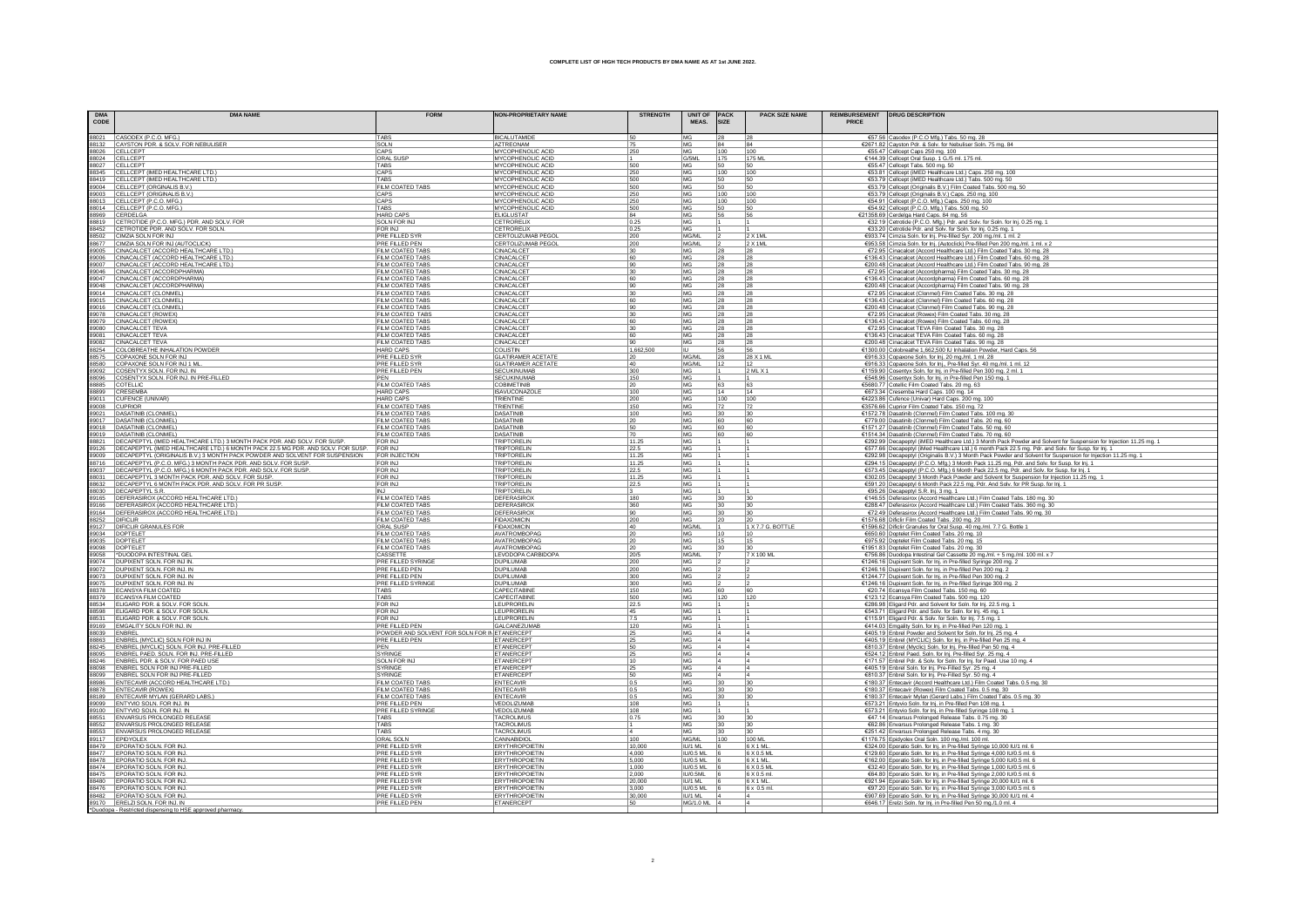| <b>DMA</b><br>CODE | <b>DMA NAME</b>                                                                                                                         | <b>FORM</b>                                   | <b>NON-PROPRIETARY NAME</b>                    | <b>STRENGTH</b> | UNIT OF PACK<br>MFAS.               | SIZE       | <b>PACK SIZE NAME</b><br>PRICE | REIMBURSEMENT   DRUG DESCRIPTION                                                                                                                                                                                                         |
|--------------------|-----------------------------------------------------------------------------------------------------------------------------------------|-----------------------------------------------|------------------------------------------------|-----------------|-------------------------------------|------------|--------------------------------|------------------------------------------------------------------------------------------------------------------------------------------------------------------------------------------------------------------------------------------|
|                    | 88021 CASODEX (P.C.O. MFG.)                                                                                                             | TABS                                          | <b>BICALUTAMIDE</b>                            | 50              | MG                                  |            | 28                             | €57.56 Casodex (P.C.O Mfg.) Tabs. 50 mg. 28                                                                                                                                                                                              |
|                    | 88132 CAYSTON PDR. & SOLV. FOR NEBULISER                                                                                                | SOLN                                          | AZTREONAM                                      | 75              | MG                                  | 84         | 84                             | €2671.82 Cayston Pdr. & Solv. for Nebuliser Soln. 75 mg. 84                                                                                                                                                                              |
|                    | 88026 CELLCEPT<br>88024 CELLCEPT                                                                                                        | CAPS<br>ORAL SUSE                             | MYCOPHENOLIC ACID<br>MYCOPHENOLIC ACID         | 250             | MG<br>G/5ML                         | 100<br>175 | 100<br>175 ML                  | €55.47 Cellcept Caps 250 mg. 100<br>€144.39 Cellcept Oral Susp. 1 G./5 ml. 175 ml                                                                                                                                                        |
|                    | 88027 CELLCEPT                                                                                                                          | TABS                                          | MYCOPHENOLIC ACID                              | 500             | MG                                  | 50         | 50                             | €55.47 Cellcept Tabs. 500 mg. 50                                                                                                                                                                                                         |
|                    | 88345 CELLCEPT (IMED HEALTHCARE LTD.)                                                                                                   | CAPS                                          | MYCOPHENOLIC ACID                              | 250             | MG                                  | 100        | 100                            | €53.81 Cellcept (iMED Healthcare Ltd.) Caps. 250 mg. 100                                                                                                                                                                                 |
|                    | 88419 CELLCEPT (IMED HEALTHCARE LTD.)                                                                                                   | TABS                                          | MYCOPHENOLIC ACID                              | 500             | MG                                  | 50         | 50                             | €53.79 Cellcept (iMED Healthcare Ltd.) Tabs. 500 mg. 50                                                                                                                                                                                  |
|                    | 89004 CELLCEPT (ORGINALIS B.V.)                                                                                                         | FILM COATED TABS                              | MYCOPHENOLIC ACID                              | 500             | MG                                  | 50         | 50                             | €53.79 Cellcept (Originalis B.V.) Film Coated Tabs. 500 mg. 50                                                                                                                                                                           |
|                    | 89003 CELLCEPT (ORIGINALIS B.V.<br>88013 CELLCEPT (P.C.O. MFG.)                                                                         | CAPS<br>CAPS                                  | MYCOPHENOLIC ACID<br>MYCOPHENOLIC ACID         | 250<br>250      | MG<br>MG                            | 100<br>100 | 100<br>100                     | €53.79 Cellcept (Originalis B.V.) Caps. 250 mg. 100<br>€54.91 Cellcept (P.C.O. Mfg.) Caps. 250 mg. 100                                                                                                                                   |
|                    | 88014 CELLCEPT (P.C.O. MFG.)                                                                                                            | TABS                                          | MYCOPHENOLIC ACID                              | 500             | MG                                  | 50         | 50                             | €54.92 Cellcept (P.C.O. Mfg.) Tabs. 500 mg. 50                                                                                                                                                                                           |
|                    | 88969 CERDELGA                                                                                                                          | <b>HARD CAPS</b>                              | <b>ELIGLUSTAT</b>                              | 84              | MG                                  |            | 56                             | €21358.69 Cerdelga Hard Caps. 84 mg. 56                                                                                                                                                                                                  |
|                    | 88819 CETROTIDE (P.C.O. MFG.) PDR. AND SOLV. FOR                                                                                        | SOLN FOR INJ                                  | CETRORELIX                                     | 0.25            | MG                                  |            |                                | €32.19 Cetrotide (P.C.O. Mfg.) Pdr. and Solv. for Soln. for lnj. 0.25 mg. 1                                                                                                                                                              |
|                    | 88452 CETROTIDE PDR. AND SOLV. FOR SOLN.                                                                                                | FOR INJ                                       | CETRORELIX                                     | 0.25            | MG                                  |            |                                | €33.20 Cetrotide Pdr. and Solv. for Soln. for Inj. 0.25 mg. 1                                                                                                                                                                            |
|                    | 88502 CIMZIA SOLN FOR INJ<br>88677 CIMZIA SOLN FOR INJ (AUTOCLICK)                                                                      | PRE FILLED SYR<br>PRE FILLED PEN              | CERTOLIZUMAB PEGOL<br>CERTOLIZUMAB PEGOL       | 200<br>200      | MG/ML<br>MG/ML                      |            | $2 \times 1$ ML<br>2 X 1ML     | €933.74 Cimzia Soln. for Inj. Pre-filled Syr. 200 mg./ml. 1 ml. 2                                                                                                                                                                        |
|                    | 89005 CINACALCET (ACCORD HEALTHCARE LTD.)                                                                                               | FILM COATED TABS                              | CINACALCET                                     | 30              | MG                                  | 28         | 28                             | €953.58 Cimzia Soln. for Inj. (Autoclick) Pre-filled Pen 200 mg./ml. 1 ml. x 2<br>€72.95 Cinacalcet (Accord Healthcare Ltd.) Film Coated Tabs. 30 mg. 28                                                                                 |
|                    | 89006 CINACALCET (ACCORD HEALTHCARE LTD.)                                                                                               | FILM COATED TABS                              | CINACALCET                                     | 60              | MG                                  | 28         | 28                             | €136.43 Cinacalcet (Accord Healthcare Ltd.) Film Coated Tabs. 60 mg. 28                                                                                                                                                                  |
|                    | 89007 CINACALCET (ACCORD HEALTHCARE LTD.)                                                                                               | FILM COATED TABS                              | CINACALCET                                     | 90              | MG                                  |            | 28                             | €200.48 Cinacalcet (Accord Healthcare Ltd.) Film Coated Tabs. 90 mg. 28                                                                                                                                                                  |
|                    | 89046 CINACALCET (ACCORDPHARMA)                                                                                                         | FILM COATED TABS                              | CINACALCET                                     | 30              | MG                                  | 28         | 28                             | €72.95 Cinacalcet (Accordpharma) Film Coated Tabs. 30 mg. 28                                                                                                                                                                             |
|                    | 89047 CINACALCET (ACCORDPHARMA)<br>89048 CINACALCET (ACCORDPHARMA)                                                                      | FILM COATED TABS<br>FILM COATED TABS          | CINACALCET                                     | 60<br>90        | MG<br>MG                            | 28         | 28                             | €136.43 Cinacalcet (Accordpharma) Film Coated Tabs. 60 mg. 28                                                                                                                                                                            |
|                    |                                                                                                                                         |                                               | CINACALCET                                     |                 |                                     | 28         | 28                             | €200.48 Cinacalcet (Accordpharma) Film Coated Tabs. 90 mg. 28                                                                                                                                                                            |
|                    | 89014 CINACALCET (CLONMEL)                                                                                                              | FILM COATED TABS<br>FILM COATED TABS          | CINACALCET<br><b>CINACALCET</b>                | 30<br>60        | MG<br>MG                            | 28         | 28<br>28                       | €72.95 Cinacalcet (Clonmel) Film Coated Tabs. 30 mg. 28<br>€136.43 Cinacalcet (Clonmel) Film Coated Tabs. 60 mg. 28                                                                                                                      |
|                    | 89015 CINACALCET (CLONMEL)<br>89016 CINACALCET (CLONMEL)                                                                                | FILM COATED TABS                              | CINACALCET                                     | 90              | MG                                  | 28         | 28                             | €200.48 Cinacalcet (Clonmel) Film Coated Tabs. 90 mg. 28                                                                                                                                                                                 |
|                    |                                                                                                                                         | FILM COATED TABS                              | CINACALCET                                     | 30              | MG                                  | 28         | 28                             | €72.95 Cinacalcet (Rowex) Film Coated Tabs. 30 mg. 28                                                                                                                                                                                    |
|                    | 89078 CINACALCET (ROWEX)<br>89079 CINACALCET (ROWEX)<br>89080 CINACALCET TEVA                                                           | FILM COATED TABS                              | CINACALCET                                     | 60              | MG                                  |            | $\frac{28}{28}$                | €136.43 Cinacalcet (Rowex) Film Coated Tabs. 60 mg. 28                                                                                                                                                                                   |
|                    |                                                                                                                                         | <b>FILM COATED TABS</b>                       | CINACALCE <sup>-</sup>                         |                 | MG                                  | 28         |                                | €72.95 Cinacalcet TEVA Film Coated Tabs. 30 mg. 28                                                                                                                                                                                       |
|                    | 89081 CINACALCET TEVA<br>89082 CINACALCET TEVA                                                                                          | FILM COATED TABS<br>FILM COATED TABS          | CINACALCET<br>CINACALCET                       | 60              | MG<br>MG                            | 28<br>28   | 28<br>28                       | €136.43 Cinacalcet TEVA Film Coated Tabs. 60 mg. 28<br>€200.48 Cinacalcet TEVA Film Coated Tabs. 90 mg. 28                                                                                                                               |
|                    | 88254 COLOBREATHE INHALATION POWDER                                                                                                     | <b>HARD CAPS</b>                              | COLISTIN                                       | 1,662,500       |                                     |            | 56                             | €1300.00 Colobreathe 1,662,500 IU Inhalation Powder, Hard Caps. 56                                                                                                                                                                       |
|                    | 88575 COPAXONE SOLN FOR INJ<br>88580 COPAXONE SOLN FOR INJ 1 ML                                                                         | PRE FILLED SYR                                | <b>GLATIRAMER ACETATE</b>                      |                 | MG/ML                               | 28         | 28 X 1 ML                      | €916.33 Copaxone Soln. for lnj. 20 mg./ml. 1 ml. 28                                                                                                                                                                                      |
|                    |                                                                                                                                         | <b>PRE FILLED SYR</b>                         | <b>GLATIRAMER ACETATE</b>                      | 40              | MG/ML                               | 12         |                                | €916.33 Copaxone Soln. for Inj., Pre-filled Syr. 40 mg./ml. 1 ml. 12                                                                                                                                                                     |
|                    | 89092 COSENTYX SOLN. FOR INJ. IN                                                                                                        | PRE FILLED PEN                                | <b>SECUKINUMAB</b>                             | 300             | MG                                  |            | 2 ML X 1                       | €1159.90 Cosentyx Soln. for Inj. in Pre-filled Pen 300 mg. 2 ml. 1                                                                                                                                                                       |
|                    | 88096 COSENTYX SOLN. FOR INJ. IN PRE-FILLED                                                                                             | PFN                                           | <b>SECUKINUMAE</b><br>COBIMETINIE              | 150             | MG<br>MG                            |            |                                | €548.96 Cosentyx Soln. for Inj. in Pre-filled Pen 150 mg. 1                                                                                                                                                                              |
|                    | 88885 COTELLIC<br>88899 CRESEMBA                                                                                                        | FILM COATED TABS<br><b>HARD CAPS</b>          | <b>ISAVUCONAZOL</b>                            | 20<br>100       | MG                                  | 63<br>14   | 63<br>14                       | €5680.77 Cotellic Film Coated Tabs. 20 mg. 63<br>€673.34 Cresemba Hard Caps. 100 mg. 14                                                                                                                                                  |
|                    | 89011 CUFENCE (UNIVAR)                                                                                                                  | <b>HARD CAPS</b>                              | <b>TRIENTINE</b>                               | 200             | MG                                  | 100        | 100                            |                                                                                                                                                                                                                                          |
| 89008 CUPRIOR      |                                                                                                                                         | FILM COATED TABS                              | TRIENTINE                                      | 150             | MG                                  | 72         | 72                             | €4223.86 Cufence (Univar) Hard Caps. 200 mg. 100<br>€3576.66 Cuprior Film Coated Tabs. 150 mg. 72                                                                                                                                        |
|                    | 89021 DASATINIB (CLONMEL)                                                                                                               | FILM COATED TABS                              | <b>DASATINIE</b>                               | 100             | <b>MG</b>                           | 30         | 30                             | €1572.78 Dasatinib (Clonmel) Film Coated Tabs. 100 mg. 30                                                                                                                                                                                |
|                    | 89017   DASATINIB (CLONMEL)                                                                                                             | FILM COATED TABS                              | <b>DASATINIR</b>                               | 20              | MG                                  | l 60       | 60                             | €779.00 Dasatinib (Clonmel) Film Coated Tabs. 20 mg. 60                                                                                                                                                                                  |
|                    | 89018   DASATINIB (CLONMEL)<br>89019   DASATINIB (CLONMEL)                                                                              | FILM COATED TABS<br><b>FILM COATED TABS</b>   | <b>DASATINIB</b><br><b>DASATINIB</b>           | 50<br>70        | MG<br>MG                            | 60         | 60<br>60                       | €1571.27 Dasatinib (Clonmel) Film Coated Tabs. 50 mg. 60                                                                                                                                                                                 |
|                    | 88821   DECAPEPTYL (IMED HEALTHCARE LTD.) 3 MONTH PACK PDR. AND SOLV. FOR SUSP.                                                         | <b>FOR INJ</b>                                | <b>TRIPTORELIN</b>                             | 11.25           | MG                                  |            |                                | €1514.34 Dasatinib (Clonmel) Film Coated Tabs. 70 mg. 60                                                                                                                                                                                 |
|                    | 89126 DECAPEPTYL (IMED HEALTHCARE LTD.) 6 MONTH PACK 22.5 MG PDR. AND SOLV. FOR SUSP.                                                   | <b>FOR INJ</b>                                | TRIPTORELIN                                    | 22.5            | MG                                  |            |                                | €292.99 Decapeptyl (iMED Healthcare Ltd.) 3 Month Pack Powder and Solvent for Suspension for Injection 11.25 mg. 1<br>€577.66 Decapeptyl (iMed Healthcare Ltd.) 6 month Pack 22.5 mg. Pdr. and Solv. for Susp. for Inj. 1                |
|                    | 89009 DECAPEPTYL (ORIGINALIS B.V.) 3 MONTH PACK POWDER AND SOLVENT FOR SUSPENSION                                                       | FOR INJECTION                                 | <b>TRIPTORELIN</b>                             | 11.25           | MG                                  |            |                                | €292.98 Decapeptyl (Originalis B.V.) 3 Month Pack Powder and Solvent for Suspension for Injection 11.25 mg. 1                                                                                                                            |
|                    | 88716 DECAPEPTYL (P.C.O. MFG.) 3 MONTH PACK PDR. AND SOLV. FOR SUSP 89037 DECAPEPTYL (P.C.O. MFG.) 6 MONTH PACK PDR. AND SOLV. FOR SUSP | <b>FOR INJ</b>                                | <b>TRIPTORELIN</b>                             | 11.25           | MG                                  |            |                                | <u>€294.15   Decapeptvl (P.C.O. Mfg.) 3 Month Pack 11.25 mg. Pdr. and Solv. for Susp. for Inj. 1</u><br>€573.45   Decapeptvl (P.C.O. Mfg.) 6 Month Pack 22.5 mg. Pdr. and Solv. for Susp. for Inj. 1<br>€302.05   Decapeptvl 3 Month Pac |
|                    | 88031 DECAPEPTYL 3 MONTH PACK PDR. AND SOLV. FOR SUSP.                                                                                  | <b>FOR INJ</b><br><b>FOR INJ</b>              | TRIPTORELIN<br>TRIPTORELIN                     | 22.5<br>11.25   | MG<br>MG                            |            |                                |                                                                                                                                                                                                                                          |
|                    | 88632 DECAPEPTYL 6 MONTH PACK PDR. AND SOLV. FOR PR SUSP                                                                                | FOR INJ                                       | TRIPTORELIN                                    | 22.5            | MG                                  |            |                                | €591.20 Decapeptyl 6 Month Pack 22.5 mg. Pdr. And Solv. for PR Susp. for lnj. 1                                                                                                                                                          |
|                    | 88030 DECAPEPTYL S.R.                                                                                                                   |                                               | TRIPTORELIN                                    |                 | MG                                  |            |                                | C95.26 Decapeptyl S.R. Inj. 3 mg. 1<br>€146.55 Deferasirox (Accord Healthcare Ltd.) Film Coated Tabs. 180 mg. 30                                                                                                                         |
|                    | 89165 DEFERASIROX (ACCORD HEALTHCARE LTD.)                                                                                              | FILM COATED TABS                              | DEFERASIRO)                                    | 180             | <b>MG</b>                           |            |                                |                                                                                                                                                                                                                                          |
|                    | 89166 DEFERASIROX (ACCORD HEALTHCARE LTD.)<br>89164 DEFERASIROX (ACCORD HEALTHCARE LTD.)<br>88252 DIFICLIR                              | FILM COATED TABS                              | DEFERASIRO)                                    | 360             | MG                                  | 30         | 30                             | €288.47 Deferasirox (Accord Healthcare Ltd.) Film Coated Tabs. 360 mg. 30                                                                                                                                                                |
|                    |                                                                                                                                         | FILM COATED TABS                              | DEFERASIRO)                                    | 90              | MG                                  |            |                                | €72.49 Deferasirox (Accord Healthcare Ltd.) Film Coated Tabs. 90 mg. 30<br>€1576.68 Dificlir Film Coated Tabs. 200 mg. 20                                                                                                                |
|                    | 89127 DIFICLIR GRANULES FOR                                                                                                             | FILM COATED TABS<br><b>ORAL SUSP</b>          | <b>FIDAXOMICIN</b><br><b>FIDAXOMICIN</b>       | 200             | MG<br>MG/ML                         |            | 1 X 7.7 G. BOTTLE              |                                                                                                                                                                                                                                          |
|                    | 89034 DOPTELET                                                                                                                          | FILM COATED TABS                              | AVATROMBOPAC                                   | 40<br>20        | MG                                  |            |                                | €1596.62 Dificlir Granules for Oral Susp. 40 mg/ml. 7.7 G. Bottle 1<br>€650.60 Doptelet Film Coated Tabs. 20 mg. 10                                                                                                                      |
|                    | 89035 DOPTELET                                                                                                                          | FILM COATED TABS                              | AVATROMBOPAC                                   | 20              | <b>MG</b>                           | 15         | 15                             | €975.92 Doptelet Film Coated Tabs. 20 mg. 15                                                                                                                                                                                             |
|                    | 89098 DOPTELET                                                                                                                          | FILM COATED TABS                              | AVATROMBOPAG                                   | 20              | MG                                  |            | 130                            | €1951.83 Doptelet Film Coated Tabs. 20 mg. 30                                                                                                                                                                                            |
|                    | 89058 DUODOPA INTESTINAL GEL                                                                                                            | CASSETTE                                      | LEVODOPA CARBIDOPA                             | 20/5            | MG/ML                               |            | 7 X 100 ML                     | €756.86 Duodopa Intestinal Gel Cassette 20 mg/ml. + 5 mg/ml. 100 ml. x 7                                                                                                                                                                 |
|                    | 89074 DUPIXENT SOLN. FOR INJ IN.                                                                                                        | PRE FILLED SYRINGE                            | <b>DUPILUMAB</b>                               | 200             | MG                                  |            |                                | €1246.16 Dupixent Soln. for Inj. in Pre-filled Syringe 200 mg. 2                                                                                                                                                                         |
|                    | 89072 DUPIXENT SOLN. FOR INJ. IN<br>89073 DUPIXENT SOLN. FOR INJ. IN                                                                    | PRE FILLED PEN<br>PRE FILLED PEN              | <b>DUPILUMAB</b><br><b>DUPILUMAE</b>           | 200<br>300      | <b>MG</b><br>MG                     |            |                                | €1246.16 Dupixent Soln. for Inj. in Pre-filled Pen 200 mg. 2<br>€1244.77 Dupixent Soln. for Inj. in Pre-filled Pen 300 mg. 2                                                                                                             |
|                    | 89075 DUPIXENT SOLN. FOR INJ. IN                                                                                                        | PRE FILLED SYRINGE                            | <b>DUPILUMAB</b>                               | 300             | MG                                  |            |                                | €1246.16 Dupixent Soln. for Inj. in Pre-filled Syringe 300 mg. 2                                                                                                                                                                         |
|                    | 88378 ECANSYA FILM COATED                                                                                                               | TABS                                          | CAPECITABINE                                   | 150             | MG                                  |            | 60                             | €20.74 Ecansya Film Coated Tabs. 150 mg. 60                                                                                                                                                                                              |
|                    | 88379 ECANSYA FILM COATED                                                                                                               | TABS                                          | CAPECITABINE                                   | 500             | MG                                  | 120        | 120                            | €123.12 Ecansya Film Coated Tabs. 500 mg. 120                                                                                                                                                                                            |
|                    | 88534 ELIGARD PDR. & SOLV. FOR SOLN.                                                                                                    | FOR INJ                                       | LEUPRORELIN                                    | 22.5            | MG                                  |            |                                | €286.98 Eligard Pdr. and Solvent for Soln. for Inj. 22.5 mg. 1                                                                                                                                                                           |
|                    | 88598 ELIGARD PDR. & SOLV. FOR SOLN.                                                                                                    | FOR INJ<br>FOR INJ                            | LEUPRORELIN<br>LEUPRORELIN                     | 45              | MG<br>MG                            |            |                                | €543.71 Eligard Pdr. and Solv. for Soln. for Inj. 45 mg. 1                                                                                                                                                                               |
|                    | 88531 ELIGARD PDR. & SOLV. FOR SOLN.<br>89169 EMGALITY SOLN FOR INJ. IN                                                                 | PRE FILLED PEN                                | <b>GALCANEZUMAE</b>                            | 7.5<br>120      | MG                                  |            |                                | €115.91 Eligard Pdr. & Solv. for Soln. for Inj. 7.5 mg. 1<br>€414.03 Emgality Soln. for Inj. in Pre-filled Pen 120 mg.                                                                                                                   |
| 88039 ENBREL       |                                                                                                                                         | POWDER AND SOLVENT FOR SOLN FOR IN ETANERCEPT |                                                | 25              | MG                                  |            |                                | €405.19 Enbrel Powder and Solvent for Soln. for Inj. 25 mg. 4                                                                                                                                                                            |
|                    | 88863 ENBREL (MYCLIC) SOLN FOR INJ IN                                                                                                   | PRE FILLED PEN                                | ETANERCEP                                      | 25              | MG                                  |            |                                | €405.19 Enbrel (MYCLIC) Soln. for Inj. in Pre-filled Pen 25 mg. 4                                                                                                                                                                        |
|                    | 88245 ENBREL (MYCLIC) SOLN. FOR INJ. PRE-FILLED                                                                                         | PEN                                           | <b>ETANERCEPT</b>                              | 50              | MG                                  |            |                                | €810.37 Enbrel (Myclic) Soln. for Inj. Pre-filled Pen 50 mg. 4                                                                                                                                                                           |
|                    | 88095 ENBREL PAED. SOLN. FOR INJ. PRE-FILLED                                                                                            | SYRINGE                                       | <b>ETANERCEPT</b>                              | 25              | MG                                  |            |                                | €524.12 Enbrel Paed. Soln. for Inj. Pre-filled Syr. 25 mg. 4                                                                                                                                                                             |
|                    | 88246 ENBREL PDR. & SOLV. FOR PAED USE                                                                                                  | SOLN FOR INJ<br>SYRINGE                       | ETANERCEPT                                     | 10              | MG                                  |            | 4                              | €171.57 Enbrel Pdr. & Solv. for Soln. for Inj. for Paed. Use 10 mg. 4                                                                                                                                                                    |
|                    | 88098 ENBREL SOLN FOR INJ PRE-FILLED<br>88099 ENBREL SOLN FOR INJ PRE-FILLED                                                            | SYRINGE                                       | <b>ETANERCEPT</b><br><b>ETANERCEPT</b>         | 25<br>50        | <b>MG</b><br>MG                     |            | 14                             | €405.19 Enbrel Soln. for Inj. Pre-Filled Syr. 25 mg. 4<br>€810.37 Enbrel Soln. for Inj. Pre-Filled Syr. 50 mg. 4                                                                                                                         |
|                    | 88986 ENTECAVIR (ACCORD HEALTHCARE LTD.)                                                                                                | FILM COATED TABS                              | <b>ENTECAVIR</b>                               | 0.5             | MG                                  | 30         | 30                             | €180.37 Entecavir (Accord Healthcare Ltd.) Film Coated Tabs. 0.5 mg. 30                                                                                                                                                                  |
|                    | 88878 ENTECAVIR (ROWEX)                                                                                                                 | FILM COATED TABS                              | <b>ENTECAVIR</b>                               | 0.5             | MG                                  | 30         | 30                             | €180.37 Entecavir (Rowex) Film Coated Tabs. 0.5 mg. 30                                                                                                                                                                                   |
|                    | 88189 ENTECAVIR MYLAN (GERARD LABS.)                                                                                                    | FILM COATED TABS                              | <b>ENTECAVIR</b>                               | 0.5             | MG                                  | 30         | 30                             | €180.37 Entecavir Mylan (Gerard Labs.) Film Coated Tabs. 0.5 mg. 30                                                                                                                                                                      |
|                    | 89099 ENTYVIO SOLN. FOR INJ. IN                                                                                                         | PRE FILLED PEN                                | VEDOLIZUMAB                                    | 108             | MG                                  |            |                                | €573.21 Entyvio Soln. for Inj. in Pre-filled Pen 108 mg. 1                                                                                                                                                                               |
|                    | 89100 ENTYVIO SOLN. FOR INJ. IN                                                                                                         | PRE FILLED SYRINGE<br>TABS                    | VEDOLIZUMAE<br><b>TACROLIMUS</b>               | 108             | MG<br>MG                            | 30         |                                | €573.21 Entyvio Soln. for Inj. in Pre-filled Syringe 108 mg. 1<br>€47.14 Envarsus Prolonged Release Tabs. 0.75 mg. 30                                                                                                                    |
|                    | 88551 ENVARSUS PROLONGED RELEASE<br>88552 ENVARSUS PROLONGED RELEASE                                                                    | TABS                                          | <b>TACROLIMUS</b>                              | 0.75            | MG                                  | 30         | 30<br>30                       | €62.86 Envarsus Prolonged Release Tabs. 1 mg. 30                                                                                                                                                                                         |
|                    | 88553 ENVARSUS PROLONGED RELEASE                                                                                                        | TABS                                          | <b>TACROLIMUS</b>                              |                 | MG                                  |            | 30                             | €251.42 Envarsus Prolonged Release Tabs. 4 mg. 30                                                                                                                                                                                        |
|                    | 89117 EPIDYOLEX                                                                                                                         | ORAL SOLN                                     | CANNABIDIOL                                    | 100             | MG/ML                               | 100        | 100 ML                         | €1176.75 Epidyolex Oral Soln. 100 mg./ml. 100 ml.                                                                                                                                                                                        |
|                    | 88479 EPORATIO SOLN. FOR INJ                                                                                                            | PRE FILLED SYR                                | ERYTHROPOIETIN                                 | 10,000          | <b>ILI/1 MI</b>                     |            | 6 X 1 ML                       | €324.00 Eporatio Soln. for Inj. in Pre-filled Syringe 10,000 IU/1 ml. 6                                                                                                                                                                  |
|                    | 88477 EPORATIO SOLN. FOR INJ                                                                                                            | PRE FILLED SYR                                | <b>ERYTHROPOIETIN</b>                          | 4,000           | <b>IU/0.5 ML</b>                    |            | 6 X 0.5 ML                     | €129.60 Eporatio Soln. for Inj. in Pre-filled Syringe 4,000 IU/0.5 ml. 6                                                                                                                                                                 |
|                    | 88478 EPORATIO SOLN. FOR INJ                                                                                                            | PRE FILLED SYR                                | <b>ERYTHROPOIETIN</b>                          | 5,000           | <b>IU/0.5 ML</b>                    |            | 6 X 1 ML                       | €162.00 Eporatio Soln. for Inj. in Pre-filled Syringe 5,000 IU/0.5 ml. 6                                                                                                                                                                 |
|                    | 88474 EPORATIO SOLN. FOR INJ<br>88475 EPORATIO SOLN. FOR INJ                                                                            | PRE FILLED SYR<br>PRE FILLED SYR              | <b>ERYTHROPOIETIN</b><br><b>ERYTHROPOIETIN</b> | 1,000<br>2,000  | <b>IU/0.5 ML</b><br><b>IU/0.5ML</b> |            | 6 X 0.5 MI<br>6 X 0.5 ml       | €32.40 Eporatio Soln. for Inj. in Pre-filled Syringe 1,000 IU/0.5 ml. 6<br>€64.80 Eporatio Soln. for Inj. in Pre-filled Syringe 2,000 IU/0.5 ml. 6                                                                                       |
|                    | 88480 EPORATIO SOLN. FOR INJ                                                                                                            | PRE FILLED SYR                                | <b>ERYTHROPOIETIN</b>                          | 20,000          | IU/1 ML                             |            | 6 X 1 ML                       | €921.94 Eporatio Soln. for Inj. in Pre-filled Syringe 20,000 IU/1 ml. 6                                                                                                                                                                  |
|                    |                                                                                                                                         | PRE FILLED SYR                                | <b>ERYTHROPOIETIN</b>                          | 3,000           | IU/0.5 ML                           |            | 6 x 0.5 ml.                    | €97.20 Eporatio Soln. for Inj. in Pre-filled Syringe 3,000 IU/0.5 ml. 6                                                                                                                                                                  |
|                    | 88476 EPORATIO SOLN. FOR INJ.<br>88482 EPORATIO SOLN. FOR INJ.<br>89170 ERELZI SOLN. FOR INJ. IN                                        | PRE FILLED SYR                                | <b>ERYTHROPOIETIN</b>                          | 30,000          | IU/1 ML                             |            |                                | €907.69 Eporatio Soln. for Inj. in Pre-filled Syringe 30,000 IU/1 ml. 4                                                                                                                                                                  |
|                    |                                                                                                                                         | PRE FILLED PEN                                | ETANERCEPT                                     | 50              | MG/1.0 ML 4                         |            |                                | €646.17 Erelzi Soln. for Inj. in Pre-filled Pen 50 mg./1.0 ml. 4                                                                                                                                                                         |
|                    |                                                                                                                                         |                                               |                                                |                 |                                     |            |                                |                                                                                                                                                                                                                                          |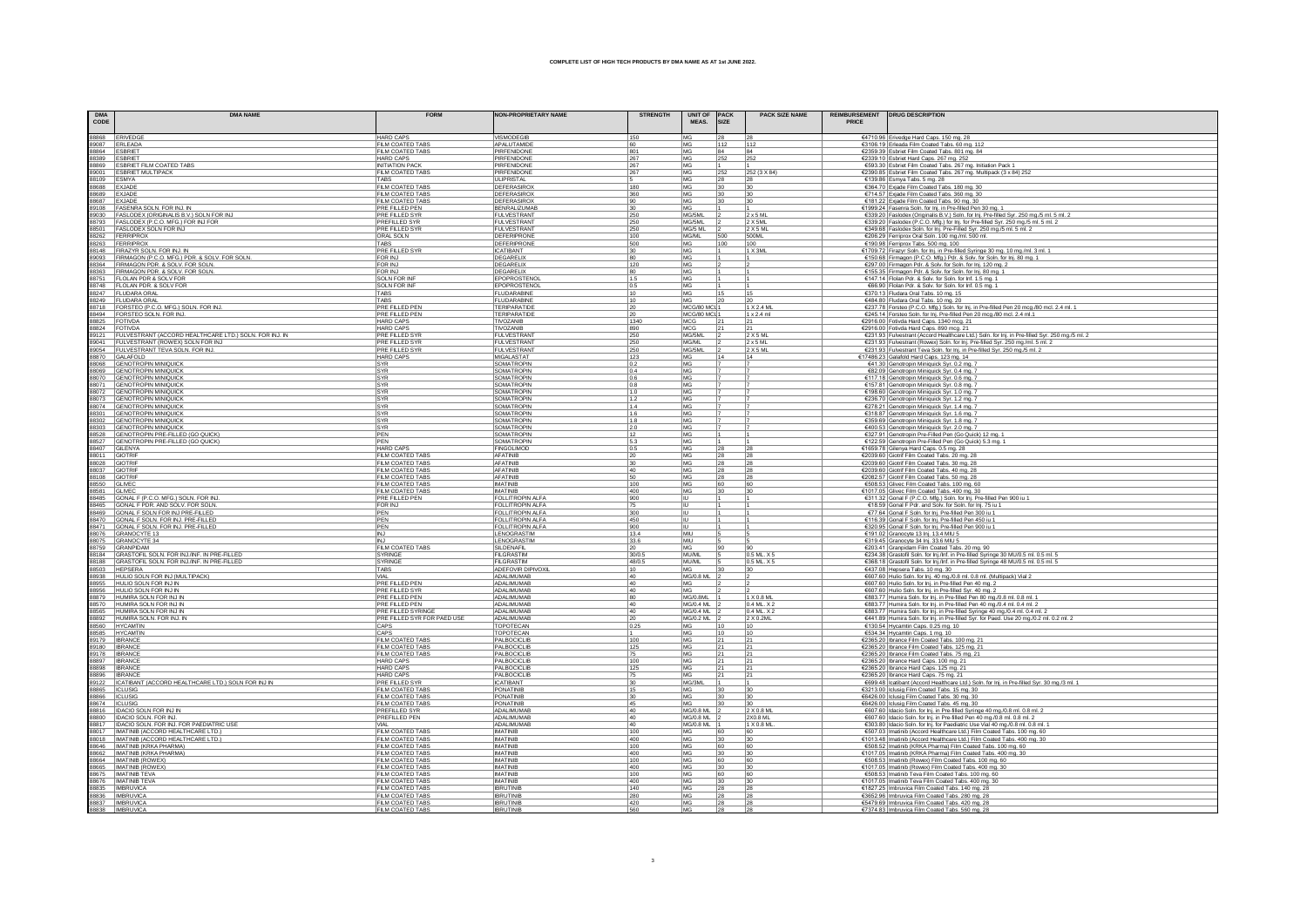| <b>DMA</b> | <b>DMA NAME</b>                                                                                                                                                                                                                                                                                                                      | <b>FORM</b>                                | <b>NON-PROPRIETARY NAME</b>                        | <b>STRENGTH</b>   | <b>UNIT OF</b>         | <b>PACK</b>           | <b>PACK SIZE NAME</b>            |              | REIMBURSEMENT   DRUG DESCRIPTION                                                                                                                                                 |
|------------|--------------------------------------------------------------------------------------------------------------------------------------------------------------------------------------------------------------------------------------------------------------------------------------------------------------------------------------|--------------------------------------------|----------------------------------------------------|-------------------|------------------------|-----------------------|----------------------------------|--------------|----------------------------------------------------------------------------------------------------------------------------------------------------------------------------------|
| CODE       |                                                                                                                                                                                                                                                                                                                                      |                                            |                                                    |                   | MEAS.                  | <b>SIZE</b>           |                                  | <b>PRICE</b> |                                                                                                                                                                                  |
|            | 38868<br>19868 ERIVEDGE<br>19868 ESBRET<br>19889 ESBRET FLMCOATED TABS<br>19869 ESBRET FLMCOATED TABS<br>19901 ISBN 2004<br>19902 EXADE<br>19902 FASLODEX ORIGINALS BV.) SOLN FOR IND<br>19902 FASLODEX ORIGINALS BV.) SOLN FOR IND<br>19902 FAS                                                                                     | <b>HARD CAPS</b>                           | <b>VISMODEGIB</b>                                  | 150               | MG                     |                       |                                  |              | €4710.96 Erivedge Hard Caps. 150 mg. 28                                                                                                                                          |
|            |                                                                                                                                                                                                                                                                                                                                      | <b>FILM COATED TABS</b>                    | APALUTAMIDE                                        | 60                | MG                     | 112                   | 1112                             |              | €3106.19 Erleada Film Coated Tabs. 60 mg. 112                                                                                                                                    |
|            |                                                                                                                                                                                                                                                                                                                                      | FILM COATED TABS                           | PIRFENIDON                                         | 801               | MG                     | 84                    | 84                               |              | €2359.39 Esbriet Film Coated Tabs. 801 mg. 84                                                                                                                                    |
|            |                                                                                                                                                                                                                                                                                                                                      | HARD CAPS                                  | PIREENIDON                                         | 267               | MG                     | 252                   | 252                              |              | €2339.10 Esbriet Hard Caps. 267 mg. 252                                                                                                                                          |
|            |                                                                                                                                                                                                                                                                                                                                      | <b>INITIATION PACK</b>                     | PIRFENIDONE                                        | 267<br>267        | MG<br>MG               | 252                   |                                  |              | €593.30 Esbriet Film Coated Tabs. 267 mg. Initiation Pack 1                                                                                                                      |
|            |                                                                                                                                                                                                                                                                                                                                      | FILM COATED TABS<br>TABS                   | PIRFENIDONE<br><b>ULIPRISTA</b>                    |                   | MG                     | 28                    | 252 (3 X 84)                     |              | €2390.85 Esbriet Film Coated Tabs. 267 mg. Multipack (3 x 84) 252<br>€139.86 Esmya Tabs. 5 mg. 28                                                                                |
|            |                                                                                                                                                                                                                                                                                                                                      | FILM COATED TABS                           | DEFERASIRO>                                        | 180               | MG                     | 30                    | 130                              |              | €364.70 Exjade Film Coated Tabs. 180 mg. 30                                                                                                                                      |
|            |                                                                                                                                                                                                                                                                                                                                      | FILM COATED TABS                           | DEFERASIROX                                        | 360               | MG                     | 30 <sub>2</sub>       | 30                               |              | €714.57 Exjade Film Coated Tabs. 360 mg. 30                                                                                                                                      |
|            |                                                                                                                                                                                                                                                                                                                                      | FILM COATED TABS                           | DEFERASIROX                                        | 90                | MG                     | 30                    | 30                               |              | €181.22 Exjade Film Coated Tabs. 90 mg. 30                                                                                                                                       |
|            |                                                                                                                                                                                                                                                                                                                                      | PRE FILLED PEN                             | <b>BENRALIZUMAB</b>                                | 30                | MG<br>MG/5ML           |                       |                                  |              | €1999.24 Fasenra Soln. for Inj. in Pre-filled Pen 30 mg. 1                                                                                                                       |
|            |                                                                                                                                                                                                                                                                                                                                      | PRE FILLED SYR<br>PREFILLED SYR            | <b>FULVESTRANT</b><br><b>FULVESTRANT</b>           | 250<br>250        | MG/5ML                 |                       | $2 \times 5 M$<br>$2 \times 5ML$ |              | €339.20 Faslodex (Originalis B.V.) Soln. for Inj. Pre-filled Syr. 250 mg./5 ml. 5 ml. 2<br>€339.20 Faslodex (P.C.O. Mfg.) for Inj. for Pre-filled Syr. 250 mg./5 ml. 5 ml. 2     |
|            |                                                                                                                                                                                                                                                                                                                                      | <b>PRE FILLED SYR</b>                      | FULVESTRANT                                        | 250               | MG/5 ML                |                       | 2 X 5 ML                         |              | €349.68 Faslodex Soln. for Inj. Pre-Filled Syr. 250 mg./5 ml. 5 ml. 2                                                                                                            |
|            |                                                                                                                                                                                                                                                                                                                                      | ORAL SOLN                                  | <b>DEFERIPRONE</b>                                 | 100               | MG/ML                  | 500                   | 500ML                            |              | €206.29 Ferriprox Oral Soln. 100 mg./ml. 500 ml.                                                                                                                                 |
|            |                                                                                                                                                                                                                                                                                                                                      | <b>TARS</b>                                | DEFERIPRONE                                        | 500               | MG                     | 100                   | 100                              |              | €190.98 Ferriprox Tabs. 500 mg. 100                                                                                                                                              |
|            |                                                                                                                                                                                                                                                                                                                                      | PRE FILLED SYR<br><b>FOR INJ</b>           | <b>ICATIBANT</b><br>DEGARELIX                      | 30<br>80          | MG<br>MG               |                       | 1 X 3ML                          |              | €1709.72 Firazyr Soln. for Inj. in Pre-filled Syringe 30 mg. 10 mg./ml. 3 ml. 1                                                                                                  |
|            | 89093 FIRMAGON (P.C.O. MFG.) PDR. & SOLV. FOR SOLN.<br>88364 FIRMAGON PDR. & SOLV. FOR SOLN.                                                                                                                                                                                                                                         | FOR INJ                                    | DEGARELIX                                          | 120               | MG                     |                       |                                  |              | €150.68 Firmagon (P.C.O. Mfg.) Pdr. & Solv. for Soln. for Inj. 80 mg. 1<br>€297.00 Firmagon Pdr. & Solv. for Soln. for Inj. 120 mg. 2                                            |
|            | 98363 FIRMAGON PDR. & SOLV. FOR SOLN.<br>88751 FLOLAN PDR. & SOLV. FOR SOLN.<br>88748 FLOLAN PDR. & SOLV. FOR SOLN.<br>88247 FLUDARA ORAL                                                                                                                                                                                            | FOR INJ                                    | DEGARELIX                                          | 80                | MG                     |                       |                                  |              | €155.35 Firmagon Pdr. & Solv. for Soln. for Inj. 80 mg. 1                                                                                                                        |
|            |                                                                                                                                                                                                                                                                                                                                      | SOLN FOR INF                               | EPOPROSTENOL                                       | $1.5$             | MG                     |                       |                                  |              | €147.14 Flolan Pdr. & Solv. for Soln. for Inf. 1.5 mg. 1                                                                                                                         |
|            |                                                                                                                                                                                                                                                                                                                                      | <b>SOLN FOR INF</b>                        | EPOPROSTENOL                                       | 0.5               | MG                     |                       |                                  |              | €66.90 Flolan Pdr. & Solv. for Soln. for Inf. 0.5 mg. 1                                                                                                                          |
|            |                                                                                                                                                                                                                                                                                                                                      | TABS<br>TABS                               | <b>FLUDARABINE</b><br>FLUDARABINE                  | 10<br>10          | MG<br>MG               |                       | 15                               |              | €370.13 Fludara Oral Tabs. 10 mg. 15<br>€484.80 Fludara Oral Tabs. 10 mg. 20                                                                                                     |
|            |                                                                                                                                                                                                                                                                                                                                      | PRE FILLED PEN                             | TERIPARATIDE                                       | 20                | MCG/80 MCI 1           |                       | 1 X 2.4 ML                       |              | €237.78 Forsteo (P.C.O. Mfg.) Soln. for Inj. in Pre-filled Pen 20 mcg./80 mcl. 2.4 ml. 1                                                                                         |
|            |                                                                                                                                                                                                                                                                                                                                      | PRE FILLED PEN                             | TERIPARATIDE                                       | 20                | MCG/80 MCI             |                       | $1 \times 2.4$ ml                |              | €245.14 Forsteo Soln. for Inj. Pre-filled Pen 20 mcg./80 mcl. 2.4 ml.1                                                                                                           |
|            |                                                                                                                                                                                                                                                                                                                                      | <b>HARD CAPS</b>                           | TIVOZANIE                                          | 1340              | MCG                    |                       |                                  |              | €2916.00 Fotivda Hard Caps. 1340 mcg. 21                                                                                                                                         |
|            |                                                                                                                                                                                                                                                                                                                                      | <b>HARD CAPS</b>                           | TIVOZANIE                                          | 890               | MCG                    |                       |                                  |              | €2916.00 Fotivda Hard Caps. 890 mcg. 21                                                                                                                                          |
|            |                                                                                                                                                                                                                                                                                                                                      | PRE FILLED SYF<br><b>PRE FILLED SYR</b>    | <b>FULVESTRAN</b><br><b>FULVESTRAN</b>             | 250<br>250        | MG/5ML<br>MG/ML        |                       | 2 X 5 ML<br>$2 \times 5$ ML      |              | €231.93 Fulvestrant (Accord Healthcare Ltd.) Soln. for Inj. in Pre-filled Syr. 250 mg./5 ml. 2<br>€231.93 Fulvestrant (Rowex) Soln. for Inj. Pre-filled Syr. 250 mg./ml. 5 ml. 2 |
|            | 98247 - HUDARA ORAL<br>88249 - FORDETEO P.C.O. MFG.) SOLN. FOR INJ.<br>88494 - FORSTEO BOUN. FOR INJ.<br>88494 - FORSTEO BOUN. FOR INJ.<br>88251 - FULVESTRANT (ACCORD HEALTHCARE LTD.) SOLN. FOR INJ. IN<br>89041 - FULVESTRANT (ACCORD HEAL                                                                                        | PRE FILLED SYR                             | <b>FULVESTRAN</b>                                  | 250               | MG/5ML                 |                       | 2 X 5 M                          |              | €231.93 Fulvestrant Teva Soln. for Inj. in Pre-filled Syr. 250 mg./5 ml. 2                                                                                                       |
|            |                                                                                                                                                                                                                                                                                                                                      | <b>HARD CAPS</b>                           | <b>MIGALASTAT</b>                                  | 123               | MG                     |                       | 14                               |              | €17486.23 Galafold Hard Caps. 123 mg. 14                                                                                                                                         |
|            |                                                                                                                                                                                                                                                                                                                                      | SYR                                        | SOMATROPIN                                         | $\frac{0.2}{0.4}$ | MG                     |                       |                                  |              | €41.30 Genotropin Miniquick Syr. 0.2 mg. 7                                                                                                                                       |
|            |                                                                                                                                                                                                                                                                                                                                      | SYR                                        | <b>SOMATROPIN</b>                                  |                   | MG                     |                       |                                  |              | €82.09 Genotropin Miniquick Syr. 0.4 mg.                                                                                                                                         |
|            |                                                                                                                                                                                                                                                                                                                                      | SYR<br>SYR                                 | SOMATROPIN<br>SOMATROPIN                           | 0.6<br>0.8        | MG<br>MG               |                       |                                  |              | €117.18 Genotropin Miniquick Syr. 0.6 mg. 7<br>€157.81 Genotropin Miniquick Syr. 0.8 mg. 7                                                                                       |
|            |                                                                                                                                                                                                                                                                                                                                      | SYR                                        | SOMATROPIN                                         | 1.0               | MG                     |                       |                                  |              | €198.60 Genotropin Miniquick Syr. 1.0 mg. 7                                                                                                                                      |
|            |                                                                                                                                                                                                                                                                                                                                      | SYR                                        | SOMATROPIN                                         | 1.2               | MG                     |                       |                                  |              | €236.70 Genotropin Miniquick Syr. 1.2 mg. 7                                                                                                                                      |
|            |                                                                                                                                                                                                                                                                                                                                      | SYR                                        | SOMATROPIN                                         | 1.4               | MG                     |                       |                                  |              | €278.21 Genotropin Miniquick Syr. 1.4 mg. 7                                                                                                                                      |
|            |                                                                                                                                                                                                                                                                                                                                      | <b>SYR</b>                                 | SOMATROPIN                                         | 1.6               | MG                     |                       |                                  |              | €318.87 Genotropin Miniquick Syr. 1.6 mg.                                                                                                                                        |
|            |                                                                                                                                                                                                                                                                                                                                      | SYR<br>SYR                                 | SOMATROPIN<br>SOMATROPIN                           | 1.8<br>2.0        | MG<br>MG               |                       |                                  |              | €359.69 Genotropin Miniquick Syr. 1.8 mg. 7<br>€400.53 Genotropin Miniquick Syr. 2.0 mg. 7                                                                                       |
|            |                                                                                                                                                                                                                                                                                                                                      | PEN                                        | SOMATROPIN                                         | 12                | MG                     |                       |                                  |              | €327.91 Genotropin Pre-Filled Pen (Go Quick) 12 mg. 1                                                                                                                            |
|            |                                                                                                                                                                                                                                                                                                                                      | PEN                                        | SOMATROPIN                                         | 5.3               | MG                     |                       |                                  |              | €122.59 Genotropin Pre-Filled Pen (Go Quick) 5.3 mg. 1                                                                                                                           |
|            |                                                                                                                                                                                                                                                                                                                                      | <b>HARD CAPS</b>                           | <b>FINGOLIMOD</b>                                  | 0.5               | MG                     |                       |                                  |              | €1659.78 Gilenya Hard Caps. 0.5 mg. 28<br>€2039.60 Giotrif Film Coated Tabs. 20 mg. 28                                                                                           |
|            |                                                                                                                                                                                                                                                                                                                                      | FILM COATED TABS                           | AFATINIB                                           |                   | MG                     |                       |                                  |              |                                                                                                                                                                                  |
|            |                                                                                                                                                                                                                                                                                                                                      | FILM COATED TABS<br>FILM COATED TABS       | AFATINIB<br>AFATINIE                               | 30<br>40          | MG<br>MG               | 28<br>28              | 28<br> 28                        |              | €2039.60 Giotrif Film Coated Tabs. 30 mg. 28<br>€2039.60 Giotrif Film Coated Tabs. 40 mg. 28                                                                                     |
|            |                                                                                                                                                                                                                                                                                                                                      | FILM COATED TABS                           | AFATINIB                                           | 50                | MG                     | 28                    | 28                               |              | €2082.57 Giotrif Film Coated Tabs. 50 mg. 28                                                                                                                                     |
|            |                                                                                                                                                                                                                                                                                                                                      | FILM COATED TABS                           | <b>IMATINIB</b>                                    | 100               | MG                     | 60                    | 160                              |              | €508.53 Glivec Film Coated Tabs. 100 mg. 60                                                                                                                                      |
|            |                                                                                                                                                                                                                                                                                                                                      | FILM COATED TABS                           | <b>IMATINIB</b>                                    | 400               | MG                     | 30                    |                                  |              | €1017.05 Glivec Film Coated Tabs. 400 mg. 30                                                                                                                                     |
|            |                                                                                                                                                                                                                                                                                                                                      | <b>PRE FILLED PEN</b><br>FOR INJ           | <b>FOLLITROPIN ALFA</b><br><b>FOLLITROPIN ALFA</b> | 900<br>75         |                        |                       |                                  |              | €311.32 Gonal F (P.C.O. Mfg.) Soln. for Inj. Pre-filled Pen 900 iu 1                                                                                                             |
|            |                                                                                                                                                                                                                                                                                                                                      | PEN                                        | <b>FOLLITROPIN ALFA</b>                            | 300               | lυ                     |                       |                                  |              | €18.59 Gonal F Pdr. and Solv. for Soln. for Inj. 75 iu 1<br>€77.64 Gonal F Soln. for Inj. Pre-filled Pen 300 iu 1                                                                |
|            |                                                                                                                                                                                                                                                                                                                                      | PEN                                        | FOLLITROPIN ALFA                                   | 450               | lυ                     |                       |                                  |              | €116.39 Gonal F Soln. for Inj. Pre-filled Pen 450 iu 1                                                                                                                           |
|            |                                                                                                                                                                                                                                                                                                                                      | PEN                                        | FOLLITROPIN ALFA                                   | 900               |                        |                       |                                  |              | €320.95 Gonal F Soln. for Inj. Pre-filled Pen 900 iu 1                                                                                                                           |
|            |                                                                                                                                                                                                                                                                                                                                      | <b>INJ</b>                                 | LENOGRASTIM                                        | 13.4              | MIU                    |                       |                                  |              | €191.02 Granocyte 13 lnj. 13.4 MIU 5                                                                                                                                             |
|            |                                                                                                                                                                                                                                                                                                                                      |                                            | LENOGRASTIM                                        | 33.6              |                        |                       |                                  |              | €319.45 Granocyte 34 Inj. 33.6 MIU 5                                                                                                                                             |
|            |                                                                                                                                                                                                                                                                                                                                      | FILM COATED TABS<br>SYRINGE                | SILDENAFIL<br>FILGRASTIN                           | 20<br>30/0.5      | <b>MG</b><br>MU/ML     |                       | 190<br>0.5 ML X 5                |              | €203.41 Granpidam Film Coated Tabs. 20 mg. 90<br>€234.38 Grastofil Soln. for Inj./Inf. in Pre-filled Syringe 30 MU/0.5 ml. 0.5 ml. 5                                             |
|            |                                                                                                                                                                                                                                                                                                                                      | SYRINGE                                    | FILGRASTIM                                         | 48/0.5            | MU/ML                  |                       | 0.5 ML X 5                       |              | €368.18 Grastofil Soln. for Inj./Inf. in Pre-filled Syringe 48 MU/0.5 ml. 0.5 ml. 5                                                                                              |
|            |                                                                                                                                                                                                                                                                                                                                      | TABS                                       | ADEFOVIR DIPIVOXIL                                 | 10                | <b>MG</b>              |                       |                                  |              | €437.08 Hepsera Tabs. 10 mg. 30                                                                                                                                                  |
|            |                                                                                                                                                                                                                                                                                                                                      | VIAL                                       | ADALIMUMAB                                         | 40                | MG/0.8 ML              |                       |                                  |              | €607.60 Hulio Soln. for lnj. 40 mg./0.8 ml. 0.8 ml. (Multipack) Vial 2<br>€607.60 Hulio Soln. for lnj. in Pre-filled Pen 40 mg. 2                                                |
|            |                                                                                                                                                                                                                                                                                                                                      | PRE FILLED PEN<br>PRE FILLED SYR           | ADALIMUMAE<br>ADALIMUMAE                           | 40<br>40          | MG<br><b>MG</b>        |                       |                                  |              |                                                                                                                                                                                  |
|            |                                                                                                                                                                                                                                                                                                                                      | <b>PRE FILLED PEN</b>                      | ADALIMUMAE                                         | 80                | MG/0.8ML               |                       | 1 X 0.8 MI                       |              | €607.60 Hulio Soln. for Inj. in Pre-filled Syr. 40 mg. 2<br>€883.77 Humira Soln. for Inj. in Pre-filled Pen 80 mg./0.8 ml. 0.8 ml. 1                                             |
|            |                                                                                                                                                                                                                                                                                                                                      | PRE FILLED PEN                             | ADALIMUMAE                                         | 40                | <b>MG/0.4 ML</b>       |                       | 0.4 ML X 2                       |              |                                                                                                                                                                                  |
|            |                                                                                                                                                                                                                                                                                                                                      | <b>PRE FILLED SYRINGE</b>                  | ADALIMUMAB                                         | 40                | <b>MG/0.4 ML</b>       |                       | 0.4 ML X 2                       |              | €883.77 Humira Soln. for lnj. in Pre-filled Pen 40 mg./0.4 ml. 0.4 ml. 2<br>€883.77 Humira Soln. for lnj. in Pre-filled Syringe 40 mg./0.4 ml. 0.4 ml. 2                         |
|            |                                                                                                                                                                                                                                                                                                                                      | PRE FILLED SYR FOR PAED USE<br>CAPS        | ADALIMUMAB<br><b>TOPOTECAN</b>                     | 20<br>0.25        | MG/0.2 ML<br>MG        |                       | 2 X 0.2ML<br>10                  |              | €441.89 Humira Soln. for Inj. in Pre-filled Syr. for Paed. Use 20 mg./0.2 ml. 0.2 ml. 2                                                                                          |
|            |                                                                                                                                                                                                                                                                                                                                      | CAPS                                       | TOPOTECAN                                          |                   | MG                     | 10                    | 10                               |              | €130.54 Hycamtin Caps. 0.25 mg. 10                                                                                                                                               |
|            |                                                                                                                                                                                                                                                                                                                                      | FILM COATED TABS                           | PALBOCICLIE                                        | 100               | <b>MG</b>              | 21                    | 121                              |              | €534.34 Hycamtin Caps. 1 mg. 10<br>€2365.20 Ibrance Film Coated Tabs. 100 mg. 21                                                                                                 |
|            |                                                                                                                                                                                                                                                                                                                                      | FILM COATED TABS                           | PALBOCICLIB                                        | 125               | <b>MG</b>              | 21                    | 21                               |              | €2365.20 Ibrance Film Coated Tabs. 125 mg. 21                                                                                                                                    |
|            |                                                                                                                                                                                                                                                                                                                                      | FILM COATED TABS                           | PALBOCICLIB                                        | 75                | <b>MG</b>              | 21                    |                                  |              | €2365.20 Ibrance Film Coated Tabs. 75 mg. 21                                                                                                                                     |
|            |                                                                                                                                                                                                                                                                                                                                      | <b>HARD CAPS</b>                           | PALBOCICLIB                                        | 100               | MG                     | 21                    | 21                               |              | €2365.20 Ibrance Hard Caps. 100 mg. 21                                                                                                                                           |
|            | $\frac{38824}{9011} \cdot \frac{10700A}{101100A} \cdot \frac{10700B}{1011000A} \cdot \frac{1070B}{1011000A} \cdot \frac{1070B}{1011000A} \cdot \frac{1070B}{1011000A} \cdot \frac{1070B}{1011000A} \cdot \frac{1070B}{101000A} \cdot \frac{1070B}{101000A} \cdot \frac{1070B}{101000A} \cdot \frac{1070B}{101000A} \cdot \frac{1070$ | <b>HARD CAPS</b><br><b>HARD CAPS</b>       | PALBOCICLIB<br>PALBOCICLIB                         | 125<br>75         | MG<br>MG               | 21<br>21              | 21<br>21                         |              | €2365.20 Ibrance Hard Caps. 125 mg. 21                                                                                                                                           |
|            |                                                                                                                                                                                                                                                                                                                                      |                                            | <b>ICATIBANT</b>                                   | 30                | MG/3ML                 |                       |                                  |              | €2365.20 Ibrance Hard Caps. 75 mg. 21<br>€699.48 Icatibant (Accord Healthcare Ltd.) Soln. for Inj. in Pre-filled Syr. 30 mg./3 ml. 1                                             |
|            |                                                                                                                                                                                                                                                                                                                                      | <b>PRE FILLED SYR<br/>FILM COATED TABS</b> | PONATINIP                                          | 15                | MG                     | 30                    | 30                               |              | €3213.00 Iclusig Film Coated Tabs. 15 mg. 30                                                                                                                                     |
|            |                                                                                                                                                                                                                                                                                                                                      | FILM COATED TABS                           | PONATINIB                                          | 30                | MG                     | 30                    | 30                               |              | €6426.00 Iclusig Film Coated Tabs. 30 mg. 30                                                                                                                                     |
|            |                                                                                                                                                                                                                                                                                                                                      | FILM COATED TABS                           | PONATINIB                                          | 45                | <b>MG</b>              | 30                    | $30^{1}$                         |              | €6426.00 Iclusig Film Coated Tabs. 45 mg. 30                                                                                                                                     |
|            |                                                                                                                                                                                                                                                                                                                                      | <b>PREFILLED SYR</b><br>PREFILLED PEN      | ADALIMUMAE<br>ADALIMUMAE                           | 40<br>40          | MG/0.8 ML<br>MG/0.8 ML |                       | 2 X 0.8 MI<br>2X0.8 ML           |              | €607.60 Idacio Soln. for Inj. in Pre-filled Syringe 40 mg./0.8 ml. 0.8 ml. 2                                                                                                     |
|            |                                                                                                                                                                                                                                                                                                                                      | VIAI                                       | ADALIMUMAE                                         | 40                | MG/0.8 ML              |                       | 1 X 0.8 M                        |              | €607.60 Idacio Soln. for Inj. in Pre-filled Pen 40 mg./0.8 ml. 0.8 ml. 2<br>€303.80 Idacio Soln. for Inj. for Paediatric Use Vial 40 mg./0.8 ml. 0.8 ml. 1                       |
|            |                                                                                                                                                                                                                                                                                                                                      | FILM COATED TABS                           | <b>IMATINIR</b>                                    | 100               | MG                     | 60                    | 60                               |              | €507.03 Imatinib (Accord Healthcare Ltd.) Film Coated Tabs. 100 mg. 60                                                                                                           |
|            |                                                                                                                                                                                                                                                                                                                                      | FILM COATED TABS                           | <b>IMATINIR</b>                                    | 400               | MG                     | 30                    | 30                               |              | €1013.48 Imatinib (Accord Healthcare Ltd.) Film Coated Tabs. 400 mg. 30                                                                                                          |
|            |                                                                                                                                                                                                                                                                                                                                      | FILM COATED TABS                           | <b>IMATINIR</b>                                    | 100               | MG                     | 60                    | 60                               |              | €508.52 Imatinib (KRKA Pharma) Film Coated Tabs. 100 mg. 60                                                                                                                      |
|            |                                                                                                                                                                                                                                                                                                                                      | FILM COATED TABS<br>FILM COATED TABS       | <b>IMATINIB</b><br><b>IMATINIB</b>                 | 400<br>100        | MG<br>MG               | 30 <sub>2</sub><br>60 | 30<br>60                         |              | €1017.05 Imatinib (KRKA Pharma) Film Coated Tabs. 400 mg. 30                                                                                                                     |
|            |                                                                                                                                                                                                                                                                                                                                      | FILM COATED TABS                           | <b>IMATINIB</b>                                    | 400               | MG                     | 30                    | 30                               |              | €508.53 Imatinib (Rowex) Film Coated Tabs. 100 mg. 60<br>€1017.05 Imatinib (Rowex) Film Coated Tabs. 400 mg. 30                                                                  |
|            |                                                                                                                                                                                                                                                                                                                                      | FILM COATED TABS                           | <b>IMATINIR</b>                                    | 100               | MG                     | 60                    | 60                               |              | €508.53 Imatinib Teva Film Coated Tabs. 100 mg. 60                                                                                                                               |
|            |                                                                                                                                                                                                                                                                                                                                      | FILM COATED TABS                           | <b>IMATINIR</b>                                    | 400               | MG                     | 30                    | 30                               |              | €1017.05 Imatinib Teva Film Coated Tabs. 400 mg. 30                                                                                                                              |
|            |                                                                                                                                                                                                                                                                                                                                      | <b>FILM COATED TABS</b>                    | <b>IRRUTINE</b><br><b>IBRUTINE</b>                 | 140               | MG                     | 28                    | 28                               |              | €1827.25   Imbruvica Film Coated Tabs. 140 mg. 28                                                                                                                                |
|            |                                                                                                                                                                                                                                                                                                                                      | FILM COATED TABS<br>FILM COATED TABS       | <b>IBRUTINIB</b>                                   | 280<br>420        | MG<br>MG               | 28<br>28              | 28<br>28                         |              | €3652.96 Imbruvica Film Coated Tabs. 280 mg. 28<br>€5479.69 Imbruvica Film Coated Tabs. 420 mg. 28                                                                               |
|            |                                                                                                                                                                                                                                                                                                                                      |                                            |                                                    |                   | MAG                    |                       |                                  |              | €7374 83 Imbruvica Film Coa                                                                                                                                                      |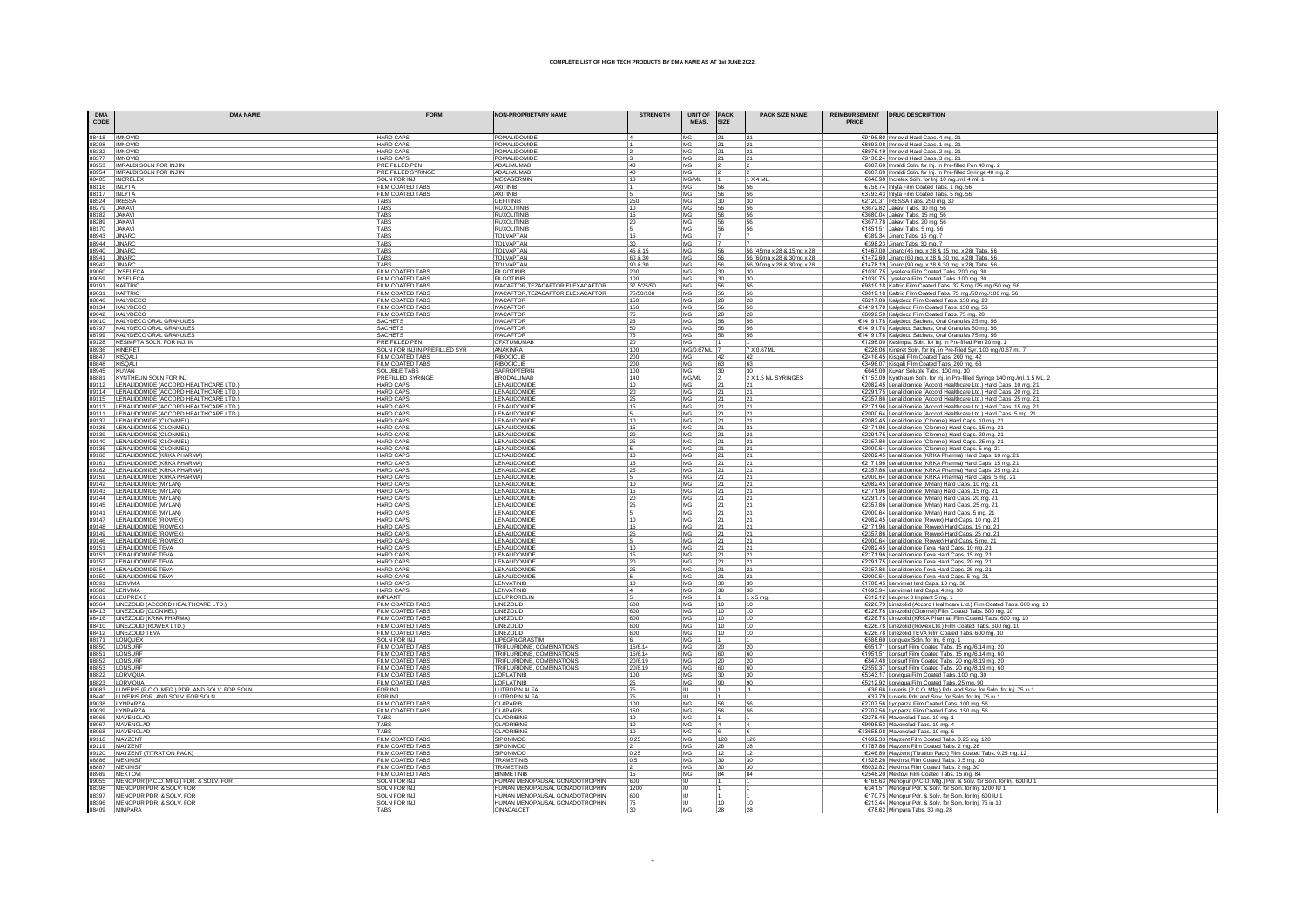| <b>DMA</b><br>CODE               | <b>DMA NAME</b>                                                                                                                                                                                           | <b>FORM</b>                             | <b>NON-PROPRIETARY NAME</b>                                      | <b>STRENGTH</b>    | UNIT OF PACK<br>MFAS. | <b>SIZE</b> | <b>PACK SIZE NAME</b><br>PRICE                         | REIMBURSEMENT   DRUG DESCRIPTION                                                                                                                                                                                                         |
|----------------------------------|-----------------------------------------------------------------------------------------------------------------------------------------------------------------------------------------------------------|-----------------------------------------|------------------------------------------------------------------|--------------------|-----------------------|-------------|--------------------------------------------------------|------------------------------------------------------------------------------------------------------------------------------------------------------------------------------------------------------------------------------------------|
| 88418   IMNOVID                  |                                                                                                                                                                                                           | <b>HARD CAPS</b>                        | POMALIDOMIDE                                                     |                    | MG                    |             | 21                                                     | €9196.80 Imnovid Hard Caps. 4 mg. 21                                                                                                                                                                                                     |
| 88298 IMNOVID                    |                                                                                                                                                                                                           | <b>HARD CAPS</b>                        | POMALIDOMIDE                                                     |                    | MG                    |             | 21                                                     | €8893.08 Imnovid Hard Caps. 1 mg. 21                                                                                                                                                                                                     |
| 88332 IMNOVID<br>88377   IMNOVID |                                                                                                                                                                                                           | <b>HARD CAPS</b><br><b>HARD CAPS</b>    | POMALIDOMIDE<br>POMALIDOMIDE                                     |                    | MG<br>MG              | 21          | 21<br>21                                               | €8976.19 Imnovid Hard Caps. 2 mg. 21                                                                                                                                                                                                     |
|                                  | 88953   IMRALDI SOLN FOR INJ IN                                                                                                                                                                           | PRE FILLED PEN                          | ADALIMUMAB                                                       | 40                 | MG                    |             |                                                        | €9130.24 Imnovid Hard Caps. 3 mg. 21<br>€607.60 Imraldi Soln. for Inj. in Pre-filled Pen 40 mg. 2                                                                                                                                        |
|                                  | 88953 MRALDISOLN FOR IN MARCHINE<br>88954 MRALDISOLN FOR IN IN<br>88145 MCREEX<br>88116 MLYTA<br>88216 MESSA<br>88279 JAKAVI<br>88289 JAKAVI<br>88182 JAKAVI<br>8817 JAKAVI<br>8817 JAKAVI<br>8817 JAKAVI | PRE FILLED SYRINGE                      | ADALIMUMAE                                                       | 40                 | MG                    |             |                                                        | €607.60 Imraldi Soln. for Inj. in Pre-filled Syringe 40 mg. 2                                                                                                                                                                            |
|                                  |                                                                                                                                                                                                           | SOLN FOR INJ                            | MECASERMI                                                        | 10                 | MG/ML                 |             | 1 X 4 ML                                               | €646.98 Increlex Soln. for Inj. 10 mg./ml. 4 ml. 1                                                                                                                                                                                       |
|                                  |                                                                                                                                                                                                           | FILM COATED TABS                        | <b>AXITINIB</b>                                                  |                    | MG.                   |             | 56                                                     | €758.74 Inlyta Film Coated Tabs. 1 mg. 56                                                                                                                                                                                                |
|                                  |                                                                                                                                                                                                           | FILM COATED TABS<br>TARS                | <b>AXITINIR</b><br><b>GEFITINIR</b>                              | 250                | MG<br>MG              | 30          | 56<br>30 <sup>13</sup>                                 | €3793.43 Inlyta Film Coated Tabs. 5 mg. 56                                                                                                                                                                                               |
|                                  |                                                                                                                                                                                                           | TABS                                    |                                                                  |                    | MG                    | 56          |                                                        | €2120.31 RESSA Tabs. 250 mg. 30                                                                                                                                                                                                          |
|                                  |                                                                                                                                                                                                           | TARS                                    | <b>RUXOLITINIB</b><br><b>RUXOLITINIB</b>                         | 10                 | MG                    | 56          | 56<br>56                                               | €3672.82 Jakavi Tabs. 10 mg. 56<br>€3680.04 Jakavi Tabs. 15 mg. 56                                                                                                                                                                       |
|                                  |                                                                                                                                                                                                           | TARS                                    | <b>RUXOLITINIB</b>                                               | 20                 | MG                    | 56          | 56                                                     | €3677.78 Jakavi Tabs. 20 mg. 56                                                                                                                                                                                                          |
|                                  |                                                                                                                                                                                                           | TABS                                    | <b>RUXOLITINIB</b>                                               |                    | MG                    | 56          | 56                                                     | €1851.51 Jakavi Tabs. 5 mg. 56                                                                                                                                                                                                           |
| 88943 JINARO<br>88944 JINARO     |                                                                                                                                                                                                           | TABS                                    | <b>TOLVAPTAN</b>                                                 | 15                 | MG                    |             |                                                        | €389.34 Jinarc Tabs. 15 mg. 7<br>€398.23 Jinarc Tabs. 30 mg. 7                                                                                                                                                                           |
|                                  |                                                                                                                                                                                                           | TABS                                    | <b>TOLVAPTAN</b>                                                 | 30.                | MG.                   |             |                                                        |                                                                                                                                                                                                                                          |
| 88940 JINARO                     |                                                                                                                                                                                                           | TABS<br>TABS                            | <b>TOLVAPTAN</b><br>TOLVAPTAN                                    | 45 & 15<br>60 & 30 | MG<br>MG              | 56<br>56    | 56 (45mg x 28 & 15mg x 28                              | €1467.00 Jinarc (45 mg. x 28 & 15 mg. x 28) Tabs. 56                                                                                                                                                                                     |
| 88941 JINARO<br>88942 JINARO     |                                                                                                                                                                                                           | TABS                                    | <b>TOLVAPTAN</b>                                                 | 90 & 30            | MG                    | 56          | 56 (60mg x 28 & 30mg x 28<br>56 (90mg x 28 & 30mg x 28 | €1472.60 Jinarc (60 mg. x 28 & 30 mg. x 28) Tabs. 56<br>€1478.19 Jinarc (90 mg. x 28 & 30 mg. x 28) Tabs. 56                                                                                                                             |
| 89060 JYSELEC                    |                                                                                                                                                                                                           | FILM COATED TABS                        | <b>FILGOTINIB</b>                                                | 200                | MG                    | 30          | 30                                                     |                                                                                                                                                                                                                                          |
| 89059 JYSELECA<br>89191 KAFTRIO  |                                                                                                                                                                                                           | FILM COATED TABS                        | <b>FILGOTINIE</b>                                                | 100                | MG                    | 30          | 30                                                     | €1030.75 Jyseleca Film Coated Tabs. 200 mg. 30<br>€1030.75 Jyseleca Film Coated Tabs. 100 mg. 30                                                                                                                                         |
|                                  |                                                                                                                                                                                                           | FILM COATED TABS                        | IVACAFTOR, TEZACAFTOR, ELEXACAFTOR                               | 37.5/25/50         | MG                    | 56          | 56                                                     | €9819.18 Kaftrio Film Coated Tabs. 37.5 mg./25 mg./50 mg. 56                                                                                                                                                                             |
| 89031 KAFTRIO                    |                                                                                                                                                                                                           | FILM COATED TABS                        | IVACAFTOR, TEZACAFTOR, ELEXACAFTOR                               | 75/50/100          | MG                    | 56          | 56                                                     |                                                                                                                                                                                                                                          |
|                                  | 88846 KALYDECO<br>88134 KALYDECO                                                                                                                                                                          | FILM COATED TABS                        | <b>IVACAFTOR</b>                                                 | 150                | MG                    | 28          | 28                                                     | €9819.18 Kaftrio Film Coated Tabs. 75 mg./50 mg./100 mg. 56<br>€6217.06 Kalvdeco Film Coated Tabs. 150 mg. 28<br>€14191.78 Kalydeco Film Coated Tabs. 150 mg. 56                                                                         |
|                                  | 89042 KALYDECO                                                                                                                                                                                            | FILM COATED TABS<br>FILM COATED TABS    | <b>IVACAFTOR</b><br><b>IVACAFTOR</b>                             | 150<br>75          | MG<br>MG              | 56          | 56<br>28                                               | €6099.50 Kalydeco Film Coated Tabs. 75 mg. 28                                                                                                                                                                                            |
|                                  |                                                                                                                                                                                                           | SACHETS                                 | <b>IVACAFTOR</b>                                                 | 25                 | MG                    | 28          |                                                        | €14191.78 Kalydeco Sachets, Oral Granules 25 mg. 56                                                                                                                                                                                      |
|                                  | 89010 KALYDECO ORAL GRANULES<br>88797 KALYDECO ORAL GRANULES                                                                                                                                              | <b>SACHETS</b>                          | <b>IVACAFTOR</b>                                                 |                    | MG                    |             |                                                        | €14191.78 Kalydeco Sachets, Oral Granules 50 mg. 56                                                                                                                                                                                      |
|                                  |                                                                                                                                                                                                           | <b>SACHETS</b>                          | <b>IVACAFTOR</b>                                                 | 75                 | MG                    |             | 56                                                     | €14191.78 Kalydeco Sachets, Oral Granules 75 mg. 56                                                                                                                                                                                      |
|                                  | 88799 KALYDECO ORAL GRANULES<br>89128 KESIMPTA SOLN. FOR INJ. IN<br>88936 KINERET                                                                                                                         | PRE FILLED PEN                          | OFATUMUMAE                                                       | 20                 | MG                    |             |                                                        | €1296.00 Kesimpta Soln. for lnj. in Pre-filled Pen 20 mg. 1                                                                                                                                                                              |
|                                  |                                                                                                                                                                                                           | SOLN FOR INJ IN PREFILLED SYR           | ANAKINRA                                                         | 100                | MG/0.67ML 7           |             | 7 X 0.67ML                                             | €226.06 Kineret Soln. for Inj. in Pre-filled Syr. 100 mg./0.67 ml. 7                                                                                                                                                                     |
| 88847 KISQALI                    |                                                                                                                                                                                                           | FILM COATED TABS                        | <b>RIBOCICLIB</b>                                                | 200                | MG                    |             | 42                                                     | €2416.45 Kisqali Film Coated Tabs. 200 mg. 42                                                                                                                                                                                            |
| 88848 KISQALI<br>88945 KUVAN     |                                                                                                                                                                                                           | FILM COATED TABS<br><b>SOLUBLE TABS</b> | <b>RIBOCICLIB</b><br>SAPROPTERIN                                 | 200<br>100         | MG<br>MG              | 63          | 63                                                     | €3496.07 Kisqali Film Coated Tabs. 200 mg. 63<br>€645.00 Kuvan Soluble Tabs. 100 mg. 30                                                                                                                                                  |
|                                  |                                                                                                                                                                                                           | PREFILLED SYRINGE                       | <b>BRODALUMAE</b>                                                | 140                | MG/ML                 |             | 2 X 1.5 ML SYRINGES                                    | €1153.09 Kyntheum Soln. for Inj. in Pre-filled Syringe 140 mg./ml. 1.5 ML. 2                                                                                                                                                             |
|                                  | 88881 KYNTHEUM SOLN FOR INJ<br>89112 LENALIDOMIDE (ACCORD HEALTHCARE LTD.)                                                                                                                                | <b>HARD CAPS</b>                        | LENALIDOMID                                                      | 10                 | MG                    |             | 21                                                     | €2082.45 Lenalidomide (Accord Healthcare Ltd.) Hard Caps. 10 mg. 21                                                                                                                                                                      |
|                                  | 89114 LENALIDOMIDE (ACCORD HEALTHCARE LTD.)                                                                                                                                                               | <b>HARD CAPS</b>                        | LENALIDOMIDE                                                     | 20                 | MG                    |             | 21                                                     | €2291.75 Lenalidomide (Accord Healthcare Ltd.) Hard Caps. 20 mg. 21                                                                                                                                                                      |
|                                  | <b>S9115 LENALIDOMIDE (ACCORD HEALTHCARE LTD.)</b><br>89113 LENALIDOMIDE (ACCORD HEALTHCARE LTD.)<br>89111 LENALIDOMIDE (ACCORD HEALTHCARE LTD.)                                                          | <b>HARD CAPS</b>                        | LENALIDOMIDE                                                     | 25                 | MG                    |             | 21                                                     | €2357.86 Lenalidomide (Accord Healthcare Ltd.) Hard Caps. 25 mg. 21                                                                                                                                                                      |
|                                  |                                                                                                                                                                                                           | HARD CAPS                               | <b>I FNALIDOMIDE</b>                                             | 15                 | MG.                   | 21          | 21                                                     | €2171.96 Lenalidomide (Accord Healthcare Ltd.) Hard Caps. 15 mg. 21                                                                                                                                                                      |
|                                  |                                                                                                                                                                                                           | <b>HARD CAPS</b>                        | LENALIDOMIDI                                                     |                    | MG                    | 21          | 21                                                     | €2000.64 Lenalidomide (Accord Healthcare Ltd.) Hard Caps. 5 mg. 21                                                                                                                                                                       |
|                                  | 19911<br>199138 LENAUDOMIDE (CLONMEL)<br>199139 LENAUDOMIDE (CLONMEL)<br>199149 LENAUDOMIDE (CLONMEL)<br>199148 LENAUDOMIDE (CLONMEL)<br>199160 LENAUDOMIDE (CLONMEL)<br>199160 LENAUDOMIDE (KRKA PHARMA) | <b>HARD CAPS</b>                        | LENALIDOMIDE                                                     | 10                 | MG                    | 21          | 21                                                     | €2082.45 Lenalidomide (Clonmel) Hard Caps. 10 mg. 21                                                                                                                                                                                     |
|                                  |                                                                                                                                                                                                           | <b>HARD CAPS</b>                        | LENALIDOMIDE                                                     | 15                 | MG<br>MG              | 21          | 21                                                     | €2171.96 Lenalidomide (Clonmel) Hard Caps. 15 mg. 21                                                                                                                                                                                     |
|                                  |                                                                                                                                                                                                           | <b>HARD CAPS</b><br><b>HARD CAPS</b>    | LENALIDOMIDE<br>LENALIDOMIDI                                     | 20<br>25           | MG                    |             | 21<br> 21                                              | €2291.75 Lenalidomide (Clonmel) Hard Caps. 20 mg. 21<br>€2357.86 Lenalidomide (Clonmel) Hard Caps. 25 mg. 21                                                                                                                             |
|                                  |                                                                                                                                                                                                           | HARD CAPS                               | <b>I FNAI IDOMIDE</b>                                            |                    | MG                    |             |                                                        | €2000.64 Lenalidomide (Clonmel) Hard Caps. 5 mg. 21                                                                                                                                                                                      |
|                                  |                                                                                                                                                                                                           | <b>HARD CAPS</b>                        | <b>FNALIDOMIDE</b>                                               | 10 <sup>1</sup>    | MG                    |             | $\frac{21}{21}$                                        | €2082.45 Lenalidomide (KRKA Pharma) Hard Caps. 10 mg. 21                                                                                                                                                                                 |
|                                  | 89161 LENALIDOMIDE (KRKA PHARMA)                                                                                                                                                                          | <b>HARD CAPS</b>                        | LENALIDOMIDE                                                     | 15                 | MG                    | 21          | 21                                                     | €2171.96 Lenalidomide (KRKA Pharma) Hard Caps. 15 mg. 21                                                                                                                                                                                 |
|                                  | 89162 LENALIDOMIDE (KRKA PHARMA)                                                                                                                                                                          | <b>HARD CAPS</b>                        | LENALIDOMIDE                                                     | 25                 | MG                    |             | 21                                                     | €2357.86 Lenalidomide (KRKA Pharma) Hard Caps. 25 mg. 21                                                                                                                                                                                 |
|                                  | 89159 LENALIDOMIDE (KRKA PHARMA)<br>89142 LENALIDOMIDE (MYLAN)                                                                                                                                            | <b>HARD CAPS</b>                        | LENALIDOMIDE                                                     |                    | MG                    | 21          | 21                                                     | €2000.64 Lenalidomide (KRKA Pharma) Hard Caps. 5 mg. 21                                                                                                                                                                                  |
|                                  | 89143 LENALIDOMIDE (MYLAN)                                                                                                                                                                                | <b>HARD CAPS</b><br><b>HARD CAPS</b>    | LENALIDOMIDE<br>LENALIDOMIDE                                     | 10<br>15           | MG<br>MG              | 21          | 21                                                     | €2082.45 Lenalidomide (Mylan) Hard Caps. 10 mg. 21                                                                                                                                                                                       |
|                                  | 89144 LENALIDOMIDE (MYLAN)                                                                                                                                                                                | <b>HARD CAPS</b>                        | LENALIDOMIDI                                                     | 20                 | MG                    |             | $\frac{21}{21}$                                        | €2171.96 Lenalidomide (Mylan) Hard Caps. 15 mg. 21<br>€2291.75 Lenalidomide (Mylan) Hard Caps. 20 mg. 21                                                                                                                                 |
|                                  | 89145 LENALIDOMIDE (MYLAN)                                                                                                                                                                                | <b>HARD CAPS</b>                        | LENALIDOMIDE                                                     | 25                 | MG                    | 21          | 21                                                     | €2357.86 Lenalidomide (Mylan) Hard Caps. 25 mg. 21                                                                                                                                                                                       |
|                                  | 89141 LENALIDOMIDE (MYLAN)                                                                                                                                                                                | <b>HARD CAPS</b>                        | LENALIDOMIDE                                                     |                    | MG                    |             | 21                                                     | €2000.64 Lenalidomide (Mylan) Hard Caps. 5 mg. 21                                                                                                                                                                                        |
|                                  | 89147 LENALIDOMIDE (ROWEX)                                                                                                                                                                                | <b>HARD CAPS</b>                        | LENALIDOMIDE                                                     | 10                 | MG                    | 121         | 21                                                     | €2082.45 Lenalidomide (Rowex) Hard Caps. 10 mg. 21<br>€2171.96 Lenalidomide (Rowex) Hard Caps. 15 mg. 21                                                                                                                                 |
|                                  | 89148 LENALIDOMIDE (ROWEX)                                                                                                                                                                                | <b>HARD CAPS</b>                        | <b>LENALIDOMIDE</b>                                              | 15                 | MG                    |             | 21                                                     |                                                                                                                                                                                                                                          |
|                                  | 89149 LENALIDOMIDE (ROWEX)                                                                                                                                                                                | <b>HARD CAPS</b>                        | LENALIDOMIDE                                                     | 25                 | <b>MG</b>             | 21          | 21                                                     | €2357.86 Lenalidomide (Rowex) Hard Caps. 25 mg. 21                                                                                                                                                                                       |
|                                  | 89146 LENALIDOMIDE (ROWEX)                                                                                                                                                                                | <b>HARD CAPS</b>                        | LENALIDOMIDE<br><b>LENALIDOMIDE</b>                              |                    | <b>MG</b>             |             | 21                                                     | €2000.64 Lenalidomide (Rowex) Hard Caps. 5 mg. 21                                                                                                                                                                                        |
|                                  | 89151 LENALIDOMIDE TEVA                                                                                                                                                                                   | <b>HARD CAPS</b><br><b>HARD CAPS</b>    | <b>LENALIDOMIDE</b>                                              | 10<br>15           | <b>MG</b><br>MG       | 21          | 21<br> 21                                              | €2082.45 Lenalidomide Teva Hard Caps. 10 mg. 21<br>€2171.96 Lenalidomide Teva Hard Caps. 15 mg. 21                                                                                                                                       |
|                                  | 89153 LENALIDOMIDE TEVA                                                                                                                                                                                   | <b>HARD CAPS</b>                        | LENALIDOMIDE                                                     | 20                 | MG                    | 21          | 21                                                     |                                                                                                                                                                                                                                          |
|                                  | 89154 LENALIDOMIDE TEVA<br>89150 LENALIDOMIDE TEVA                                                                                                                                                        | <b>HARD CAPS</b>                        | LENALIDOMIDE                                                     | 25                 | MG                    |             | 21                                                     | €2291.75 Lenalidomide Teva Hard Caps. 20 mg. 21<br>€2357.86 Lenalidomide Teva Hard Caps. 25 mg. 21                                                                                                                                       |
|                                  |                                                                                                                                                                                                           | <b>HARD CAPS</b>                        | <b>LENALIDOMIDE</b>                                              |                    | MG                    |             |                                                        | €2000.64 Lenalidomide Teva Hard Caps. 5 mg. 21                                                                                                                                                                                           |
| 88391 LENVIMA<br>88386 LENVIMA   |                                                                                                                                                                                                           | <b>HARD CAPS</b>                        | LENVATINIE                                                       |                    | MG                    |             | 30                                                     | €1708.45 Lenvima Hard Caps. 10 mg. 30                                                                                                                                                                                                    |
|                                  |                                                                                                                                                                                                           | <b>HARD CAPS</b>                        | LENVATINIB                                                       |                    | MG                    | 30          | 30                                                     | €1693.94 Lenvima Hard Caps. 4 mg. 30                                                                                                                                                                                                     |
|                                  | 88561 LEUPREX 3<br>88564 LINEZOLID (ACCORD HEALTHCARE LTD.)                                                                                                                                               | <b>IMPLANT</b><br>FILM COATED TABS      | LEUPRORELIN<br>LINEZOLID                                         | 600                | MG<br>MG              | 10          | $1 \times 5$ mg<br>10                                  | €312.12 Leuprex 3 Implant 5 mg. 1                                                                                                                                                                                                        |
|                                  |                                                                                                                                                                                                           | FILM COATED TABS                        | LINEZOLID                                                        | 600                | MG                    | 10          | 10                                                     | €226.79 Linezolid (Accord Healthcare Ltd.) Film Coated Tabs. 600 mg. 10<br>€226.78 Linezolid (Clonmel) Film Coated Tabs. 600 mg. 10                                                                                                      |
|                                  | 88413 LINEZOLID (CLONMEL)<br>88416 LINEZOLID (KRKA PHARMA)<br>88410 LINEZOLID (ROWEX LTD.)                                                                                                                | FILM COATED TABS                        | LINEZOLID                                                        | 600                | MG                    | 10          | 10                                                     | €226.78 Linezolid (KRKA Pharma) Film Coated Tabs. 600 mg. 10                                                                                                                                                                             |
|                                  |                                                                                                                                                                                                           | FILM COATED TABS                        | LINEZOLID                                                        | 600                | MG                    | 10          | 10                                                     | €226.78 Linezolid (Rowex Ltd.) Film Coated Tabs. 600 mg. 10                                                                                                                                                                              |
|                                  | 88412 LINEZOLID TEVA                                                                                                                                                                                      | FILM COATED TABS                        | LINEZOLID                                                        | 600                | MG                    | 10          | 10                                                     | €226.78 Linezolid TEVA Film Coated Tabs. 600 mg. 10                                                                                                                                                                                      |
| 88171 LONQUEX                    |                                                                                                                                                                                                           | SOLN FOR INJ                            | <b>LIPEGFILGRASTIM</b>                                           |                    | MG                    |             |                                                        | €588.60 Lonquex Soln. for Inj. 6 mg. 1                                                                                                                                                                                                   |
| 88850 LONSURF                    |                                                                                                                                                                                                           | FILM COATED TABS                        | TRIFLURIDINE, COMBINATIONS                                       | 15/6.14            | MG                    | 20          | 20                                                     | €651.71 Lonsurf Film Coated Tabs. 15 mg./6.14 mg. 20                                                                                                                                                                                     |
| 88851 LONSURF<br>88852 LONSURF   |                                                                                                                                                                                                           | FILM COATED TABS<br>FILM COATED TABS    | TRIFLURIDINE, COMBINATIONS<br>TRIFLURIDINE, COMBINATIONS         | 15/6.14<br>20/8.19 | MG<br>MG              | 60<br>20    | 60<br> 20                                              | €1951.51 Lonsurf Film Coated Tabs. 15 mg./6.14 mg. 60<br>€847.48 Lonsurf Film Coated Tabs. 20 mg./8.19 mg. 20                                                                                                                            |
| 88853 LONSURF                    |                                                                                                                                                                                                           | <b>FILM COATED TABS</b>                 | TRIFLURIDINE, COMBINATIONS                                       | 20/8.19            | MG                    | 60          | 60                                                     | €2559.37 Lonsurf Film Coated Tabs. 20 mg./8.19 mg. 60                                                                                                                                                                                    |
| 88822 LORVIQUA                   |                                                                                                                                                                                                           | FILM COATED TABS                        | LORLATINIB                                                       | 100                | MG                    | 30          | 30                                                     | €5343.17 Lorviqua Film Coated Tabs. 100 mg. 30                                                                                                                                                                                           |
| 88823 LORVIQUA                   |                                                                                                                                                                                                           | FILM COATED TABS                        | LORLATINIB                                                       | 25                 | MG                    | 90          | 90                                                     | €5212.92 Lorviqua Film Coated Tabs. 25 mg. 90                                                                                                                                                                                            |
|                                  | 89083 LUVERIS (P.C.O. MFG.) PDR. AND SOLV. FOR SOLN.                                                                                                                                                      | <b>FOR INJ</b>                          | LUTROPIN ALFA                                                    |                    | IU                    |             |                                                        | €36.66 Luveris (P.C.O. Mfg.) Pdr. and Solv. for Soln. for Inj. 75 iu 1                                                                                                                                                                   |
|                                  | 88440 LUVERIS PDR. AND SOLV. FOR SOLN.<br>89038 LYNPARZA                                                                                                                                                  | FOR INJ                                 | LUTROPIN ALFA                                                    | 75                 | l IU.                 |             |                                                        | €37.79 Luveris Pdr. and Solv. for Soln. for Inj. 75 iu 1                                                                                                                                                                                 |
|                                  |                                                                                                                                                                                                           | FILM COATED TABS                        | OI APARIB                                                        | 100                | MG                    | 56          | 56                                                     | €2707.56 Lynparza Film Coated Tabs. 100 mg. 56                                                                                                                                                                                           |
|                                  |                                                                                                                                                                                                           | FILM COATED TABS                        | OLAPARIB                                                         | 150                | MG                    | 56          | 56                                                     | €2707.56 Lynparza Film Coated Tabs. 150 mg. 56                                                                                                                                                                                           |
|                                  |                                                                                                                                                                                                           | TABS<br>TABS                            | <b>CLADRIBINE</b><br>CLADRIBINE                                  | 10<br>$10^{-1}$    | MG<br>MG              |             | 14                                                     | €2278.45 Mavenclad Tabs. 10 mg. 1                                                                                                                                                                                                        |
|                                  |                                                                                                                                                                                                           | TARS                                    | CLADRIBINE                                                       | $10^{-1}$          | MG                    |             |                                                        | €9095.53 Mavenclad Tabs. 10 mg. 4<br>€13655.08 Mavenclad Tabs. 10 mg. 6                                                                                                                                                                  |
|                                  | 99039 LYNPACZA<br>199039 LYNPACZA<br>199862 MAVENCLAD<br>199862 MAVENCLAD<br>199119 MAVENCLAD<br>199862 MACKUNST<br>199886 MACKUNST<br>199886 MACKUNST<br>199886 MACKUNST<br>199886 MACKUNST              |                                         | SIPONIMOD                                                        | 0.25               | MG                    | 120         | 120                                                    |                                                                                                                                                                                                                                          |
|                                  |                                                                                                                                                                                                           | FILM COATED TABS<br>FILM COATED TABS    | SIPONIMOD                                                        |                    | MG                    | 28          | 28                                                     | €1892.33 Mayzent Film Coated Tabs. 0.25 mg. 120<br>€1787.86 Mayzent Film Coated Tabs. 2 mg. 28                                                                                                                                           |
|                                  |                                                                                                                                                                                                           | FILM COATED TABS                        | SIPONIMOD                                                        | 0.25               | MG                    | 12          | 12                                                     | €246.80 Mayzent (Titration Pack) Film Coated Tabs. 0.25 mg. 12                                                                                                                                                                           |
|                                  |                                                                                                                                                                                                           | <b>FILM COATED TABS</b>                 | <b>TRAMETINIE</b>                                                | 0.5                | MG                    | 30          | 30                                                     | €1528.26 Mekinist Film Coated Tabs. 0.5 mg. 30                                                                                                                                                                                           |
|                                  |                                                                                                                                                                                                           | FILM COATED TABS                        | TRAMETINIE                                                       |                    | MG                    | 130         | 30                                                     | 0032.82 Mekinist Film Coated Tabs. 2 mg. 30<br>02548.20 Mektovi Film Coated Tabs. 2 mg. 30<br>02548.20 Mektovi Film Coated Tabs. 15 mg. 84<br>06.631 Menopur Pdr. & Solv. for Soln. for lnj. 600 IU 1<br>041.51 Menopur Pdr. & Solv. for |
| 88989 MEKTOVI                    |                                                                                                                                                                                                           | FILM COATED TABS<br><b>SOLN FOR INJ</b> | <b>BINIMETINIE</b><br>HUMAN MENOPAUSAL GONADOTROPHIN             | 600                | MG<br>IU              | 84          | 84                                                     |                                                                                                                                                                                                                                          |
|                                  | 89055 MENOPUR (P.C.O. MFG.) PDR. & SOLV. FOR<br>88398 MENOPUR PDR. & SOLV. FOR                                                                                                                            | <b>SOLN FOR INJ</b>                     | HUMAN MENOPAUSAL GONADOTROPHIN                                   | 1200               | IU                    |             |                                                        |                                                                                                                                                                                                                                          |
|                                  |                                                                                                                                                                                                           | <b>SOLN FOR INJ</b>                     |                                                                  | 600                | IU                    |             |                                                        |                                                                                                                                                                                                                                          |
|                                  | 88397 MENOPUR PDR. & SOLV. FOR<br>88396 MENOPUR PDR. & SOLV. FOR<br>88409 MIMPARA                                                                                                                         | <b>SOLN FOR INJ</b>                     | HUMAN MENOPAUSAL GONADOTROPHIN<br>HUMAN MENOPAUSAL GONADOTROPHIN | 75                 | l IU.                 | 10          | 110                                                    | €170.75 Menopur Pdr. & Solv. for Soln. for Inj. 600 IU 1<br>€213.44 Menopur Pdr. & Solv. for Soln. for Inj. 75 iu 10                                                                                                                     |
|                                  |                                                                                                                                                                                                           |                                         |                                                                  |                    |                       |             |                                                        | £78.62 Mimnara Tahs 30 mg 28                                                                                                                                                                                                             |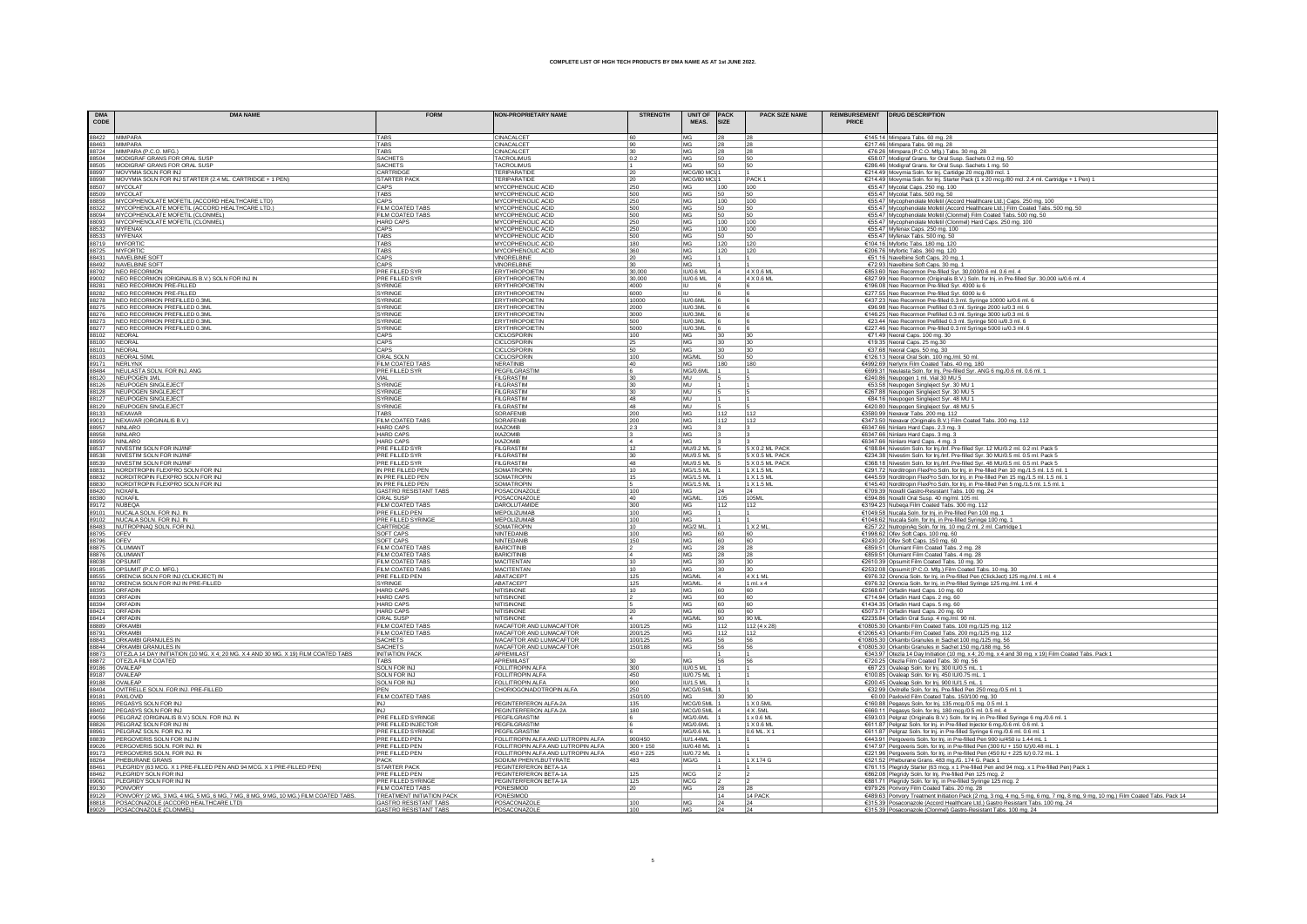| <b>DMA</b><br>CODE | <b>DMA NAME</b>                                                                                                                                                                                                                                | <b>FORM</b>                                        | <b>NON-PROPRIETARY NAME</b>                         | <b>STRENGTH</b> | <b>UNIT OF PACK</b><br>MEAS.   | <b>SIZE</b>     | <b>PACK SIZE NAME</b><br>REIMBURSEMENT   DRUG DESCRIPTION<br>PRICE |                                                                                                                                                                                                                 |
|--------------------|------------------------------------------------------------------------------------------------------------------------------------------------------------------------------------------------------------------------------------------------|----------------------------------------------------|-----------------------------------------------------|-----------------|--------------------------------|-----------------|--------------------------------------------------------------------|-----------------------------------------------------------------------------------------------------------------------------------------------------------------------------------------------------------------|
|                    | 88422 MIMPARA                                                                                                                                                                                                                                  | <b>TABS</b>                                        | CINACALCET                                          | 60              | MG                             | 28<br> 28       |                                                                    | €145.14 Mimpara Tabs. 60 mg. 28                                                                                                                                                                                 |
|                    | 88463 MIMPARA                                                                                                                                                                                                                                  | <b>TABS</b>                                        | CINACALCET                                          | 90              | MG                             | 28<br>28        |                                                                    | €217.46 Mimpara Tabs. 90 mg. 28                                                                                                                                                                                 |
|                    | 88724 MIMPARA (P.C.O. MFG.)<br>88504 MODIGRAF GRANS FOR ORAL SUSP                                                                                                                                                                              | TABS<br>SACHETS                                    | CINACALCET<br><b>TACROLIMUS</b>                     | 30<br>0.2       | MG<br>MG                       | 28<br>50<br>50  | 28                                                                 | €76.26 Mimpara (P.C.O. Mfg.) Tabs. 30 mg. 28<br>€58.07 Modigraf Grans. for Oral Susp. Sachets 0.2 mg. 50                                                                                                        |
|                    | 88505 MODIGRAF GRANS FOR ORAL SUSP                                                                                                                                                                                                             | SACHETS                                            | <b>TACROLIMUS</b>                                   |                 | MG                             | 50              | 50                                                                 | €286.46 Modigraf Grans. for Oral Susp. Sachets 1 mg. 50                                                                                                                                                         |
|                    | 88997 MOVYMIA SOLN FOR INJ                                                                                                                                                                                                                     | CARTRIDGE                                          | <b>TERIPARATIDI</b>                                 | 20              | MCG/80 MCI 1                   |                 |                                                                    | €214.49 Movymia Soln. for Inj. Cartidge 20 mcg./80 mcl. 1                                                                                                                                                       |
|                    | 88998 MOVYMIA SOLN FOR INJ STARTER (2.4 ML. CARTRIDGE + 1 PEN)                                                                                                                                                                                 | <b>STARTER PACK</b>                                | TERIPARATIDE                                        |                 | MCG/80 MCI 1                   |                 | PACK <sub>1</sub>                                                  | €214.49 Movymia Soln. for Inj. Starter Pack (1 x 20 mcg./80 mcl. 2.4 ml. Cartridge + 1 Pen) 1                                                                                                                   |
|                    | 88507 MYCOLAT                                                                                                                                                                                                                                  | CAPS                                               | MYCOPHENOLIC ACID                                   | 250             | MG                             | 100             | 100                                                                | €55.47 Mycolat Caps. 250 mg. 100                                                                                                                                                                                |
|                    | 88509 MYCOLAT                                                                                                                                                                                                                                  | TABS<br>CAPS                                       | MYCOPHENOLIC ACID<br>MYCOPHENOLIC ACID              | 500<br>250      | MG<br>MG                       | 50<br>100       | 50<br>100                                                          | €55.47 Mycolat Tabs. 500 mg. 50                                                                                                                                                                                 |
|                    | 88858 MYCOPHENOLATE MOFETIL (ACCORD HEALTHCARE LTD)<br>88322 MYCOPHENOLATE MOFETIL (ACCORD HEALTHCARE LTD.)                                                                                                                                    | FILM COATED TABS                                   | MYCOPHENOLIC ACID                                   | 500             | MG                             | 50              | 50                                                                 | €55.47 Mycophenolate Mofetil (Accord Healthcare Ltd.) Caps. 250 mg. 100<br>€55.47 Mycophenolate Mofetil (Accord Healthcare Ltd.) Film Coated Tabs. 500 mg. 50                                                   |
|                    |                                                                                                                                                                                                                                                | FILM COATED TABS                                   | MYCOPHENOLIC ACID                                   | 500             | MG                             | 50              | 50                                                                 | €55.47 Mycophenolate Mofetil (Clonmel) Film Coated Tabs. 500 mg. 50                                                                                                                                             |
|                    | 88094 MYCOPHENOLATE MOFETIL (CLONMEL)<br>88093 MYCOPHENOLATE MOFETIL (CLONMEL)                                                                                                                                                                 | <b>HARD CAPS</b>                                   | MYCOPHENOLIC ACID                                   | 250             | MG                             | 100             | 100                                                                | €55.47 Mycophenolate Mofetil (Clonmel) Hard Caps. 250 mg. 100                                                                                                                                                   |
|                    | 88532 MYFENAX<br>88533 MYFENAX<br>88719 MYFORTIC                                                                                                                                                                                               | CAPS                                               | MYCOPHENOLIC ACID                                   | 250             | MG                             | 100             | 100                                                                | €55.47 Myfenax Caps. 250 mg. 100                                                                                                                                                                                |
|                    |                                                                                                                                                                                                                                                | TABS                                               | MYCOPHENOLIC ACID                                   | 500             | MG                             | 50              |                                                                    | €55.47 Myfenax Tabs. 500 mg. 50                                                                                                                                                                                 |
|                    |                                                                                                                                                                                                                                                | TABS                                               | MYCOPHENOLIC ACID                                   | 180             | MG                             | 120             | 120                                                                | €104.16 Myfortic Tabs. 180 mg. 120                                                                                                                                                                              |
|                    | 88725 MYFORTIC                                                                                                                                                                                                                                 | TABS<br>CAPS                                       | MYCOPHENOLIC ACID<br>VINORELBINE                    | 360             | MG<br>MG                       | 120             | 120                                                                | €206.76 Myfortic Tabs. 360 mg. 120<br>€51.16 Navelbine Soft Caps. 20 mg. 1                                                                                                                                      |
|                    |                                                                                                                                                                                                                                                | CAPS                                               | VINORELBINE                                         |                 | MG                             |                 |                                                                    | €72.93 Navelbine Soft Caps. 30 mg. 1                                                                                                                                                                            |
|                    | 99/1920 MILLIONE SOFT<br>98431 NAVELBINE SOFT<br>98792 NEO RECORMON<br>99002 NEO RECORMON (ORIGINALIS B.V.) SOLN FOR INJ IN                                                                                                                    | PRE FILLED SYR                                     | <b>ERYTHROPOIETIN</b>                               | 30,000          | <b>IU/0.6 ML</b><br>$\vert$ 4  |                 | 4 X 0.6 ML                                                         | €853.60 Neo Recormon Pre-filled Syr. 30,000/0.6 ml. 0.6 ml. 4                                                                                                                                                   |
|                    |                                                                                                                                                                                                                                                | <b>PRE FILLED SYR</b>                              | ERYTHROPOIETIN                                      | 30,000          | <b>IU/0.6 ML</b><br>- 14       |                 | 4 X 0.6 ML                                                         | €827.99 Neo Recormon (Originalis B.V.) Soln. for Inj. in Pre-filled Syr. 30,000 iu/0.6 ml. 4                                                                                                                    |
|                    | 88281 NEO RECORMON PRE-FILLED                                                                                                                                                                                                                  | SYRINGE                                            | <b>ERYTHROPOIETIN</b>                               | 4000            | HU.                            |                 |                                                                    | €196.08 Neo Recormon Pre-filled Syr. 4000 iu 6                                                                                                                                                                  |
|                    | 88282 NEO RECORMON PRE-FILLED                                                                                                                                                                                                                  | <b>SYRINGE</b>                                     | <b>ERYTHROPOIETIN</b>                               | 6000            |                                |                 |                                                                    | €277.55 Neo Recormon Pre-filled Syr. 6000 iu 6                                                                                                                                                                  |
|                    | MESTRO MEGANISM NECRUS NEWSTRIAN NEWSTRIAN NECRUSING NECRUS NEO RECORMON PREFILLED 0.3ML<br>88275 NEO RECORMON PREFILLED 0.3ML<br>88273 NEO RECORMON PREFILLED 0.3ML<br>88277 NEO RECORMON PREFILLED 0.3ML                                     | <b>SYRINGE</b>                                     | <b>ERYTHROPOIETIN</b>                               | 10000           | IU/0.6ML                       |                 |                                                                    | €437.23 Neo Recormon Pre-filled 0.3 ml. Svringe 10000 iu/0.6 ml. 6                                                                                                                                              |
|                    |                                                                                                                                                                                                                                                | SYRINGE<br>SYRINGE                                 | <b>ERYTHROPOIETIN</b><br><b>ERYTHROPOIETIN</b>      | 2000<br>3000    | <b>IU/0.3ML</b><br>IU/0.3ML    |                 |                                                                    | €96.98 Neo Recormon Prefilled 0.3 ml. Syringe 2000 iu/0.3 ml. 6                                                                                                                                                 |
|                    |                                                                                                                                                                                                                                                | SYRINGE                                            | <b><i>ERYTHROPOIETIN</i></b>                        | 500             | ILI/0.3ML                      |                 |                                                                    | €146.25 Neo Recormon Prefilled 0.3 ml. Syringe 3000 iu/0.3 ml. 6<br>€23.44 Neo Recormon Prefilled 0.3 ml. Syringe 500 iu/0.3 ml. 6                                                                              |
|                    |                                                                                                                                                                                                                                                | <b>SYRINGE</b>                                     | <b>ERYTHROPOIETIN</b>                               | 5000            | IU/0.3ML                       |                 |                                                                    | €227.46 Neo Recormon Pre-filled 0.3 ml Syringe 5000 iu/0.3 ml. 6                                                                                                                                                |
|                    |                                                                                                                                                                                                                                                | CAPS                                               | <b>CICLOSPORIN</b>                                  | 100             | MG                             | 30              | 30                                                                 | €71.49 Neoral Caps. 100 mg. 30                                                                                                                                                                                  |
|                    |                                                                                                                                                                                                                                                | CAPS                                               | CICLOSPORIN                                         | 25              | MG.                            | 30<br>30        |                                                                    | €19.35 Neoral Caps. 25 mg.30                                                                                                                                                                                    |
|                    |                                                                                                                                                                                                                                                | CAPS                                               | CICLOSPORIN                                         | 50              | MG.                            | 30<br>130       |                                                                    | €37.68 Neoral Caps. 50 mg. 30                                                                                                                                                                                   |
|                    | 88102<br>88102 NEORAL<br>88103 NEORAL<br>88103 NEORAL<br>89103 NEORAL<br>89484 NEULASTA SOLN FOR INJ. ANG<br>89484 NEULASTA SOLN FOR INJ. ANG                                                                                                  | ORAL SOLN<br>FILM COATED TABS                      | <b>CICLOSPORIN</b>                                  | 100             | MG/ML                          | 50              | 50                                                                 | €126.13 Neoral Oral Soln. 100 mg./ml. 50 ml.<br>€4992.69 Nerlynx Film Coated Tabs. 40 mg. 180<br>€699.31 Neulasta Soln. for Inj. Pre-filled Syr. ANG 6 mg/0.6 ml. 0.6 ml. 1                                     |
|                    |                                                                                                                                                                                                                                                | PRE FILLED SYR                                     | <b>NERATINIB</b><br>PEGFILGRASTIN                   | 40              | MG<br>MG/0.6ML                 | 180             | 180                                                                |                                                                                                                                                                                                                 |
|                    | 88484<br>MEUPOGEN MILLENDER<br>88126 MEUPOGEN SINGLEJECT<br>88128 MEUPOGEN SINGLEJECT<br>88129 MEUPOGEN SINGLEJECT<br>88129 MEUPOGEN SINGLEJECT<br>88133 MEXAVAR                                                                               | <b>VIAL</b>                                        | <b>FILGRASTIM</b>                                   | 30              | MU                             |                 |                                                                    |                                                                                                                                                                                                                 |
|                    |                                                                                                                                                                                                                                                | SYRINGE                                            | FILGRASTIM                                          | 30              | MU                             |                 |                                                                    | €240.86 Neupogen 1 ml. Vial 30 MU 5                                                                                                                                                                             |
|                    |                                                                                                                                                                                                                                                | SYRINGE                                            | <b>FILGRASTIN</b>                                   | 30              | MU                             |                 |                                                                    | €53.58 Neupogen Singleject Syr. 30 MU 1<br>€267.88 Neupogen Singleject Syr. 30 MU 5                                                                                                                             |
|                    |                                                                                                                                                                                                                                                | SYRINGE                                            | FILGRASTIN                                          | 48              | MU                             |                 |                                                                    |                                                                                                                                                                                                                 |
|                    |                                                                                                                                                                                                                                                | <b>SYRINGE</b>                                     | <b>FILGRASTIM</b>                                   | 48              | <b>MU</b>                      |                 |                                                                    | €84.16 Neupogen Singleject Syr. 48 MU 1<br>€420.80 Neupogen Singleject Syr. 48 MU 5                                                                                                                             |
|                    |                                                                                                                                                                                                                                                | <b>TARS</b>                                        | SORAFENIB                                           | 200             | <b>MG</b>                      | 112             | 112                                                                | €3580.99 Nexavar Tabs. 200 mg. 112                                                                                                                                                                              |
|                    |                                                                                                                                                                                                                                                | FILM COATED TABS                                   | SORAFENIE                                           | 200             | MG                             | 112             | 112                                                                | €3473.50 Nexavar (Originalis B.V.) Film Coated Tabs. 200 mg. 112                                                                                                                                                |
|                    | 89012 NEXAVAR (ORGINALIS B.V.)<br>88957 NINLARO<br>88958 NINLARO                                                                                                                                                                               | <b>HARD CAPS</b>                                   | <b>IXAZOMIB</b>                                     | 2.3             | MG                             |                 |                                                                    | €6347.66 Ninlaro Hard Caps. 2.3 mg. 3                                                                                                                                                                           |
|                    |                                                                                                                                                                                                                                                | <b>HARD CAPS</b><br><b>HARD CAPS</b>               | <b>IXAZOMIB</b><br><b>IXAZOMIB</b>                  |                 | MG<br><b>IMG</b>               |                 |                                                                    | €6347.66 Ninlaro Hard Caps. 3 mg. 3                                                                                                                                                                             |
|                    |                                                                                                                                                                                                                                                | PRE FILLED SYR                                     | FILGRASTIM                                          | 12              | <b>MU/0.2 ML</b>               |                 | 5 X 0.2 ML PACK                                                    | €6347.66 Ninlaro Hard Caps. 4 mg. 3<br>€188.84 Nivestim Soln. for Inj./Inf. Pre-filled Syr. 12 MU/0.2 ml. 0.2 ml. Pack 5<br>€234.38 Nivestim Soln. for Inj./Inf. Pre-filled Syr. 30 MU/0.5 ml. 0.5 ml. Pack 5   |
|                    |                                                                                                                                                                                                                                                | <b>PRE FILLED SYR</b>                              | FILGRASTIM                                          | 30              | <b>MU/0.5 ML</b>               |                 | 5 X 0.5 ML PACK                                                    |                                                                                                                                                                                                                 |
|                    | SPASSO IMPLIANCE<br>98859<br>986593 IMPLISTM SOLN FOR RUINE<br>986593 IMPLISTM SOLN FOR RUINE<br>986832 IMPLISTM SOLN FOR RUINE<br>988832 IMPLIONEMENT FLEXPRO SOLN FOR RU<br>988432 IMPLIONEMENT FLEXPRO SOLN FOR RU<br>988420 IMPLIONEMENT F | <b>PRE FILLED SYR</b>                              | <b>FILGRASTIM</b>                                   | 48              | MU/0.5 ML                      |                 | 5 X 0.5 ML PACK                                                    | €368.18 Nivestim Soln. for Inj./Inf. Pre-filled Syr. 48 MU/0.5 ml. 0.5 ml. Pack 5                                                                                                                               |
|                    |                                                                                                                                                                                                                                                | IN PRE FILLED PEN                                  | SOMATROPIN                                          | 10              | <b>MG/1.5 ML</b>               |                 | 1 X 1.5 ML                                                         | €291.72 Norditropin FlexPro Soln. for Inj. in Pre-filled Pen 10 mg./1.5 ml. 1.5 ml. 1<br>€445.59 Norditropin FlexPro Soln. for Inj. in Pre-filled Pen 15 mg./1.5 ml. 1.5 ml. 1                                  |
|                    |                                                                                                                                                                                                                                                | IN PRE FILLED PEN                                  | <b>SOMATROPIN</b>                                   | 15              | MG/1.5 ML                      |                 | 1 X 1.5 ML                                                         |                                                                                                                                                                                                                 |
|                    |                                                                                                                                                                                                                                                | IN PRE FILLED PEN                                  | <b>SOMATROPIN</b>                                   |                 | MG/1.5 ML                      |                 | 1 X 1.5 ML                                                         | $\frac{E449.38}{16145.40}$ Norditropin FlexPro Soln. for lnj. in Pre-filled Pen 5 mg/1.5 ml. 1.5 ml. 1.<br>$E709.39$ Noxafil Gastro-Resistant Tabs. 100 mg. 24                                                  |
|                    | 88420 NOXAFIL                                                                                                                                                                                                                                  | GASTRO RESISTANT TABS<br>ORAL SUSP                 | POSACONAZOLE<br>POSACONAZOLI                        | 100<br>40       | MG/ML                          | 1105            | 105M                                                               |                                                                                                                                                                                                                 |
|                    | 983590   NOAPH<br>  89101   NUCALA SOLN, FOR INJ. IN<br>  89102   NUCALA SOLN, FOR INJ. IN<br>  88483   NUTROPINAQ SOLN, FOR INJ.<br>  88795   OFEV<br>  88795   OLUMIANT<br>  88078   OLUMIANT<br>  88078   OLUMIANT                          | FILM COATED TABS                                   | <b>DAROLUTAMIDE</b>                                 | 300             | MG                             | 1112            | 112                                                                | 6594.86 Noxafil Oral Susp. 40 mg/ml. 105 ml.                                                                                                                                                                    |
|                    |                                                                                                                                                                                                                                                | PRE FILLED PEN                                     | MEPOLIZUMAE                                         | 100             | MG                             |                 |                                                                    | €3194.23 Nubeqa Film Coated Tabs. 300 mg. 112<br>€1049.58 Nucala Soln. for lnj. in Pre-filled Pen 100 mg. 1<br>€1048.62 Nucala Soln. for lnj. in Pre-filled Syringe 100 mg. 1                                   |
|                    |                                                                                                                                                                                                                                                | <b>PRE FILLED SYRINGE</b>                          | MEPOLIZUMAB                                         | 100             | <b>MG</b>                      |                 |                                                                    |                                                                                                                                                                                                                 |
|                    |                                                                                                                                                                                                                                                | CARTRIDGE                                          | <b>SOMATROPIN</b>                                   | 10              | MG/2 ML<br>-11                 |                 | 1 X 2 M                                                            | €257.22 NutropinAq Soln. for lnj. 10 mg./2 ml. 2 ml. Cartridge 1                                                                                                                                                |
|                    |                                                                                                                                                                                                                                                | SOFT CAPS                                          | NINTEDANIB                                          | 100             | MG                             | 60              | 60                                                                 | €1998.62 Ofev Soft Caps. 100 mg. 60                                                                                                                                                                             |
|                    |                                                                                                                                                                                                                                                | <b>SOFT CAPS</b>                                   | NINTEDANIB                                          | 150             | MG                             | 60              | 60                                                                 | €2430.20 Ofev Soft Caps. 150 mg. 60                                                                                                                                                                             |
|                    |                                                                                                                                                                                                                                                | FILM COATED TABS<br>FILM COATED TABS               | <b>BARICITINIB</b>                                  |                 | MG                             | 28<br>28        |                                                                    | €859.51 Olumiant Film Coated Tabs. 2 mg. 28                                                                                                                                                                     |
|                    |                                                                                                                                                                                                                                                | FILM COATED TABS                                   | <b>BARICITINIB</b><br><b>MACITENTAN</b>             |                 | MG<br>MG                       | 28<br>28<br>130 | 30                                                                 | €859.51 Olumiant Film Coated Tabs. 4 mg. 28<br>€2610.39 Opsumit Film Coated Tabs. 10 mg. 30                                                                                                                     |
|                    | 98038<br>98188 OPSUMIT (P.C.O. MFG.)<br>98188 ORENCIA SOLN FOR INJ (CLICKJECT) IN<br>98782 ORENCIA SOLN FOR INJ IN PRE-FILLED                                                                                                                  | FILM COATED TABS                                   | <b>MACITENTAN</b>                                   | 10              | MG                             | 30              |                                                                    |                                                                                                                                                                                                                 |
|                    | ORENCIA SOLN FOR INJ (CLICKJECT) IN                                                                                                                                                                                                            | PRE FILLED PEN                                     | <b>ABATACEP</b>                                     | 125             | MG/ML                          |                 | 4 X 1 ML                                                           | €2532.08 Opsumit (P.C.O. Mg.) Film Coated Tabs. 10 mg. 30<br>€2532.08 Opsumit (P.C.O. Mg.) Film Coated Tabs. 10 mg. 30<br>€976.32 Orencia Soln. for Inj. in Pre-filled Pen (ClickJect) 125 mg./ml. 1 ml. 4      |
|                    |                                                                                                                                                                                                                                                | SYRINGE                                            | ABATACEPT                                           | 125             | MG/ML                          |                 | 1 ml. x 4                                                          | €976.32 Orencia Soln. for Inj. in Pre-filled Syringe 125 mg./ml. 1 ml. 4                                                                                                                                        |
|                    | 88395 ORFADIN<br>88393 ORFADIN<br>88394 ORFADIN                                                                                                                                                                                                | <b>HARD CAPS</b>                                   | <b>NITISINONE</b>                                   | 110             | MG                             | 60              | 60                                                                 | €2568.67 Orfadin Hard Caps. 10 mg. 60                                                                                                                                                                           |
|                    |                                                                                                                                                                                                                                                | <b>HARD CAPS</b>                                   | <b>NITISINONE</b>                                   |                 | MG                             | 60              | 60                                                                 | €714.94 Orfadin Hard Caps. 2 mg. 60                                                                                                                                                                             |
|                    | 88421 ORFADIN                                                                                                                                                                                                                                  | <b>HARD CAPS</b><br><b>HARD CAPS</b>               | <b>NITISINONE</b><br><b>NITISINONE</b>              |                 | MG<br>MG                       | 60<br>60<br>60  | 60                                                                 | €1434.35 Orfadin Hard Caps. 5 mg. 60<br>€5073.71 Orfadin Hard Caps. 20 mg. 60                                                                                                                                   |
| 88414              | ORFADIN                                                                                                                                                                                                                                        | ORAL SUSP                                          | <b>NITISINON</b>                                    | 20              | MG/ML                          | 90              | 90 ML                                                              | €2235.84 Orfadin Oral Susp. 4 mg./ml. 90 ml.                                                                                                                                                                    |
|                    | 88889 ORKAMBI                                                                                                                                                                                                                                  | FILM COATED TABS                                   | <b>IVACAFTOR AND LUMACAFTOR</b>                     | 100/125         | MG                             | 112             | $112(4 \times 28)$                                                 | €10805.30 Orkambi Film Coated Tabs. 100 mg./125 mg. 112                                                                                                                                                         |
|                    |                                                                                                                                                                                                                                                | FILM COATED TABS                                   | IVACAFTOR AND LUMACAFTOR                            | 200/125         | MG                             | 112             | 112                                                                | €12065.43 Orkambi Film Coated Tabs. 200 mg./125 mg. 112                                                                                                                                                         |
|                    | 88791 ORKAMBI<br>88843 ORKAMBI GRANULES IN                                                                                                                                                                                                     | <b>SACHETS</b>                                     | <b>IVACAFTOR AND LUMACAFTOR</b>                     | 100/125         | MG                             | 56              | 56                                                                 | €10805.30 Orkambi Granules in Sachet 100 mg./125 mg. 56                                                                                                                                                         |
|                    | 88844 ORKAMBI GRANULES IN                                                                                                                                                                                                                      | SACHETS                                            | <b>IVACAFTOR AND LUMACAFTOR</b>                     | 150/188         | MG                             | 56              |                                                                    | €10805.30 Orkambi Granules in Sachet 150 mg./188 mg. 56                                                                                                                                                         |
|                    | 88873 OTEZLA 14 DAY INITIATION (10 MG. X 4; 20 MG. X 4 AND 30 MG. X 19) FILM COATED TABS                                                                                                                                                       | <b>INITIATION PACK</b>                             | APREMILAS <sup>®</sup>                              |                 |                                |                 |                                                                    | €343.97 Otezla 14 Day Initiation (10 mg. x 4; 20 mg. x 4 and 30 mg. x 19) Film Coated Tabs. Pack 1                                                                                                              |
|                    | 88872 OTEZLA FILM COATED                                                                                                                                                                                                                       | TABS                                               | APREMILAST                                          | 30              | MG                             | 56              | 56                                                                 | €720.25 Otezla Film Coated Tabs. 30 mg. 56                                                                                                                                                                      |
|                    | 89186 OVALEAP                                                                                                                                                                                                                                  | SOLN FOR INJ<br>SOLN FOR INJ                       | FOLLITROPIN ALFA<br>FOLLITROPIN ALFA                | 300<br>450      | <b>IU/0.5 ML</b><br>IU/0.75 ML |                 |                                                                    | €67.23 Ovaleap Soln. for Inj. 300 IU/0.5 mL. 1<br>€100.85 Ovaleap Soln. for Inj. 450 IU/0.75 mL. 1                                                                                                              |
|                    | 89187 OVALEAP                                                                                                                                                                                                                                  | SOLN FOR INJ                                       | FOLLITROPIN ALFA                                    | 900             | IU/1.5 ML                      |                 |                                                                    | €200.45 Ovaleap Soln. for Inj. 900 IU/1.5 mL. 1                                                                                                                                                                 |
|                    | 88404 OVITRELLE SOLN. FOR INJ. PRE-FILLED                                                                                                                                                                                                      |                                                    | CHORIOGONADOTROPIN ALFA                             | 250             | MCG/0.5ML 1                    |                 |                                                                    | €32.99 Ovitrelle Soln. for Inj. Pre-filled Pen 250 mcg./0.5 ml. 1                                                                                                                                               |
|                    | 89181 PAXLOVID                                                                                                                                                                                                                                 | FILM COATED TABS                                   |                                                     | 150/100         | MG                             |                 |                                                                    | €0.00 Paxlovid Film Coated Tabs. 150/100 mg. 30                                                                                                                                                                 |
|                    | 88365 PEGASYS SOLN FOR INJ                                                                                                                                                                                                                     | <b>INJ</b>                                         | PEGINTERFERON ALFA-2A                               | 135             | MCG/0.5ML                      |                 | 1 X 0.5M                                                           | €160.88 Pegasys Soln. for Inj. 135 mcg./0.5 mg. 0.5 ml. 1                                                                                                                                                       |
|                    | 88402 PEGASYS SOLN FOR INJ                                                                                                                                                                                                                     | <b>INJ</b>                                         | PEGINTERFERON ALFA-2A                               | 180             | MCG/0.5ML                      |                 | 4 X .5ML                                                           | €660.11 Pegasys Soln. for Inj. 180 mcg./0.5 ml. 0.5 ml. 4                                                                                                                                                       |
|                    | 89056 PELGRAZ (ORIGINALIS B.V.) SOLN. FOR INJ. IN                                                                                                                                                                                              | <b>PRE FILLED SYRINGE</b>                          | PEGFILGRASTIM                                       |                 | MG/0.6ML                       |                 | 1 x 0.6 ML                                                         | €593.03 Pelgraz (Originalis B.V.) Soln. for Inj. in Pre-filled Syringe 6 mg./0.6 ml. 1                                                                                                                          |
|                    | 88826 PELGRAZ SOLN FOR INJ IN                                                                                                                                                                                                                  | PRE FILLED INJECTOR                                | PEGFILGRASTIM                                       |                 | MG/0.6ML                       |                 | 1 X 0.6 ML                                                         | €611.87 Pelgraz Soln. for Inj. in Pre-filled Injector 6 mg./0.6 ml. 0.6 ml. 1                                                                                                                                   |
|                    | 88961 PELGRAZ SOLN. FOR INJ. IN<br>88839 PERGOVERIS SOLN FOR INJ IN                                                                                                                                                                            | PRE FILLED SYRINGE<br>PRE FILLED PEN               | PEGFILGRASTIM<br>FOLLITROPIN ALFA AND LUTROPIN ALFA | 900/450         | MG/0.6 ML<br><b>IU/1.44ML</b>  |                 | 0.6 ML. X 1                                                        | €611.87 Pelgraz Soln. for Inj. in Pre-filled Syringe 6 mg./0.6 ml. 0.6 ml. 1<br>€443.91 Pergoveris Soln. for Inj. in Pre-filled Pen 900 iu/450 iu 1.44 mL 1                                                     |
|                    | 89026 PERGOVERIS SOLN. FOR INJ. IN                                                                                                                                                                                                             | PRE FILLED PEN                                     | FOLLITROPIN ALFA AND LUTROPIN ALFA                  | $300 + 150$     | IU/0.48 ML                     |                 |                                                                    | €147.97 Pergoveris Soln. for Inj. in Pre-filled Pen (300 IU + 150 IU)/0.48 mL. 1                                                                                                                                |
|                    | 89173 PERGOVERIS SOLN. FOR INJ. IN                                                                                                                                                                                                             | PRE FILLED PEN                                     | FOLLITROPIN ALFA AND LUTROPIN ALFA                  | $450 + 225$     | IU/0.72 ML                     |                 |                                                                    | €221.96 Pergoveris Soln. for Inj. in Pre-filled Pen (450 IU + 225 IU) 0.72 mL. 1                                                                                                                                |
|                    | 88264 PHEBURANE GRANS                                                                                                                                                                                                                          | PACK                                               | SODIUM PHENYLBUTYRATE                               | 483             | MG/G                           |                 | 1 X 174 G                                                          | €521.52 Pheburane Grans. 483 mg./G. 174 G. Pack 1                                                                                                                                                               |
|                    | 88461 PLEGRIDY (63 MCG, X 1 PRE-FILLED PEN AND 94 MCG, X 1 PRE-FILLED PEN)                                                                                                                                                                     | <b>STARTER PACK</b>                                | PEGINTERFERON BETA-1A                               |                 |                                |                 |                                                                    | €761.15 Plegridy Starter (63 mcg. x 1 Pre-filled Pen and 94 mcg. x 1 Pre-filled Pen) Pack 1                                                                                                                     |
|                    | 88462 PLEGRIDY SOLN FOR INJ                                                                                                                                                                                                                    | PRE FILLED PEN                                     | PEGINTERFERON BETA-1A                               | 125             | MCG                            |                 |                                                                    | €862.08 Plegridy Soln. for Inj. Pre-filled Pen 125 mcg. 2                                                                                                                                                       |
|                    | 89061 PLEGRIDY SOLN FOR INJ IN                                                                                                                                                                                                                 | <b>PRE FILLED SYRINGE</b>                          | PEGINTERFERON BETA-1A                               | 125             | MCG                            |                 |                                                                    | €881.71 Plegridy Soln. for Inj. in Pre-filled Syringe 125 mcg. 2                                                                                                                                                |
|                    | 89130<br>89129 PONVORY (2 MG, 3 MG, 4 MG, 5 MG, 6 MG, 7 MG, 8 MG, 9 MG, 10 MG) FILM COATED TABS.<br>89132 POSACONAZOLE (CLONMEL)<br>89029 POSACONAZOLE (CLONMEL)                                                                               | <b>FILM COATED TABS</b>                            | PONESIMOD                                           | 20              | MG                             | 28              | 128                                                                | €979.26 Ponvory Film Coated Tabs. 20 mg. 28                                                                                                                                                                     |
|                    |                                                                                                                                                                                                                                                | TREATMENT INITIATION PACK<br>GASTRO RESISTANT TABS | PONESIMOD<br>POSACONAZOLE                           | 100             | MG                             | 14<br>24        | 14 PACK<br>24                                                      | €489.63 Ponvory Treatment Initiation Pack (2 mg, 3 mg, 4 mg, 5 mg, 6 mg, 7 mg, 8 mg, 9 mg, 10 mg.) Film Coated Tabs. Pack 14<br>€315.39 Posaconazole (Accord Healthcare Ltd.) Gastro Resistant Tabs. 100 mg. 24 |
|                    |                                                                                                                                                                                                                                                |                                                    |                                                     |                 |                                |                 |                                                                    |                                                                                                                                                                                                                 |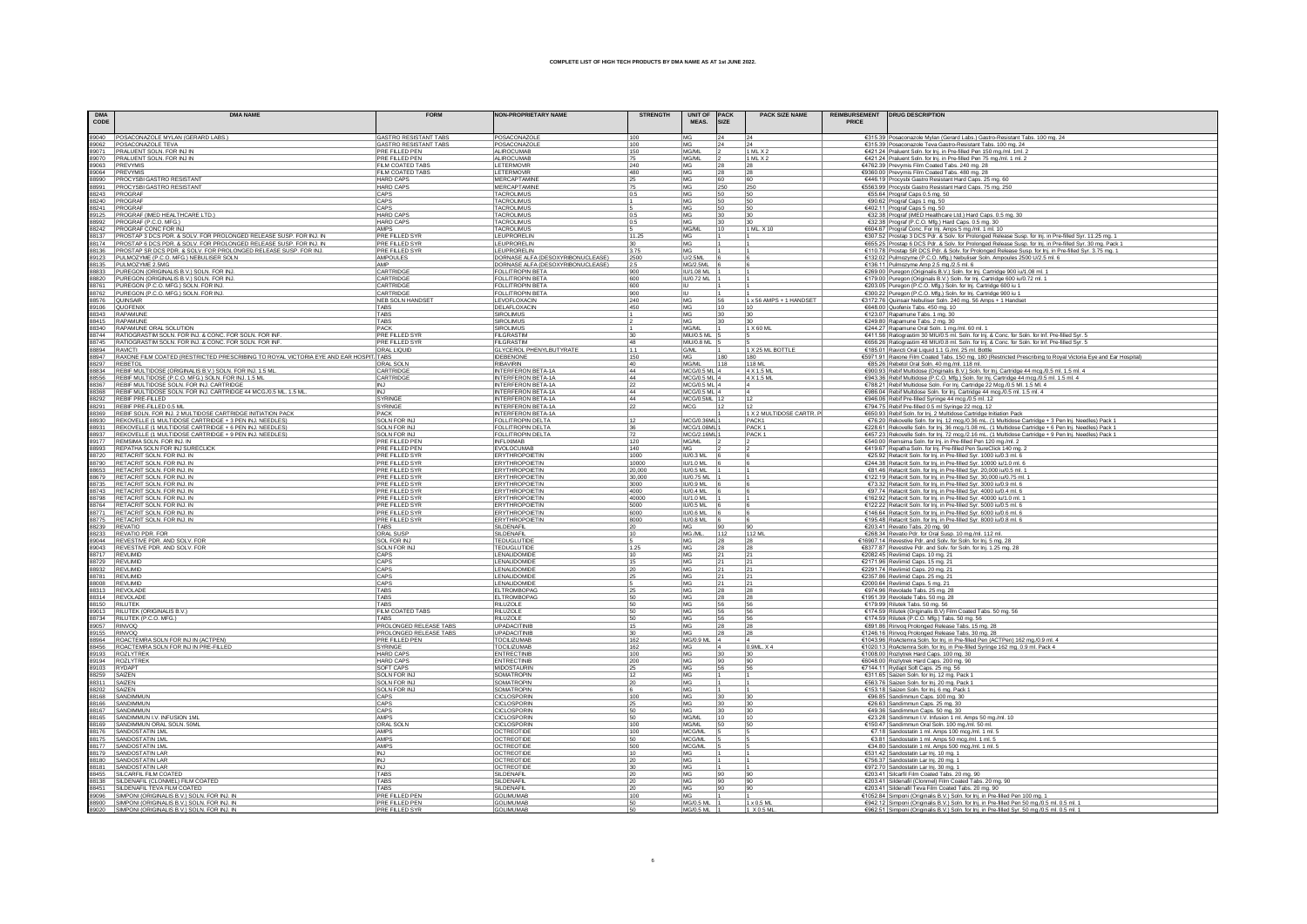| <b>DMA</b><br>CODE | <b>DMA NAME</b>                                                                                                                                      | <b>FORM</b>                             | <b>NON-PROPRIETARY NAME</b>                                            | <b>STRENGTH</b>  | UNIT OF PACK<br>MEAS.          | <b>SIZE</b> | <b>PACK SIZE NAME</b>      | PRICE | REIMBURSEMENT   DRUG DESCRIPTION                                                                                                                                                                                                                                                                                                                                 |
|--------------------|------------------------------------------------------------------------------------------------------------------------------------------------------|-----------------------------------------|------------------------------------------------------------------------|------------------|--------------------------------|-------------|----------------------------|-------|------------------------------------------------------------------------------------------------------------------------------------------------------------------------------------------------------------------------------------------------------------------------------------------------------------------------------------------------------------------|
|                    | 89040 POSACONAZOLE MYLAN (GERARD LABS.)                                                                                                              | GASTRO RESISTANT TABS                   | POSACONAZOLE                                                           | 100              | MG                             | 24          | 24                         |       | €315.39 Posaconazole Mylan (Gerard Labs.) Gastro-Resistant Tabs. 100 mg. 24                                                                                                                                                                                                                                                                                      |
| 89062              | POSACONAZOLE TEVA                                                                                                                                    | <b>GASTRO RESISTANT TABS</b>            | POSACONAZOLE                                                           | 100              | MG                             | 24          | 24                         |       | €315.39 Posaconazole Teva Gastro-Resistant Tabs. 100 mg. 24                                                                                                                                                                                                                                                                                                      |
| 89071              | PRALUENT SOLN. FOR INJ IN                                                                                                                            | PRE FILLED PEN                          | ALIROCUMAB                                                             | 150              | MG/ML                          |             | 1 ML X 2                   |       | €421.24 Praluent Soln. for Inj. in Pre-filled Pen 150 mg./ml. 1ml. 2                                                                                                                                                                                                                                                                                             |
|                    | 89070 PRALUENT SOLN. FOR INJ IN<br>89063 PREVYMIS                                                                                                    | PRE FILLED PEN<br>FILM COATED TABS      | ALIROCUMAB<br>LETERMOVIR                                               | 75<br>240        | MG/ML<br>MG                    | 28          | 1 ML X 2                   |       | €421.24 Praluent Soln. for Inj. in Pre-filled Pen 75 mg./ml. 1 ml. 2<br>€4762.39 Prevymis Film Coated Tabs. 240 mg. 28                                                                                                                                                                                                                                           |
|                    | 89064 PREVYMIS                                                                                                                                       | FILM COATED TABS                        | LETERMOVIR                                                             | 480              | MG                             | 28          | 28<br>28                   |       | €9360.00 Prevymis Film Coated Tabs. 480 mg. 28                                                                                                                                                                                                                                                                                                                   |
|                    | 88990 PROCYSBI GASTRO RESISTANT                                                                                                                      | <b>HARD CAPS</b>                        | <b>MERCAPTAMINE</b>                                                    | 25               | MG                             | 60          | 60                         |       | €446.19 Procysbi Gastro Resistant Hard Caps. 25 mg. 60                                                                                                                                                                                                                                                                                                           |
| 88991              | <b>PROCYSBI GASTRO RESISTANT</b>                                                                                                                     | <b>HARD CAPS</b>                        | MERCAPTAMINE                                                           | 75               | MG                             | 250         | 250                        |       | €5563.99 Procysbi Gastro Resistant Hard Caps. 75 mg. 250                                                                                                                                                                                                                                                                                                         |
|                    | 88243 PROGRAF                                                                                                                                        | CAPS                                    | <b>TACROLIMUS</b>                                                      | 0.5              | MG                             | 50          | 50                         |       | €55.64 Prograf Caps 0.5 mg. 50                                                                                                                                                                                                                                                                                                                                   |
|                    | 88240 PROGRAF                                                                                                                                        | CAPS                                    | <b>TACROLIMUS</b>                                                      |                  | MG                             | 50          | 50                         |       | €90.62 Prograf Caps 1 mg. 50                                                                                                                                                                                                                                                                                                                                     |
|                    | 88241 PROGRAF<br>89125 PROGRAF (IMED HEALTHCARE LTD.)                                                                                                | CAPS<br><b>HARD CAPS</b>                | <b>TACROLIMUS</b><br><b>TACROLIMUS</b>                                 | 0.5              | MG<br>MG                       | 50<br>30    | 50<br>30                   |       | €402.11 Prograf Caps 5 mg. 50<br>€32.38 Prograf (iMED Healthcare Ltd.) Hard Caps. 0.5 mg. 30                                                                                                                                                                                                                                                                     |
|                    | 88992 PROGRAF (P.C.O. MFG.)                                                                                                                          | <b>HARD CAPS</b>                        | <b>TACROLIMUS</b>                                                      | 0.5              | MG                             | 30          |                            |       | €32.38 Prograf (P.C.O. Mfg.) Hard Caps. 0.5 mg. 30                                                                                                                                                                                                                                                                                                               |
|                    | 88242 PROGRAF CONC FOR INJ                                                                                                                           | AMPS                                    | TACROLIMUS                                                             |                  | MG/ML                          | 10          | 1 ML X 10                  |       | €604.67 Prograf Conc. For Inj. Amps 5 mg/ml. 1 ml. 10                                                                                                                                                                                                                                                                                                            |
|                    | 88137 PROSTAP 3 DCS PDR. & SOLV. FOR PROLONGED RELEASE SUSP. FOR INJ. IN<br>88174 PROSTAP 6 DCS PDR. & SOLV. FOR PROLONGED RELEASE SUSP. FOR INJ. IN | <b>PRE FILLED SYR</b>                   | LEUPRORELIN                                                            | 11.25            | MG                             |             |                            |       | €307.52 Prostap 3 DCS Pdr. & Solv. for Prolonged Release Susp. for Inj. in Pre-filled Syr. 11.25 mg. 1                                                                                                                                                                                                                                                           |
|                    |                                                                                                                                                      | <b>PRE FILLED SYR</b>                   | LEUPRORELIN                                                            | 30               | MG.                            |             |                            |       | €655.25 Prostap 6 DCS Pdr. & Solv. for Prolonged Release Susp. for Inj. in Pre-filled Syr. 30 mg. Pack 1                                                                                                                                                                                                                                                         |
|                    | 88136 PROSTAP SR DCS PDR. & SOLV. FOR PROLONGED RELEASE SUSP. FOR INJ.                                                                               | PRE FILLED SYR                          | LEUPRORELIN                                                            | 3.75             | MG                             |             |                            |       | €110.78 Prostap SR DCS Pdr. & Solv. for Prolonged Release Susp. for Inj. in Pre-filled Syr. 3.75 mg. 1                                                                                                                                                                                                                                                           |
|                    | 89123 PULMOZYME (P.C.O. MFG.) NEBULISER SOLN<br>88135 PULMOZYME 2.5MG                                                                                | <b>AMPOULES</b><br>AMP                  | DORNASE ALFA (DESOXYRIBONUCLEASE)<br>DORNASE ALFA (DESOXYRIBONUCLEASE) | 2500<br>2.5      | U/2.5ML<br>MG/2.5ML            |             |                            |       | €132.02 Pulmozyme (P.C.O. Mfg.) Nebuliser Soln. Ampoules 2500 U/2.5 ml. 6                                                                                                                                                                                                                                                                                        |
|                    | 88833 PUREGON (ORIGINALIS B.V.) SOLN. FOR INJ.                                                                                                       | CARTRIDGE                               | FOLLITROPIN BETA                                                       | 900              | IU/1.08 ML                     |             |                            |       | €136.11 Pulmozyme Amp 2.5 mg / 2.5 ml. 6<br>€269.00 Puregon (Originalis B.V.) Soln. for Inj. Cartridge 900 iu/1.08 ml. 1                                                                                                                                                                                                                                         |
|                    |                                                                                                                                                      | CARTRIDGI                               |                                                                        | 600              | IU/0.72 ML                     |             |                            |       |                                                                                                                                                                                                                                                                                                                                                                  |
|                    | 88820 PUREGON (ORIGINALIS B.V.) SOLN. FOR INJ.<br>88761 PUREGON (P.C.O. MFG.) SOLN. FOR INJ.                                                         | CARTRIDGE                               | FOLLITROPIN BETA                                                       | 600              |                                |             |                            |       | €179.00 Puregon (Originals B.V.) Soln. for Inj. Cartridge 600 iu/0.72 ml. 1<br>€203.05 Puregon (P.C.O. Mfg.) Soln. for Inj. Cartridge 600 iu 1                                                                                                                                                                                                                   |
|                    | 88762 PUREGON (P.C.O. MFG.) SOLN. FOR INJ.                                                                                                           | CARTRIDGE                               | FOLLITROPIN BETA                                                       | 900              | <b>IU</b>                      |             |                            |       | €300.22 Puregon (P.C.O. Mfg.) Soln. for lnj. Cartridge 900 iu 1                                                                                                                                                                                                                                                                                                  |
|                    | 88576 QUINSAIR<br>89106 QUOFENIX                                                                                                                     | NEB SOLN HANDSET                        | <b>LEVOFLOXACIN</b>                                                    | 240              | <b>MG</b>                      | 56          | 1 x 56 AMPS + 1 HANDSET    |       | €3172.76 Quinsair Nebuliser Soln. 240 mg. 56 Amps + 1 Handset                                                                                                                                                                                                                                                                                                    |
|                    |                                                                                                                                                      | TABS<br>TABS                            | DELAFLOXACIN<br><b>SIROLIMUS</b>                                       | 450              | MG                             | 10<br> 30   | 10                         |       | €648.00 Quofenix Tabs. 450 mg. 10                                                                                                                                                                                                                                                                                                                                |
|                    | 88343 RAPAMUNE<br>88415 RAPAMUNE                                                                                                                     | <b>TARS</b>                             | SIROL IMUS                                                             |                  | MG<br>MG                       | 30          | 30                         |       | €123.07 Rapamune Tabs. 1 mg. 30<br>€249.80 Rapamune Tabs. 2 mg. 30                                                                                                                                                                                                                                                                                               |
|                    | 88340 RAPAMUNE ORAL SOLUTION                                                                                                                         | PACK                                    | SIROLIMUS                                                              |                  | MG/ML                          |             | 1 X 60 ML                  |       | €244.27 Rapamune Oral Soln. 1 mg./ml. 60 ml. 1                                                                                                                                                                                                                                                                                                                   |
|                    | 88744 RATIOGRASTIM SOLN. FOR INJ. & CONC. FOR SOLN. FOR INF.                                                                                         | PRE FILLED SYR                          | <b>FILGRASTIN</b>                                                      | 30               | MIU/0.5 ML 5                   |             |                            |       | €411.56 Ratiograstim 30 MIU/0.5 ml. Soln. for lnj. & Conc. for Soln. for lnf. Pre-filled Syr. 5                                                                                                                                                                                                                                                                  |
|                    | 88745 RATIOGRASTIM SOLN. FOR INJ. & CONC. FOR SOLN. FOR INF.                                                                                         | <b>PRE FILLED SYR</b>                   | FILGRASTIM                                                             | 48               | MIU/0.8 ML 5                   |             |                            |       | €656.26 Ratiograstim 48 MIU/0.8 ml. Soln. for lnj. & Conc. for Soln. for lnf. Pre-filled Syr. 5                                                                                                                                                                                                                                                                  |
| 88894 RAVICTI      |                                                                                                                                                      | <b>ORAL LIQUID</b>                      | <b>GLYCEROL PHENYLBUTYRATE</b>                                         | 1.1              | G/ML                           |             | 1 X 25 ML BOTTLE           |       | €185.01 Ravicti Oral Liquid 1.1 G./ml. 25 ml. Bottle                                                                                                                                                                                                                                                                                                             |
|                    | 88947   RAXONE FILM COATED (RESTRICTED PRESCRIBING TO ROYAL VICTORIA EYE AND EAR HOSPIT TABS                                                         |                                         | <b>IDEBENONE</b>                                                       | 150              | MG.                            | 180         | 180                        |       | €5971.91 Raxone Film Coated Tabs. 150 mg. 180 (Restricted Prescribing to Royal Victoria Eye and Ear Hospital)                                                                                                                                                                                                                                                    |
|                    | 88297 REBETOL<br>88834   REBIF MULTIDOSE (ORIGINALIS B.V.) SOLN. FOR INJ. 1.5 ML.                                                                    | <b>ORAL SOLN</b><br>CARTRIDGE           | <b>RIBAVIRIN</b><br><b>INTERFERON BETA-1A</b>                          | 40<br>44         | MG/ML<br>MCG/0.5 ML 4          | 118         | 118 MI<br>4 X 1.5 M        |       | €85.26 Rebetol Oral Soln. 40 mg./ml. 118 ml.                                                                                                                                                                                                                                                                                                                     |
|                    | 88556 REBIF MULTIDOSE (P.C.O. MFG.) SOLN. FOR INJ. 1.5 ML                                                                                            | CARTRIDGE                               | INTERFERON BETA-1A                                                     | 44               | MCG/0.5 ML 4                   |             | 4 X 1.5 ML                 |       | €900.93 Rebif Multidose (Originalis B.V.) Soln. for Inj. Cartridge 44 mcg./0.5 ml. 1.5 ml. 4<br>€943.36 Rebif Multidose (P.C.O. Mfg.) Soln. for Inj. Cartridge 44 mcg./0.5 ml. 1.5 ml. 4                                                                                                                                                                         |
|                    |                                                                                                                                                      | INJ                                     | <b>INTERFERON BETA-1A</b>                                              | 22               | MCG/0.5 ML 4                   |             |                            |       |                                                                                                                                                                                                                                                                                                                                                                  |
|                    | 88367 REBIF MULTIDOSE SOLN. FOR INJ. CARTRIDGE<br>88368 REBIF MULTIDOSE SOLN. FOR INJ. CARTRIDGE 44 MCG./0.5 ML. 1.5 ML                              | INJ                                     | INTERFERON BETA-1A                                                     | 44               | MCG/0.5 ML 4                   |             |                            |       | €788.21 Rebif Multidose Soln. For Inj. Cartridge 22 Mcg./0.5 Ml. 1.5 Ml. 4<br>€986.04 Rebif Multidose Soln. for Inj. Cartridge 44 mcg./0.5 ml. 1.5 ml. 4                                                                                                                                                                                                         |
|                    | 88292 REBIF PRE-FILLED                                                                                                                               | SYRINGE                                 | INTERFERON BETA-1A                                                     | 44               | MCG/0.5ML 12                   |             | 12                         |       | €946.06 Rebif Pre-filled Syringe 44 mcg./0.5 ml. 12                                                                                                                                                                                                                                                                                                              |
|                    | 88291 REBIF PRE-FILLED 0.5 ML                                                                                                                        | SYRINGE                                 | <b>INTERFERON BETA-1A</b>                                              | 22               | MCG                            |             |                            |       | €794.75 Rebif Pre-filled 0.5 ml Syringe 22 mcg. 12                                                                                                                                                                                                                                                                                                               |
|                    | 88369 REBIF SOLN. FOR INJ. 2 MULTIDOSE CARTRIDGE INITIATION PACK                                                                                     | PACK                                    | <b>INTERFERON BETA-1A</b>                                              |                  |                                |             | 1 X 2 MULTIDOSE CARTR. P   |       | €650.93 Rebif Soln. for Inj. 2 Multidose Cartridge Initiation Pack                                                                                                                                                                                                                                                                                               |
|                    | 88930 REKOVELLE (1 MULTIDOSE CARTRIDGE + 3 PEN INJ. NEEDLES)<br>88931 REKOVELLE (1 MULTIDOSE CARTRIDGE + 6 PEN INJ. NEEDLES)                         | SOLN FOR INJ<br><b>SOLN FOR INJ</b>     | <b>FOLLITROPIN DELTA</b><br><b>FOLLITROPIN DELTA</b>                   | 12<br>36         | MCG/0.36ML<br>MCG/1.08ML       |             | PACK1<br>PACK <sup>*</sup> |       | €76.20 Rekovelle Soln. for Inj. 12 mcg./0.36 mL. (1 Multidose Cartridge + 3 Pen Inj. Needles) Pack 1<br>€228.61 Rekovelle Soln. for Inj. 36 mcg./1.08 mL. (1 Multidose Cartridge + 6 Pen Inj. Needles) Pack 1                                                                                                                                                    |
|                    | 88937 REKOVELLE (1 MULTIDOSE CARTRIDGE + 9 PEN INJ. NEEDLES)                                                                                         | <b>SOLN FOR INJ</b>                     | FOLLITROPIN DELTA                                                      |                  | MCG/2.16ML                     |             | PACK <sub>1</sub>          |       | €457.23 Rekovelle Soln. for Inj. 72 mcg./2.16 mL. (1 Multidose Cartridge + 9 Pen Inj. Needles) Pack 1                                                                                                                                                                                                                                                            |
|                    | 89177 REMSIMA SOLN. FOR INJ. IN                                                                                                                      | PRE FILLED PEN                          | <b>INFLIXIMAB</b>                                                      | $\frac{72}{120}$ | MG/ML                          |             |                            |       |                                                                                                                                                                                                                                                                                                                                                                  |
|                    | 88993 REPATHA SOLN FOR INJ SURECLICK                                                                                                                 | PRE FILLED PEN                          | EVOLOCUMAB                                                             | 140              | MG                             |             |                            |       | €540.00 Remsima Soln. for Inj. in Pre-filled Pen 120 mg./ml. 2<br>€419.67 Repatha Soln. for Inj. Pre-filled Pen SureClick 140 mg. 2                                                                                                                                                                                                                              |
|                    | 88720 RETACRIT SOLN. FOR INJ. IN                                                                                                                     | <b>PRE FILLED SYR</b>                   | ERYTHROPOIETIN                                                         | 1000             | <b>IU/0.3 ML</b>               |             |                            |       | €25.92 Retacrit Soln. for Inj. in Pre-filled Syr. 1000 iu/0.3 ml. 6                                                                                                                                                                                                                                                                                              |
|                    | 88790 RETACRIT SOLN. FOR INJ. IN                                                                                                                     | <b>PRE FILLED SYR</b>                   | <b>ERYTHROPOIETIN</b>                                                  | 10000            | <b>IU/1.0 ML</b>               |             |                            |       | $\frac{\text{C44.48}}{\text{C42.10}}\frac{\text{R43.28}}{\text{R44.10}}\frac{\text{R43.28}}{\text{R44.10}}\frac{\text{C43.28}}{\text{R44.10}}\frac{\text{C43.28}}{\text{R44.10}}\frac{\text{C43.28}}{\text{R44.10}}\frac{\text{C43.28}}{\text{R44.10}}\frac{\text{C43.28}}{\text{R44.10}}\frac{\text{C43.28}}{\text{R44.10}}\frac{\text{C43.28}}{\text{R44.10}}$ |
|                    | 88653 RETACRIT SOLN. FOR INJ. IN                                                                                                                     | PRE FILLED SYR                          | <b>ERYTHROPOIETIN</b>                                                  | 20,000           | <b>IU/0.5 ML</b>               |             |                            |       |                                                                                                                                                                                                                                                                                                                                                                  |
|                    | 88679 RETACRIT SOLN. FOR INJ. IN<br>88735 RETACRIT SOLN. FOR INJ. IN                                                                                 | <b>PRE FILLED SYR</b><br>PRE FILLED SYR | <b>ERYTHROPOIETIN</b><br>ERYTHROPOIETIN                                | 30,000<br>3000   | <b>IU/0.75 ML</b><br>IU/0.9 ML |             |                            |       |                                                                                                                                                                                                                                                                                                                                                                  |
|                    | 88743 RETACRIT SOLN. FOR INJ. IN                                                                                                                     | PRE FILLED SYR                          | <b>ERYTHROPOIETIN</b>                                                  | 4000             | <b>IU/0.4 ML</b>               |             |                            |       |                                                                                                                                                                                                                                                                                                                                                                  |
|                    | 88798 RETACRIT SOLN. FOR INJ. IN                                                                                                                     | <b>PRE FILLED SYR</b>                   | <b>ERYTHROPOIETIN</b>                                                  | 40000            | <b>IU/1.0 ML</b>               |             |                            |       | €162.92 Retacrit Soln. for Inj. in Pre-filled Syr. 40000 iu/1.0 ml.                                                                                                                                                                                                                                                                                              |
|                    | 88764 RETACRIT SOLN, FOR INJ. IN<br>88771 RETACRIT SOLN, FOR INJ. IN<br>88775 RETACRIT SOLN, FOR INJ. IN                                             | PRE FILLED SYR                          | <b>ERYTHROPOIETIN</b>                                                  | 5000             | <b>IU/0.5 ML</b>               |             |                            |       |                                                                                                                                                                                                                                                                                                                                                                  |
|                    |                                                                                                                                                      | PRE FILLED SYR                          | <b>ERYTHROPOIETIN</b>                                                  | 6000             | IU/0.6 ML                      |             |                            |       | $E$ (122.22 Retacrit Soln. for Inj. in Pre-filled Syr. 5000 iu/0.5 ml. 6<br>$E$ 146.64 Retacrit Soln. for Inj. in Pre-filled Syr. 6000 iu/0.6 ml. 6<br>$E$ 195.48 Retacrit Soln. for Inj. in Pre-filled Syr. 8000 iu/0.8 ml. 6                                                                                                                                   |
|                    |                                                                                                                                                      | PRE FILLED SYR                          | ERYTHROPOIETIN                                                         | 8000             | <b>IU/0.8 ML</b>               |             |                            |       |                                                                                                                                                                                                                                                                                                                                                                  |
|                    | 88239 REVATIO                                                                                                                                        | TABS<br>ORAL SUSP                       | SILDENAFIL<br>SILDENAFI                                                | 20<br>10         | MG                             | 112         |                            |       | €203.41 Revatio Tabs. 20 mg. 90<br>€268.34 Revatio Pdr. for Oral Susp. 10 mg./ml. 112 ml.                                                                                                                                                                                                                                                                        |
|                    | 88233 REVATIO PDR. FOR<br>89044 REVESTIVE PDR. AND SOLV. FOR                                                                                         | SOL FOR IN.                             | <b>TEDUGLUTID</b>                                                      | 5                | MG./ML.<br>MG                  | 28          | 112 ML<br>28               |       | E16907.14 Revestive Pdr. and Solv. for Soln. for Inj. 5 mg. 28                                                                                                                                                                                                                                                                                                   |
|                    |                                                                                                                                                      | <b>SOLN FOR INJ</b>                     | <b>TEDUGLUTIDE</b>                                                     | 1.25             | MG                             | 28          | 28                         |       | €8377.87 Revestive Pdr. and Solv. for Soln. for Inj. 1.25 mg. 28                                                                                                                                                                                                                                                                                                 |
|                    | 89043 REVESTIVE PDR. AND SOLV. FOR                                                                                                                   | CAPS                                    | LENALIDOMIDE                                                           | 10               | MG                             | 21          | 21                         |       |                                                                                                                                                                                                                                                                                                                                                                  |
|                    | 88729 REVLIMID                                                                                                                                       | CAPS                                    | LENALIDOMIDE                                                           | 15               | MG                             | 21          | 21                         |       | €2082.45 Revlimid Caps. 10 mg. 21<br>€2171.96 Revlimid Caps. 15 mg. 21                                                                                                                                                                                                                                                                                           |
|                    | 88932 REVLIMID                                                                                                                                       | CAPS                                    | LENALIDOMIDE                                                           | 20               | <b>MG</b>                      | 21          | 21                         |       | €2291.74 Revlimid Caps. 20 mg. 21                                                                                                                                                                                                                                                                                                                                |
| 88781              | REVLIMID                                                                                                                                             | CAPS                                    | LENALIDOMIDI                                                           | 25               | MG                             | 21          | 21                         |       | €2357.86 Revlimid Caps. 25 mg. 21                                                                                                                                                                                                                                                                                                                                |
|                    | 88008 REVLIMID                                                                                                                                       | CAPS                                    | LENALIDOMIDI                                                           |                  | MG                             | 21          | 21                         |       | €2000.64 Revlimid Caps. 5 mg. 21                                                                                                                                                                                                                                                                                                                                 |
|                    | 88313 REVOLADE<br>88314 REVOLADE                                                                                                                     | TABS<br>TABS                            | ELTROMBOPAG<br>ELTROMBOPAG                                             | 25<br>50         | MG<br>MG                       | 28<br>28    | 28<br>28                   |       | €974.96 Revolade Tabs. 25 mg. 28<br>€1951.39 Revolade Tabs. 50 mg. 28                                                                                                                                                                                                                                                                                            |
|                    | 88150 RILUTEK                                                                                                                                        | TABS                                    | <b>RILUZOLE</b>                                                        | 50               | <b>MG</b>                      | 56          | 56                         |       | €179.99 Rilutek Tabs. 50 mg. 56                                                                                                                                                                                                                                                                                                                                  |
|                    | 89013 RILUTEK (ORIGINALIS B.V.)                                                                                                                      | FILM COATED TABS                        | <b>RILUZOLE</b>                                                        | 50               | <b>MG</b>                      | 56          | 56                         |       | €174.59 Rilutek (Originalis B.V) Film Coated Tabs. 50 mg. 56                                                                                                                                                                                                                                                                                                     |
| 88734              | RILUTEK (P.C.O. MFG.)                                                                                                                                | TABS                                    | RILUZOLE                                                               | 50               | MG                             | 56          | 56                         |       | €174.59 Rilutek (P.C.O. Mfg.) Tabs. 50 mg. 56                                                                                                                                                                                                                                                                                                                    |
| 89057 RINVOQ       |                                                                                                                                                      | <b>PROLONGED RELEASE TABS</b>           | <b>UPADACITINIE</b>                                                    | 15               | MG                             | 28          | 28                         |       | €891.86 Rinvoq Prolonged Release Tabs. 15 mg. 28                                                                                                                                                                                                                                                                                                                 |
|                    | 89155 RINVOQ<br>88964 ROACTEMRA SOLN FOR INJ IN (ACTPEN)                                                                                             | PROLONGED RELEASE TABS                  | UPADACITINIB                                                           | 30<br>162        | MG<br>$\vert$ 4                | 28          | 28                         |       | €1246.16 Rinvog Prolonged Release Tabs. 30 mg. 28<br>€1043.96 RoActemra Soln. for Inj. in Pre-filled Pen (ACTPen) 162 mg./0.9 ml. 4                                                                                                                                                                                                                              |
|                    | 88456 ROACTEMRA SOLN FOR INJ IN PRE-FILLED                                                                                                           | PRE FILLED PEN<br>SYRINGE               | <b>TOCILIZUMAE</b><br><b>TOCILIZUMAE</b>                               | 162              | MG/0.9 ML<br><b>MG</b>         |             | 0.9ML, X4                  |       | €1020.13 RoActemra Soln. for Inj. in Pre-filled Syringe 162 mg. 0.9 ml. Pack 4                                                                                                                                                                                                                                                                                   |
|                    | 89193 ROZLYTREK                                                                                                                                      | <b>HARD CAP</b>                         | <b>ENTRECTINI</b>                                                      | 100              | MG                             | 30          | 30                         |       | €1008.00 Rozlytrek Hard Caps. 100 mg. 30                                                                                                                                                                                                                                                                                                                         |
|                    | 89194 ROZLYTREK                                                                                                                                      | <b>HARD CAPS</b>                        | <b>ENTRECTINIE</b>                                                     | 200              | $MG$                           | 90          | 90                         |       | €6048.00 Rozlytrek Hard Caps. 200 mg. 90                                                                                                                                                                                                                                                                                                                         |
| 89103 RYDAPT       |                                                                                                                                                      | SOFT CAPS                               | <b>MIDOSTAURIN</b>                                                     | 25               | <b>MG</b>                      | 56          | 56                         |       | €7144.11 Rydapt Soft Caps. 25 mg. 56                                                                                                                                                                                                                                                                                                                             |
| 88259 SAIZEN       |                                                                                                                                                      | SOLN FOR INJ                            | <b>SOMATROPIN</b>                                                      | 12               | <b>MG</b>                      |             |                            |       | €311.65 Saizen Soln. for Inj. 12 mg. Pack 1                                                                                                                                                                                                                                                                                                                      |
| 88311 SAIZEN       |                                                                                                                                                      | <b>SOLN FOR IN.</b>                     | SOMATROPIN                                                             | 20               | MG                             |             |                            |       | €563.76 Saizen Soln. for Inj. 20 mg. Pack 1                                                                                                                                                                                                                                                                                                                      |
| 88202              | SAIZEN<br>88168 SANDIMMUN                                                                                                                            | <b>SOLN FOR IN.</b><br>CAPS             | SOMATROPIN<br><b>CICLOSPORIN</b>                                       | 100              | MG<br>MG                       | 30          | 30                         |       | €153.18 Saizen Soln. for Inj. 6 mg. Pack 1<br>€96.85 Sandimmun Caps. 100 mg. 30                                                                                                                                                                                                                                                                                  |
| 88166              | SANDIMMUN                                                                                                                                            | CAPS                                    | CICLOSPORIN                                                            | 25               | MG                             | 30          | 30                         |       | €26.63 Sandimmun Caps. 25 mg. 30                                                                                                                                                                                                                                                                                                                                 |
|                    | 88167 SANDIMMUN                                                                                                                                      | CAPS                                    | CICLOSPORI                                                             | 50               | MG                             | 30          | 30                         |       | €49.36 Sandimmun Caps. 50 mg. 30                                                                                                                                                                                                                                                                                                                                 |
|                    | 88165 SANDIMMUN I.V. INFUSION 1ML                                                                                                                    | AMPS                                    | <b>CICLOSPORIN</b>                                                     | 50               | MG/ML                          | 10          | 10                         |       | €23.28 Sandimmun LV. Infusion 1 ml. Amps 50 mg/ml. 10                                                                                                                                                                                                                                                                                                            |
|                    | 88169 SANDIMMUN ORAL SOLN. 50MI                                                                                                                      | ORAL SOLM                               | CICLOSPORI                                                             | 100              | MG/ML                          | 50          | 50                         |       | €150.47 Sandimmun Oral Soln. 100 mg./ml. 50 ml.                                                                                                                                                                                                                                                                                                                  |
|                    | 88176 SANDOSTATIN 1ML                                                                                                                                | AMPS                                    | <b>OCTREOTIDE</b>                                                      | 100              | MCG/ML                         |             |                            |       | €7.18 Sandostatin 1 ml. Amps 100 mcg./ml. 1 ml. 5                                                                                                                                                                                                                                                                                                                |
|                    | 88175 SANDOSTATIN 1ML<br>88177 SANDOSTATIN 1ML                                                                                                       | AMPS<br>AMPS                            | <b>OCTREOTIDE</b><br><b>OCTREOTIDE</b>                                 | 50<br>500        | MCG/ML<br>MCG/ML               |             |                            |       | €3.81 Sandostatin 1 ml. Amps 50 mcg./ml. 1 ml. 5                                                                                                                                                                                                                                                                                                                 |
|                    | 88179 SANDOSTATIN LAR                                                                                                                                | INJ                                     | <b>OCTREOTIDE</b>                                                      | 10               | MG                             |             |                            |       | €34.80 Sandostatin 1 ml. Amps 500 mcg./ml. 1 ml. 5<br>€531.42 Sandostatin Lar Inj. 10 mg. 1                                                                                                                                                                                                                                                                      |
|                    |                                                                                                                                                      | INJ                                     | <b>OCTREOTIDE</b>                                                      | 20               | MG                             |             |                            |       | €756.37 Sandostatin Lar Inj. 20 mg. 1                                                                                                                                                                                                                                                                                                                            |
|                    | 88180 SANDOSTATIN LAR<br>88181 SANDOSTATIN LAR                                                                                                       | INJ                                     | <b>OCTREOTIDE</b>                                                      | 30               | MG                             |             |                            |       | €972.70 Sandostatin Lar Inj. 30 mg. 1                                                                                                                                                                                                                                                                                                                            |
|                    | 88455 SILCARFIL FILM COATED                                                                                                                          | TABS                                    | SILDENAFIL                                                             |                  | MG                             | 90          | 90                         |       | €203.41 Silcarfil Film Coated Tabs. 20 mg. 90                                                                                                                                                                                                                                                                                                                    |
| 88138              | SILDENAFIL (CLONMEL) FILM COATED                                                                                                                     | TABS                                    | SILDENAFI                                                              |                  | MG                             | 90          | 90                         |       | €203.41 Sildenafil (Clonmel) Film Coated Tabs. 20 mg. 90                                                                                                                                                                                                                                                                                                         |
|                    | 88451 SILDENAFIL TEVA FILM COATED                                                                                                                    | <b>TARS</b>                             | SILDENAFI                                                              | 20               | MG                             | 90          | 90                         |       | €203.41 Sildenafil Teva Film Coated Tabs. 20 mg. 90                                                                                                                                                                                                                                                                                                              |
|                    | 89096 SIMPONI (ORIGINALIS B.V.) SOLN. FOR INJ. IN                                                                                                    | PRE FILLED PEN<br>PRE FILLED PEN        | <b>GOLIMUMAE</b><br><b>GOLIMUMAE</b>                                   | 100<br>50        | MG<br>MG/0.5 ML 1              |             | 1 x 0.5 M                  |       | €1052.84 Simponi (Originalis B.V.) Soln. for Inj. in Pre-filled Pen 100 mg. 1                                                                                                                                                                                                                                                                                    |
|                    | 88900 SIMPONI (ORIGINALIS B.V.) SOLN. FOR INJ. IN                                                                                                    |                                         |                                                                        |                  |                                |             |                            |       | €942.12 Simponi (Originalis B.V.) Soln. for Inj. in Pre-filled Pen 50 mg./0.5 ml. 0.5 ml. 1<br>alis R V ) Soln for Ini in Pro-filled Syr 50 mg /0.4                                                                                                                                                                                                              |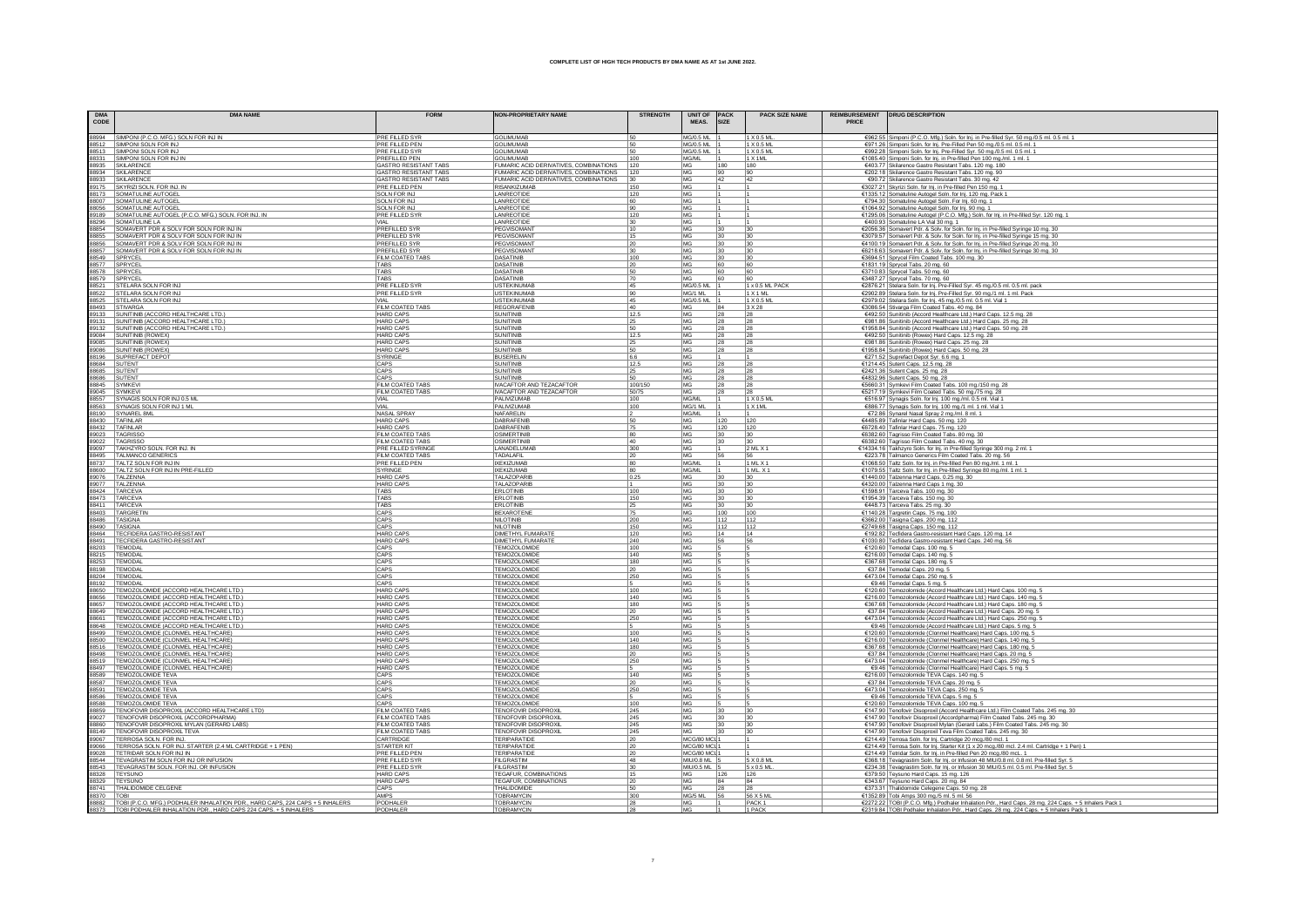| <b>DMA</b><br>CODE | <b>DMA NAME</b>                                                                                                                      | <b>FORM</b>                                    | <b>NON-PROPRIETARY NAME</b>                                                      | <b>STRENGTH</b> | UNIT OF PACK<br>MEAS.<br>SIZE           | <b>PACK SIZE NAME</b>                                                               | PRICE | REIMBURSEMENT   DRUG DESCRIPTION                                                                                                                           |
|--------------------|--------------------------------------------------------------------------------------------------------------------------------------|------------------------------------------------|----------------------------------------------------------------------------------|-----------------|-----------------------------------------|-------------------------------------------------------------------------------------|-------|------------------------------------------------------------------------------------------------------------------------------------------------------------|
|                    | 88994 SIMPONI (P.C.O. MFG.) SOLN FOR INJ IN                                                                                          | PRE FILLED SYR                                 | <b>GOLIMUMAB</b>                                                                 | 50              | MG/0.5 ML                               | 1 X 0.5 ML.                                                                         |       | €962.55 Simponi (P.C.O. Mfg.) Soln. for Inj. in Pre-filled Syr. 50 mg./0.5 ml. 0.5 ml. 1                                                                   |
|                    | 88512 SIMPONI SOLN FOR INJ                                                                                                           | PRE FILLED PEN                                 | <b>GOLIMUMAB</b>                                                                 | 50              | MG/0.5 ML                               | 1 X 0.5 ML                                                                          |       | €971.26 Simponi Soln. for Inj. Pre-Filled Pen 50 mg/0.5 ml. 0.5 ml. 1                                                                                      |
| 88513              | SIMPONI SOLN FOR INJ                                                                                                                 | PRE FILLED SYR                                 | <b>GOLIMUMAE</b>                                                                 | 50              | MG/0.5 ML                               | 1 X 0.5 M                                                                           |       | €992.28 Simponi Soln. for Inj. Pre-Filled Syr. 50 mg./0.5 ml. 0.5 ml. 1                                                                                    |
| 88331              | SIMPONI SOLN FOR INJ IN                                                                                                              | PREFILLED PEN                                  | <b>GOLIMUMAE</b>                                                                 | 100             | MG/ML                                   | 1 X 1 ML                                                                            |       | €1085.40 Simponi Soln. for Inj. in Pre-filled Pen 100 mg./ml. 1 ml. 1                                                                                      |
|                    | 88935 SKILARENCE<br>88934 SKILARENCE                                                                                                 | GASTRO RESISTANT TABS<br>GASTRO RESISTANT TABS | FUMARIC ACID DERIVATIVES, COMBINATIONS                                           | 120             | MG<br>180<br>MG                         | 180<br>90                                                                           |       | €403.77 Skilarence Gastro Resistant Tabs. 120 mg. 180                                                                                                      |
|                    | 88933 SKILARENCE                                                                                                                     | GASTRO RESISTANT TABS                          | FUMARIC ACID DERIVATIVES, COMBINATIONS<br>FUMARIC ACID DERIVATIVES, COMBINATIONS | 120<br>30       | 90<br>MG<br>42                          | 42                                                                                  |       | €202.18 Skilarence Gastro Resistant Tabs. 120 mg. 90<br>€90.72 Skilarence Gastro Resistant Tabs. 30 mg. 42                                                 |
| 89175              | SKYRIZI SOLN. FOR INJ. IN                                                                                                            | PRE FILLED PEN                                 | <b>RISANKIZUMAB</b>                                                              |                 | MG                                      |                                                                                     |       | €3027.21 Skyrizi Soln. for Inj. in Pre-filled Pen 150 mg. 1                                                                                                |
| 88173              | SOMATULINE AUTOGEL                                                                                                                   | SOLN FOR INJ                                   | LANREOTIDE                                                                       | 120             | MG                                      |                                                                                     |       | €1335.12 Somatuline Autogel Soln. for Inj. 120 mg. Pack 1                                                                                                  |
|                    | 88007 SOMATULINE AUTOGEL                                                                                                             | SOLN FOR INJ                                   | LANREOTIDE                                                                       | 60              | MG                                      |                                                                                     |       | €794.30 Somatuline Autogel Soln. For Inj. 60 mg. 1                                                                                                         |
|                    | 88056 SOMATULINE AUTOGEL                                                                                                             | SOLN FOR INJ                                   | LANREOTIDE                                                                       | 90              | MG                                      |                                                                                     |       | €1064.92 Somatuline Autogel Soln. for Inj. 90 mg. 1                                                                                                        |
| 89189              | SOMATULINE AUTOGEL (P.C.O. MFG.) SOLN. FOR INJ. IN<br>88296 SOMATULINE LA                                                            | PRE FILLED SYR                                 | LANREOTIDE<br>LANREOTIDE                                                         | 120<br>30       | MG<br>MG                                |                                                                                     |       | €1295.06 Somatuline Autogel (P.C.O. Mfg.) Soln. for Inj. in Pre-filled Syr. 120 mg. 1<br>€400.93 Somatuline LA Vial 30 mg. 1                               |
|                    | 88854 SOMAVERT PDR & SOLV FOR SOLN FOR INJ IN                                                                                        | PREFILLED SYR                                  | PEGVISOMAN'                                                                      | 10              | MG<br>30                                | 30                                                                                  |       | €2056.36 Somavert Pdr. & Solv. for Soln. for Inj. in Pre-filled Syringe 10 mg. 30                                                                          |
| 88855              | SOMAVERT PDR & SOLV FOR SOLN FOR INJ IN                                                                                              | <b>PREFILLED SYR</b>                           | PEGVISOMAN                                                                       | 15              | MG<br>30                                | 30                                                                                  |       | €3079.57 Somavert Pdr. & Solv. for Soln. for Inj. in Pre-filled Syringe 15 mg. 30                                                                          |
|                    | 88856 SOMAVERT PDR & SOLV FOR SOLN FOR INJ IN                                                                                        | PREFILLED SYR                                  | PEGVISOMAN                                                                       | 20              | MG.<br>30                               | 30                                                                                  |       | €4100.19 Somavert Pdr. & Solv. for Soln. for Inj. in Pre-filled Syringe 20 mg. 30                                                                          |
|                    | 88857 SOMAVERT PDR & SOLV FOR SOLN FOR INJ IN                                                                                        | PREFILLED SYR                                  | PEGVISOMANT                                                                      | 30              | MG<br>30                                | 30                                                                                  |       | €6218.63 Somavert Pdr. & Solv. for Soln. for Inj. in Pre-filled Syringe 30 mg. 30                                                                          |
|                    | 88549 SPRYCEL<br>88577 SPRYCEL                                                                                                       | FILM COATED TABS<br>TABS                       | <b>DASATINIB</b><br><b>DASATINIB</b>                                             | 100<br>20       | MG<br>30<br>MG<br>60                    | 30<br>60                                                                            |       | €3694.51 Sprycel Film Coated Tabs. 100 mg. 30<br>€1831.19 Sprycel Tabs. 20 mg. 60                                                                          |
|                    | 88578 SPRYCEL                                                                                                                        | TABS                                           | DASATINIB                                                                        | 50              | MG<br>60                                | 60                                                                                  |       | €3710.83 Sprycel Tabs. 50 mg. 60                                                                                                                           |
|                    | 88579 SPRYCEL<br>88521 STELARA SOLN FOR INJ                                                                                          | <b>TARS</b>                                    | DASATINIB                                                                        | 70              | <b>MG</b><br>60                         |                                                                                     |       | €3487.27 Sprycel Tabs. 70 mg. 60                                                                                                                           |
|                    |                                                                                                                                      | PRE FILLED SYR                                 | <b>USTEKINUMA</b>                                                                | 45              | MG/0.5 MI 1                             | $\begin{array}{ l l } \hline 60 \\ \hline 1 \times 0.5 \text{ ML PACK} \end{array}$ |       | €2876.21 Stelara Soln. for Inj. Pre-Filled Syr. 45 mg./0.5 ml. 0.5 ml. pack                                                                                |
|                    | 88522 STELARA SOLN FOR INJ                                                                                                           | PRE FILLED SYR                                 | <b>USTEKINUMAE</b>                                                               | 90              | MG/1 ML                                 | 1 X 1 M                                                                             |       | €2902.89 Stelara Soln. for Inj. Pre-Filled Syr. 90 mg/1 ml. 1 ml. Pack                                                                                     |
|                    | 88525 STELARA SOLN FOR INJ                                                                                                           |                                                | <b>USTEKINUMAE</b>                                                               | 45              | <b>MG/0.5 ML</b>                        | 1 X 0.5 M                                                                           |       | €2979.02 Stelara Soln. for Ini. 45 mg./0.5 ml. 0.5 ml. Vial 1                                                                                              |
|                    | 88493 STIVARGA                                                                                                                       | FILM COATED TABS                               | <b>REGORAFENIE</b><br>SUNITINIB                                                  | 40<br>12.5      | MG<br>84<br>MG<br>28                    | 3 X 28<br>28                                                                        |       | €3086.54 Stivarga Film Coated Tabs. 40 mg. 84                                                                                                              |
|                    | 89133 SUNITINIB (ACCORD HEALTHCARE LTD.)<br>89131 SUNITINIB (ACCORD HEALTHCARE LTD.)<br>89132 SUNITINIB (ACCORD HEALTHCARE LTD.)     | HARD CAPS<br>HARD CAPS                         | SUNITINIE                                                                        | 25              | MG<br>28                                | 28                                                                                  |       | €492.50 Sunitinib (Accord Healthcare Ltd.) Hard Caps. 12.5 mg. 28<br>€981.86 Sunitinib (Accord Healthcare Ltd.) Hard Caps. 25 mg. 28                       |
|                    |                                                                                                                                      | <b>HARD CAPS</b>                               | <b>SUNITINIE</b>                                                                 | 50              | MG<br>28                                | 28                                                                                  |       | €1958.84 Sunitinib (Accord Healthcare Ltd.) Hard Caps. 50 mg. 28                                                                                           |
|                    | 89084 SUNITINIB (ROWEX)                                                                                                              | <b>HARD CAPS</b>                               | <b>SUNITINIE</b>                                                                 | 12.5            | MG<br>28                                | 28                                                                                  |       | €492.50 Sunitinib (Rowex) Hard Caps. 12.5 mg. 28                                                                                                           |
|                    | 99085 SUNITINIB (ROWEX)<br>89086 SUNITINIB (ROWEX)<br>88196 SUPREFACT DEPOT<br>88684 SUTENT<br>88685 SUTENT                          | <b>HARD CAPS</b>                               | SUNITINIE                                                                        | 25              | MG<br>28                                | 28                                                                                  |       | €981.86 Sunitinib (Rowex) Hard Caps. 25 mg. 28                                                                                                             |
|                    |                                                                                                                                      | <b>HARD CAPS</b>                               | SUNITINIE<br><b>BUSERELIN</b>                                                    | 50              | MG<br>28<br>MG                          | 28                                                                                  |       | €1958.84 Sunitinib (Rowex) Hard Caps. 50 mg. 28                                                                                                            |
|                    |                                                                                                                                      | SYRINGE<br>CAPS                                | <b>SUNITINIB</b>                                                                 | 6.6             | <b>IMG</b><br>28                        | 28                                                                                  |       | €271.52 Suprefact Depot Syr. 6.6 mg. 1                                                                                                                     |
|                    |                                                                                                                                      | CAPS                                           | <b>SUNITINIE</b>                                                                 | 12.5            | <b>MG</b><br>28                         | 28                                                                                  |       | €1214.45 Sutent Caps. 12.5 mg. 28<br>€2421.36 Sutent Caps. 25 mg. 28                                                                                       |
|                    | 88686 SUTENT                                                                                                                         | CAPS                                           | <b>SUNITINIB</b>                                                                 | 50              | MG<br>28                                | 28                                                                                  |       | €4832.96 Sutent Caps. 50 mg. 28                                                                                                                            |
|                    | 88845 SYMKEVI                                                                                                                        | FILM COATED TABS                               | IVACAFTOR AND TEZACAFTOR                                                         | 100/150         | MG<br>28                                | 28                                                                                  |       | €5660.31 Symkevi Film Coated Tabs. 100 mg./150 mg. 28                                                                                                      |
|                    | 89045 SYMKEVI                                                                                                                        | FILM COATED TABS                               | IVACAFTOR AND TEZACAFTOR                                                         | 50/75           | MG                                      |                                                                                     |       | €5217.19 Symkevi Film Coated Tabs. 50 mg./75 mg. 28                                                                                                        |
|                    | 88557 SYNAGIS SOLN FOR INJ 0.5 ML<br>88563 SYNAGIS SOLN FOR INJ 1 ML                                                                 | VIAL                                           | PALIVIZUMAB<br>PALIVIZUMAB                                                       | 100             | MG/ML<br>MG/1 ML                        | 1 X 0.5 ML<br>1 X 1 ML                                                              |       | €516.97 Synagis Soln. for lnj. 100 mg./ml. 0.5 ml. Vial 1                                                                                                  |
|                    | 88190 SYNAREL 8ML                                                                                                                    | VIAL<br>NASAL SPRAY                            | NAFARELIN                                                                        | 100             | MG/ML                                   |                                                                                     |       | €886.77 Synagis Soln. for Inj. 100 mg./1 ml. 1 ml. Vial 1<br>€72.86 Synarel Nasal Spray 2 mg./ml. 8 ml. 1                                                  |
|                    |                                                                                                                                      | <b>HARD CAPS</b>                               | DABRAFFNIE                                                                       | 50              | MG<br>120                               | 120                                                                                 |       | €4485.89 Tafinlar Hard Caps. 50 mg. 120                                                                                                                    |
|                    | 88430 TAFINLAR<br>88432 TAFINLAR<br>89023 TAGRISSO                                                                                   | <b>HARD CAPS</b>                               | <b>DABRAFENIE</b>                                                                | 75              | <b>IMG</b><br>120                       | 120                                                                                 |       | €6728.40 Tafinlar Hard Caps. 75 mg. 120                                                                                                                    |
|                    |                                                                                                                                      | FILM COATED TABS                               | OSIMERTINIE                                                                      | 80              | <b>IMG</b><br>30                        | 30                                                                                  |       | €6382.60 Tagrisso Film Coated Tabs. 80 mg. 30                                                                                                              |
|                    | 89022 TAGRISSO                                                                                                                       | FILM COATED TABS                               | OSIMERTINIE                                                                      | 40              | MG<br> 30                               | 30                                                                                  |       | €6382.60 Tagrisso Film Coated Tabs. 40 mg. 30<br>€14334.16 Takhzyro Soln. for Inj. in Pre-filled Syringe 300 mg. 2 ml. 1                                   |
|                    | 89097 TAKHZYRO SOLN. FOR INJ. IN<br>88495 TALMANCO GENERICS                                                                          | PRE FILLED SYRINGE<br>FILM COATED TABS         | LANADELUMAE<br>TADALAFIL                                                         | 300<br>20       | MG<br>MG<br>56                          | 2MLX1                                                                               |       | €223.78 Talmanco Generics Film Coated Tabs. 20 mg. 56                                                                                                      |
|                    |                                                                                                                                      | PRE FILLED PEN                                 | <b>IXEKIZUMAE</b>                                                                | 80              | MG/ML                                   | $1$ ML X <sup>-</sup>                                                               |       |                                                                                                                                                            |
|                    | 88737 TALTZ SOLN FOR INJ IN<br>88600 TALTZ SOLN FOR INJ IN PRE-FILLED                                                                | <b>SYRINGE</b>                                 | <b>IXEKIZUMAB</b>                                                                | 80              | MG/ML                                   | 1 ML. X                                                                             |       | €1068.50 Taltz Soln. for lnj. in Pre-filled Pen 80 mg./ml. 1 ml. 1<br>€1079.55 Taltz Soln. for lnj. in Pre-filled Syringe 80 mg./ml. 1 ml. 1               |
|                    | 89076 TALZENNA                                                                                                                       | <b>HARD CAPS</b>                               | TALAZOPARIB                                                                      | 0.25            | MG<br>130                               | 30                                                                                  |       | €1440.00 Talzenna Hard Caps. 0.25 mg. 30                                                                                                                   |
|                    | 89077 TALZENNA                                                                                                                       | <b>HARD CAPS</b>                               | TALAZOPARIE                                                                      |                 | MG<br> 30                               | 30                                                                                  |       | €4320.00 Talzenna Hard Caps 1 mg. 30                                                                                                                       |
|                    | 88424 TARCEVA<br>88473 TARCEVA                                                                                                       | TABS<br><b>TABS</b>                            | <b>ERLOTINIB</b><br>ERLOTINIB                                                    | 100<br>150      | MG<br> 30<br>MG<br>30                   | 30<br>30                                                                            |       | €1598.91 Tarceva Tabs. 100 mg. 30<br>€1954.39 Tarceva Tabs. 150 mg. 30                                                                                     |
|                    |                                                                                                                                      | TABS                                           | ERLOTINIB                                                                        | 25              | MG<br>30                                | 30                                                                                  |       | €448.73 Tarceva Tabs. 25 mg. 30                                                                                                                            |
|                    | 88411 TARCEVA<br>88403 TARGRETIN<br>88486 TASIGNA                                                                                    | CAPS                                           | <b>BEXAROTENI</b>                                                                | 75              | 100<br>MG                               | 100                                                                                 |       | €1140.28 Targretin Caps. 75 mg. 100                                                                                                                        |
|                    |                                                                                                                                      | CAPS                                           | <b>NILOTINIB</b>                                                                 | 200             | <b>MG</b><br>112                        | 1112                                                                                |       | €3662.00 Tasigna Caps. 200 mg. 112                                                                                                                         |
|                    | 88490 TASIGNA                                                                                                                        | CAPS                                           | <b>NILOTINIB</b>                                                                 | 150             | <b>MG</b><br>112                        | 112                                                                                 |       | €2749.68 Tasigna Caps. 150 mg. 112                                                                                                                         |
|                    | 88464 TECFIDERA GASTRO-RESISTANT<br>88491 TECFIDERA GASTRO-RESISTANT                                                                 | <b>HARD CAPS</b><br><b>HARD CAPS</b>           | DIMETHYL FUMARATE<br><b>DIMETHYL FUMARATE</b>                                    | 120             | MG<br>14<br>MG<br>56                    | 14<br>56                                                                            |       | €192.82 Tecfidera Gastro-resistant Hard Caps. 120 mg. 14                                                                                                   |
|                    |                                                                                                                                      | CAPS                                           | <b>TEMOZOLOMIDE</b>                                                              | 240<br>100      | MG                                      |                                                                                     |       | E1030.80 Tecfidera Gastro-resistant Hard Caps. 240 mg. 56<br>€120.60 Temodal Caps. 100 mg. 5                                                               |
|                    | 88203 TEMODAL<br>88215 TEMODAL                                                                                                       | CAPS                                           | TEMOZOLOMIDE                                                                     | 140             | MG                                      |                                                                                     |       | €216.00 Temodal Caps. 140 mg. 5                                                                                                                            |
|                    | 88253 TEMODAL                                                                                                                        | CAPS                                           | TEMOZOLOMIDE                                                                     | 180             | MG                                      |                                                                                     |       | €367.68 Temodal Caps. 180 mg. 5                                                                                                                            |
|                    | 88198 TEMODAL                                                                                                                        | CAPS                                           | <b>TEMOZOLOMIDE</b>                                                              | 20              | MG                                      |                                                                                     |       | €37.84 Temodal Caps. 20 mg. 5                                                                                                                              |
| 88204              | TEMODAL                                                                                                                              | CAPS                                           | <b>TEMOZOLOMIDE</b>                                                              | 250             | MG                                      |                                                                                     |       | €473.04 Temodal Caps. 250 mg. 5                                                                                                                            |
|                    | 88192 TEMODAL                                                                                                                        | CAPS                                           | <b>TEMOZOLOMIDE</b>                                                              |                 | MG                                      |                                                                                     |       | €9.46 Temodal Caps. 5 mg. 5                                                                                                                                |
|                    | 88650 TEMOZOLOMIDE (ACCORD HEALTHCARE LTD.)<br>88656 TEMOZOLOMIDE (ACCORD HEALTHCARE LTD.)                                           | <b>HARD CAPS</b><br><b>HARD CAPS</b>           | TEMOZOLOMIDE<br>TEMOZOLOMIDE                                                     | 100<br>140      | MG<br>MG                                |                                                                                     |       | €120.60 Temozolomide (Accord Healthcare Ltd.) Hard Caps. 100 mg. 5<br>€216.00 Temozolomide (Accord Healthcare Ltd.) Hard Caps. 140 mg. 5                   |
|                    | 88657   TEMOZOLOMIDE (ACCORD HEALTHCARE LTD.)                                                                                        | <b>HARD CAPS</b>                               | TEMOZOLOMIDE                                                                     | 180             | MG                                      |                                                                                     |       | €367.68 Temozolomide (Accord Healthcare Ltd.) Hard Caps. 180 mg. 5                                                                                         |
|                    | 88649   TEMOZOLOMIDE (ACCORD HEALTHCARE LTD.)                                                                                        | <b>HARD CAPS</b>                               | <b>TEMOZOLOMIDE</b>                                                              | 20              | MG                                      |                                                                                     |       | €37.84 Temozolomide (Accord Healthcare Ltd.) Hard Caps. 20 mg. 5                                                                                           |
| 88661              | TEMOZOLOMIDE (ACCORD HEALTHCARE LTD.)                                                                                                | <b>HARD CAPS</b>                               | TEMOZOLOMIDE                                                                     | 250             | MG                                      |                                                                                     |       | €473.04 Temozolomide (Accord Healthcare Ltd.) Hard Caps. 250 mg. 5                                                                                         |
|                    | 88648   TEMOZOLOMIDE (ACCORD HEALTHCARE LTD.)                                                                                        | <b>HARD CAPS</b>                               | <b>TEMOZOLOMIDE</b>                                                              |                 | MG                                      |                                                                                     |       | €9.46 Temozolomide (Accord Healthcare Ltd.) Hard Caps. 5 mg. 5                                                                                             |
|                    | 88499 TEMOZOLOMIDE (CLONMEL HEALTHCARE)<br>88500 TEMOZOLOMIDE (CLONMEL HEALTHCARE)                                                   | <b>HARD CAPS</b>                               | TEMOZOLOMIDE<br><b>TEMOZOLOMIDE</b>                                              | 100             | MG<br>MG                                |                                                                                     |       | €120.60 Temozolomide (Clonmel Healthcare) Hard Caps. 100 mg. 5                                                                                             |
|                    | 88516   TEMOZOLOMIDE (CLONMEL HEALTHCARE)                                                                                            | <b>HARD CAPS</b><br><b>HARD CAPS</b>           | <b>TEMOZOLOMIDE</b>                                                              | 140<br>180      | MG                                      |                                                                                     |       | €216.00 Temozolomide (Clonmel Healthcare) Hard Caps. 140 mg. 5<br>€367.68 Temozolomide (Clonmel Healthcare) Hard Caps. 180 mg. 5                           |
|                    | 88498   TEMOZOLOMIDE (CLONMEL HEALTHCARE)                                                                                            | <b>HARD CAPS</b>                               | <b>TEMOZOLOMIDE</b>                                                              | 20              | MG                                      |                                                                                     |       | €37.84 Temozolomide (Clonmel Healthcare) Hard Caps. 20 mg. 5                                                                                               |
| 88519              | TEMOZOLOMIDE (CLONMEL HEALTHCARE)                                                                                                    | <b>HARD CAPS</b>                               | TEMOZOLOMIDE                                                                     | 250             | MG                                      |                                                                                     |       | €473.04 Temozolomide (Clonmel Healthcare) Hard Caps. 250 mg. 5                                                                                             |
|                    | 88497   TEMOZOLOMIDE (CLONMEL HEALTHCARE)                                                                                            | <b>HARD CAPS</b>                               | TEMOZOLOMIDE                                                                     |                 | MG                                      |                                                                                     |       | €9.46 Temozolomide (Clonmel Healthcare) Hard Caps. 5 mg. 5                                                                                                 |
|                    | 88589   TEMOZOLOMIDE TEVA                                                                                                            | CAPS                                           | TEMOZOLOMIDE                                                                     | 140             | MG                                      |                                                                                     |       | €216.00 Temozolomide TEVA Caps. 140 mg. 5                                                                                                                  |
|                    | 88587 TEMOZOLOMIDE TEVA                                                                                                              | CAPS                                           | TEMOZOLOMIDE                                                                     | 20              | MG                                      |                                                                                     |       | €37.84 Temozolomide TEVA Caps. 20 mg. 5                                                                                                                    |
|                    | 88591 TEMOZOLOMIDE TEVA<br>88586 TEMOZOLOMIDE TEVA                                                                                   | CAPS<br>CAPS                                   | TEMOZOLOMIDE<br>TEMOZOLOMIDE                                                     | 250             | MG<br>MG                                |                                                                                     |       | €473.04 Temozolomide TEVA Caps. 250 mg. 5<br>€9.46 Temozolomide TEVA Caps. 5 mg. 5                                                                         |
|                    | 88588 TEMOZOLOMIDE TEVA                                                                                                              | CAPS                                           | TEMOZOLOMIDE                                                                     | 100             | MG                                      |                                                                                     |       | €120.60 Temozolomide TEVA Caps. 100 mg. 5                                                                                                                  |
|                    | 88859   TENOFOVIR DISOPROXIL (ACCORD HEALTHCARE LTD)                                                                                 | FILM COATED TABS                               | <b>TENOFOVIR DISOPROXIL</b>                                                      | 245             | MG<br>30                                | 30                                                                                  |       | €147.90 Tenofovir Disoproxil (Accord Healthcare Ltd.) Film Coated Tabs. 245 mg. 30                                                                         |
| 89027              | TENOFOVIR DISOPROXIL (ACCORDPHARMA)                                                                                                  | FILM COATED TABS                               | <b>TENOFOVIR DISOPROXIL</b>                                                      | 245             | MG<br>30                                | 30                                                                                  |       | €147.90 Tenofovir Disoproxil (Accordpharma) Film Coated Tabs. 245 mg. 30                                                                                   |
|                    | 88860   TENOFOVIR DISOPROXIL MYLAN (GERARD LABS)                                                                                     | FILM COATED TABS                               | <b>TENOFOVIR DISOPROXIL</b>                                                      | 245             | MG<br>30                                | 30                                                                                  |       | €147.90 Tenofovir Disoproxil Mylan (Gerard Labs.) Film Coated Tabs. 245 mg. 30                                                                             |
|                    | 88149 TENOFOVIR DISOPROXIL TEVA                                                                                                      | FILM COATED TABS<br>CARTRIDGE                  | <b>TENOFOVIR DISOPROXIL</b><br><b>TERIPARATIDE</b>                               | 245             | MG<br> 30                               | 30                                                                                  |       | €147.90 Tenofovir Disoproxil Teva Film Coated Tabs. 245 mg. 30                                                                                             |
|                    | 89067 TERROSA SOLN. FOR INJ.<br>89066   TERROSA SOLN. FOR INJ. STARTER (2.4 ML CARTRIDGE + 1 PEN)                                    | STARTER KIT                                    | <b>TERIPARATIDE</b>                                                              | 20<br>20        | MCG/80 MCI 1<br>MCG/80 MCI <sup>-</sup> |                                                                                     |       | €214.49 Terrosa Soln. for Inj. Cartridge 20 mcg./80 mcl. 1<br>€214.49 Terrosa Soln. for Inj. Starter Kit (1 x 20 mcg./80 mcl. 2.4 ml. Cartridge + 1 Pen) 1 |
|                    | 89028   TETRIDAR SOLN FOR INJ IN                                                                                                     | PRE FILLED PEN                                 | <b>TERIPARATIDE</b>                                                              | 20              | MCG/80 MCI                              |                                                                                     |       | €214.49 Tetridar Soln. for Inj. in Pre-filled Pen 20 mcg./80 mcL. 1                                                                                        |
| 88544              | TEVAGRASTIM SOLN FOR INJ OR INFUSION                                                                                                 | PRE FILLED SYR                                 | <b>FILGRASTIM</b>                                                                | 48              | MIU/0.8 ML                              | 5 X 0.8 ML                                                                          |       | €368.18 Tevagrastim Soln. for Inj. or Infusion 48 MIU/0.8 ml. 0.8 ml. Pre-filled Syr. 5                                                                    |
|                    | 88543   TEVAGRASTIM SOLN. FOR INJ. OR INFUSION                                                                                       | PRE FILLED SYR                                 | <b>FILGRASTIM</b>                                                                | 30              | <b>MIU/0.5 ML</b>                       | $5 \times 0.5$ ML                                                                   |       | €234.38 Tevagrastim Soln. for Inj. or Infusion 30 MIU/0.5 ml. 0.5 ml. Pre-filled Syr. 5                                                                    |
|                    | 88328 TEYSUNO                                                                                                                        | <b>HARD CAPS</b>                               | <b>TEGAFUR, COMBINATIONS</b>                                                     | 15              | MG<br>126                               | 126                                                                                 |       | €379.50 Teysuno Hard Caps. 15 mg. 126                                                                                                                      |
|                    | 88329 TEYSUNO                                                                                                                        | <b>HARD CAPS</b><br>CAPS                       | <b>TEGAFUR, COMBINATIONS</b><br>THALIDOMIDE                                      | 20<br>50        | MG<br>84<br>MG.<br>28                   | 84<br>28                                                                            |       | €343.67 Teysuno Hard Caps. 20 mg. 84                                                                                                                       |
|                    | 88741   THALIDOMIDE CELGENE<br>88370   TOBI<br>88882   TOBI (P.C.O. MFG.) PODHALER INHALATION PDR., HARD CAPS, 224 CAPS + 5 INHALERS | AMPS                                           | <b>TOBRAMYCIN</b>                                                                | 300             | MG/5 ML 56                              | 56 X 5 ML                                                                           |       | €373.31 Thalidomide Celegene Caps. 50 mg. 28<br>€1352.89 Tobi Amps 300 mg./5 ml. 5 ml. 56                                                                  |
|                    |                                                                                                                                      | PODHALER                                       | <b>TOBRAMYCIN</b>                                                                | 28              |                                         | PACK <sub>1</sub>                                                                   |       | €2272.22 TOBI (P.C.O. Mfg.) Podhaler Inhalation Pdr., Hard Caps. 28 mg. 224 Caps. + 5 Inhalers Pack 1                                                      |
|                    |                                                                                                                                      |                                                | OVMAD                                                                            |                 |                                         | 1 PAC                                                                               |       |                                                                                                                                                            |